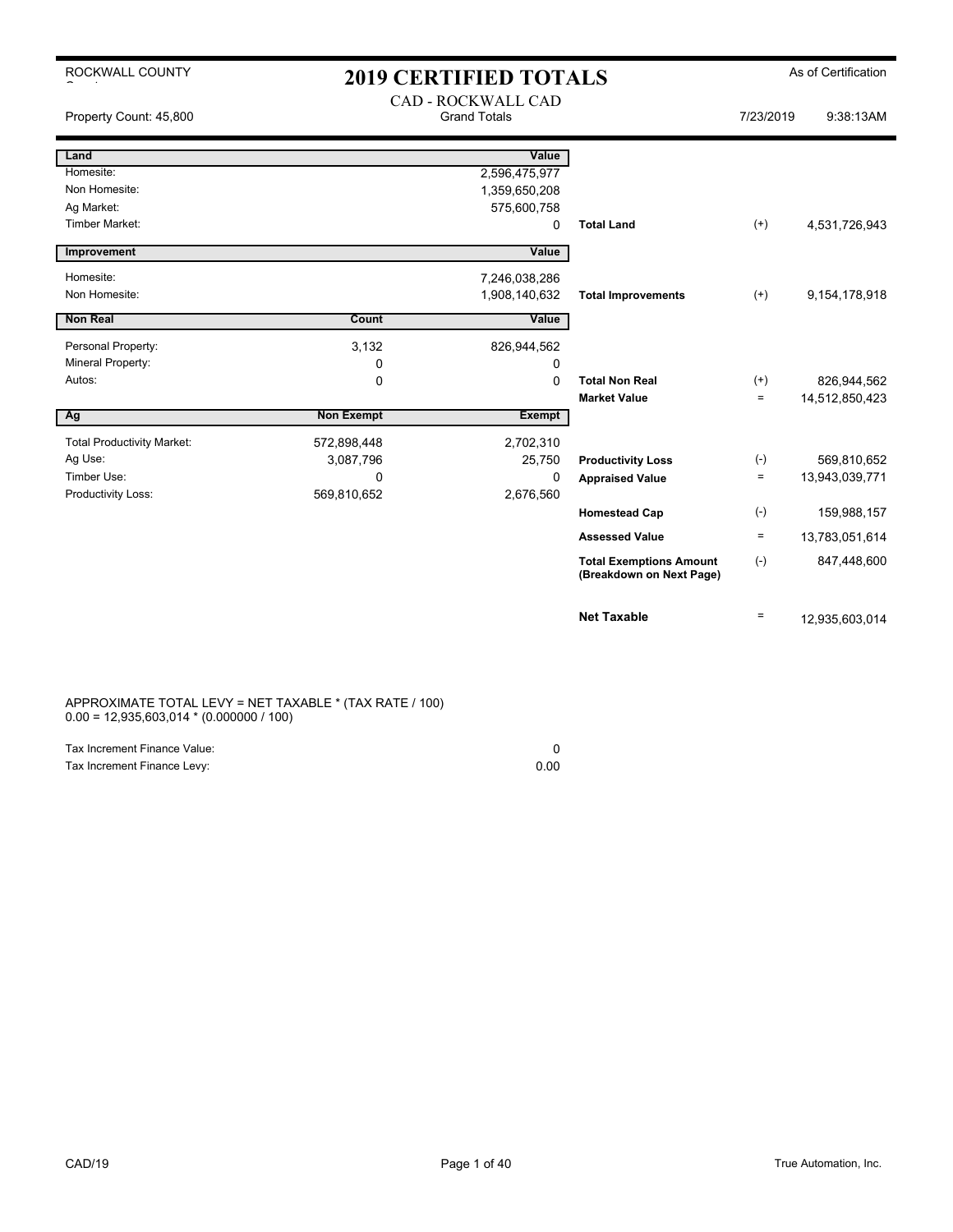| ROCKWALL COUNTY                   | <b>2019 CERTIFIED TOTALS</b> |                                                  |                                                            |           | As of Certification |
|-----------------------------------|------------------------------|--------------------------------------------------|------------------------------------------------------------|-----------|---------------------|
| Property Count: 45,800            |                              | <b>CAD - ROCKWALL CAD</b><br><b>Grand Totals</b> |                                                            | 7/23/2019 | 9:38:13AM           |
| Land                              |                              | Value                                            |                                                            |           |                     |
| Homesite:                         |                              | 2,596,475,977                                    |                                                            |           |                     |
| Non Homesite:                     |                              | 1,359,650,208                                    |                                                            |           |                     |
| Ag Market:                        |                              | 575,600,758                                      |                                                            |           |                     |
| Timber Market:                    |                              | 0                                                | <b>Total Land</b>                                          | $^{(+)}$  | 4,531,726,943       |
| Improvement                       |                              | Value                                            |                                                            |           |                     |
| Homesite:                         |                              | 7,246,038,286                                    |                                                            |           |                     |
| Non Homesite:                     |                              | 1,908,140,632                                    | <b>Total Improvements</b>                                  | $^{(+)}$  | 9,154,178,918       |
| <b>Non Real</b>                   | Count                        | Value                                            |                                                            |           |                     |
| Personal Property:                | 3,132                        | 826,944,562                                      |                                                            |           |                     |
| Mineral Property:                 | 0                            | 0                                                |                                                            |           |                     |
| Autos:                            | $\mathbf 0$                  | $\Omega$                                         | <b>Total Non Real</b>                                      | $^{(+)}$  | 826,944,562         |
|                                   |                              |                                                  | <b>Market Value</b>                                        | $\equiv$  | 14,512,850,423      |
| Ag                                | <b>Non Exempt</b>            | <b>Exempt</b>                                    |                                                            |           |                     |
| <b>Total Productivity Market:</b> | 572,898,448                  | 2,702,310                                        |                                                            |           |                     |
| Ag Use:                           | 3,087,796                    | 25,750                                           | <b>Productivity Loss</b>                                   | $(-)$     | 569,810,652         |
| Timber Use:                       | $\Omega$                     | 0                                                | <b>Appraised Value</b>                                     | $\equiv$  | 13,943,039,771      |
| Productivity Loss:                | 569,810,652                  | 2,676,560                                        |                                                            |           |                     |
|                                   |                              |                                                  | <b>Homestead Cap</b>                                       | $(-)$     | 159,988,157         |
|                                   |                              |                                                  | <b>Assessed Value</b>                                      | $\equiv$  | 13,783,051,614      |
|                                   |                              |                                                  | <b>Total Exemptions Amount</b><br>(Breakdown on Next Page) | $(-)$     | 847,448,600         |
|                                   |                              |                                                  | <b>Net Taxable</b>                                         | $\equiv$  | 12,935,603,014      |

APPROXIMATE TOTAL LEVY = NET TAXABLE \* (TAX RATE / 100) 0.00 = 12,935,603,014 \* (0.000000 / 100)

| Tax Increment Finance Value: |      |
|------------------------------|------|
| Tax Increment Finance Levy:  | 0.00 |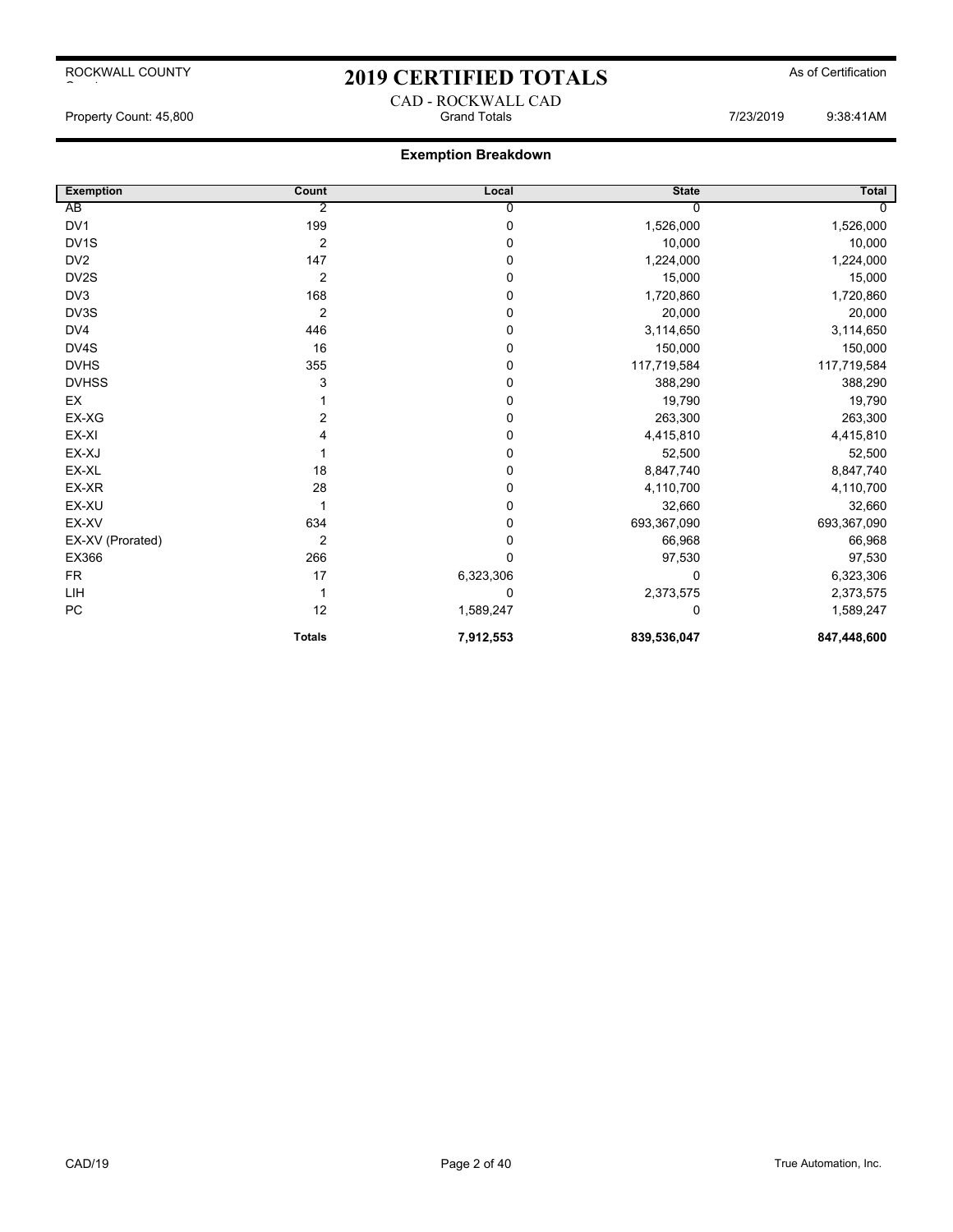## 2019 CERTIFIED TOTALS As of Certification

## **Exemption Breakdown**

| <b>Exemption</b>  | Count            | Local       | <b>State</b> | <b>Total</b>   |
|-------------------|------------------|-------------|--------------|----------------|
| AB                | 2                | 0           |              | $\overline{0}$ |
| DV <sub>1</sub>   | 199              | $\mathsf 0$ | 1,526,000    | 1,526,000      |
| DV <sub>1</sub> S | $\overline{2}$   | 0           | 10,000       | 10,000         |
| DV <sub>2</sub>   | 147              | 0           | 1,224,000    | 1,224,000      |
| DV2S              | $\boldsymbol{2}$ | 0           | 15,000       | 15,000         |
| DV3               | 168              | 0           | 1,720,860    | 1,720,860      |
| DV3S              | $\overline{2}$   | 0           | 20,000       | 20,000         |
| DV4               | 446              | 0           | 3,114,650    | 3,114,650      |
| DV4S              | 16               | 0           | 150,000      | 150,000        |
| <b>DVHS</b>       | 355              | 0           | 117,719,584  | 117,719,584    |
| <b>DVHSS</b>      | 3                | 0           | 388,290      | 388,290        |
| EX                |                  | 0           | 19,790       | 19,790         |
| EX-XG             | 2                | 0           | 263,300      | 263,300        |
| EX-XI             |                  | 0           | 4,415,810    | 4,415,810      |
| EX-XJ             |                  | 0           | 52,500       | 52,500         |
| EX-XL             | 18               | 0           | 8,847,740    | 8,847,740      |
| EX-XR             | 28               | 0           | 4,110,700    | 4,110,700      |
| EX-XU             |                  | 0           | 32,660       | 32,660         |
| EX-XV             | 634              | 0           | 693,367,090  | 693,367,090    |
| EX-XV (Prorated)  | $\overline{2}$   | 0           | 66,968       | 66,968         |
| EX366             | 266              | 0           | 97,530       | 97,530         |
| <b>FR</b>         | 17               | 6,323,306   | 0            | 6,323,306      |
| LIH               |                  | 0           | 2,373,575    | 2,373,575      |
| PC                | 12               | 1,589,247   | $\Omega$     | 1,589,247      |
|                   | <b>Totals</b>    | 7,912,553   | 839,536,047  | 847,448,600    |

CAD - ROCKWALL CAD Property Count: 45,800 Grand Totals 7/23/2019 9:38:41AM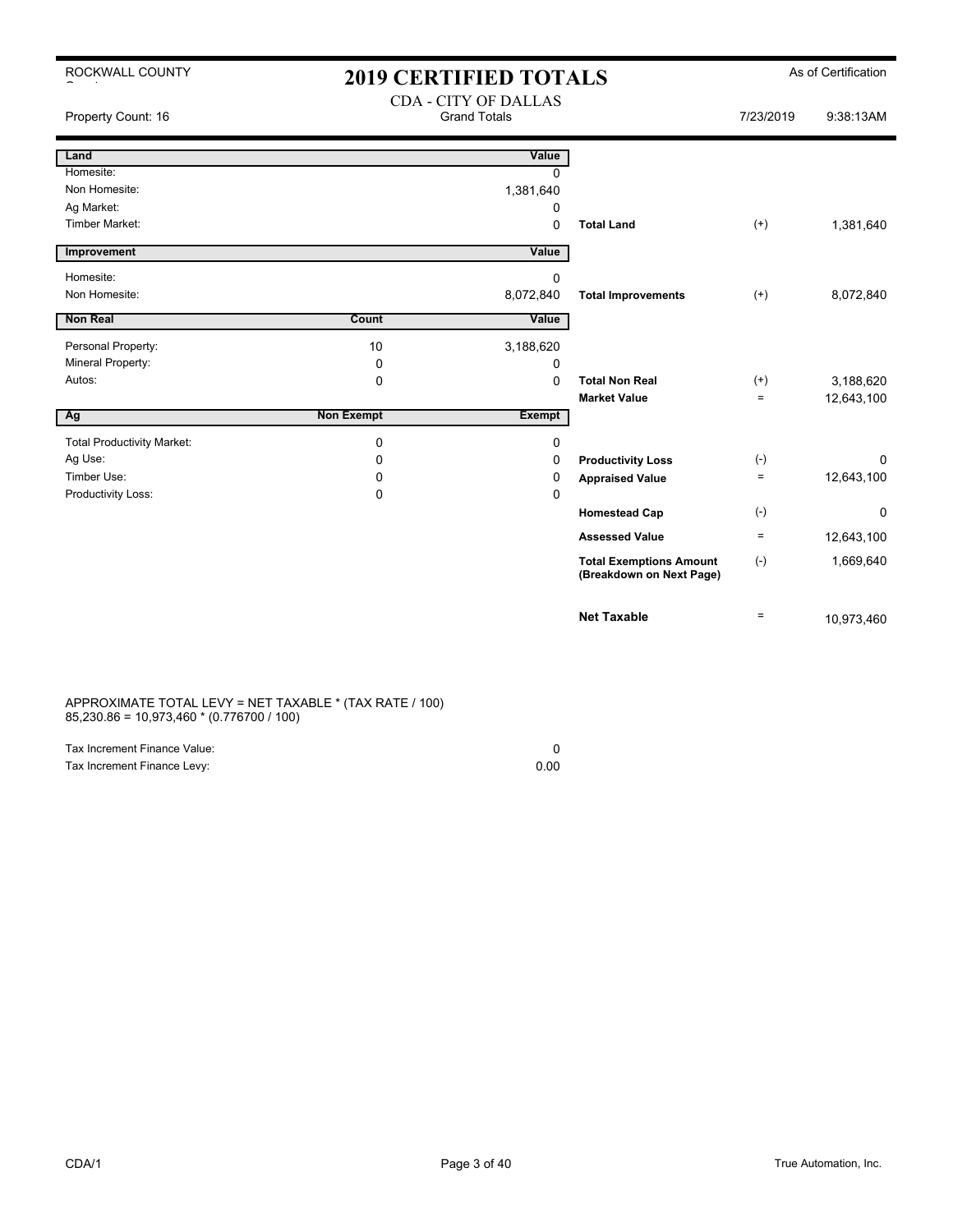| ROCKWALL COUNTY                   | <b>2019 CERTIFIED TOTALS</b> |                                                    |                                                            |           | As of Certification |
|-----------------------------------|------------------------------|----------------------------------------------------|------------------------------------------------------------|-----------|---------------------|
| Property Count: 16                |                              | <b>CDA - CITY OF DALLAS</b><br><b>Grand Totals</b> |                                                            | 7/23/2019 | 9:38:13AM           |
| Land                              |                              | Value                                              |                                                            |           |                     |
| Homesite:                         |                              | $\Omega$                                           |                                                            |           |                     |
| Non Homesite:                     |                              | 1,381,640                                          |                                                            |           |                     |
| Ag Market:                        |                              | 0                                                  |                                                            |           |                     |
| <b>Timber Market:</b>             |                              | $\Omega$                                           | <b>Total Land</b>                                          | $^{(+)}$  | 1,381,640           |
| Improvement                       |                              | Value                                              |                                                            |           |                     |
| Homesite:                         |                              | $\Omega$                                           |                                                            |           |                     |
| Non Homesite:                     |                              | 8,072,840                                          | <b>Total Improvements</b>                                  | $(+)$     | 8,072,840           |
| <b>Non Real</b>                   | Count                        | Value                                              |                                                            |           |                     |
| Personal Property:                | 10                           | 3,188,620                                          |                                                            |           |                     |
| Mineral Property:                 | 0                            | $\Omega$                                           |                                                            |           |                     |
| Autos:                            | 0                            | $\Omega$                                           | <b>Total Non Real</b>                                      | $(+)$     | 3,188,620           |
|                                   |                              |                                                    | <b>Market Value</b>                                        | $=$       | 12,643,100          |
| Ag                                | <b>Non Exempt</b>            | <b>Exempt</b>                                      |                                                            |           |                     |
| <b>Total Productivity Market:</b> | 0                            | 0                                                  |                                                            |           |                     |
| Ag Use:                           | 0                            | 0                                                  | <b>Productivity Loss</b>                                   | $(-)$     | $\Omega$            |
| Timber Use:                       | 0                            | 0                                                  | <b>Appraised Value</b>                                     | $=$       | 12,643,100          |
| Productivity Loss:                | 0                            | $\Omega$                                           |                                                            |           |                     |
|                                   |                              |                                                    | <b>Homestead Cap</b>                                       | $(-)$     | $\mathbf 0$         |
|                                   |                              |                                                    | <b>Assessed Value</b>                                      | $=$       | 12,643,100          |
|                                   |                              |                                                    | <b>Total Exemptions Amount</b><br>(Breakdown on Next Page) | $(-)$     | 1,669,640           |
|                                   |                              |                                                    | <b>Net Taxable</b>                                         | $\equiv$  | 10,973,460          |

APPROXIMATE TOTAL LEVY = NET TAXABLE \* (TAX RATE / 100) 85,230.86 = 10,973,460 \* (0.776700 / 100)

| Tax Increment Finance Value: |      |
|------------------------------|------|
| Tax Increment Finance Levy:  | 0.00 |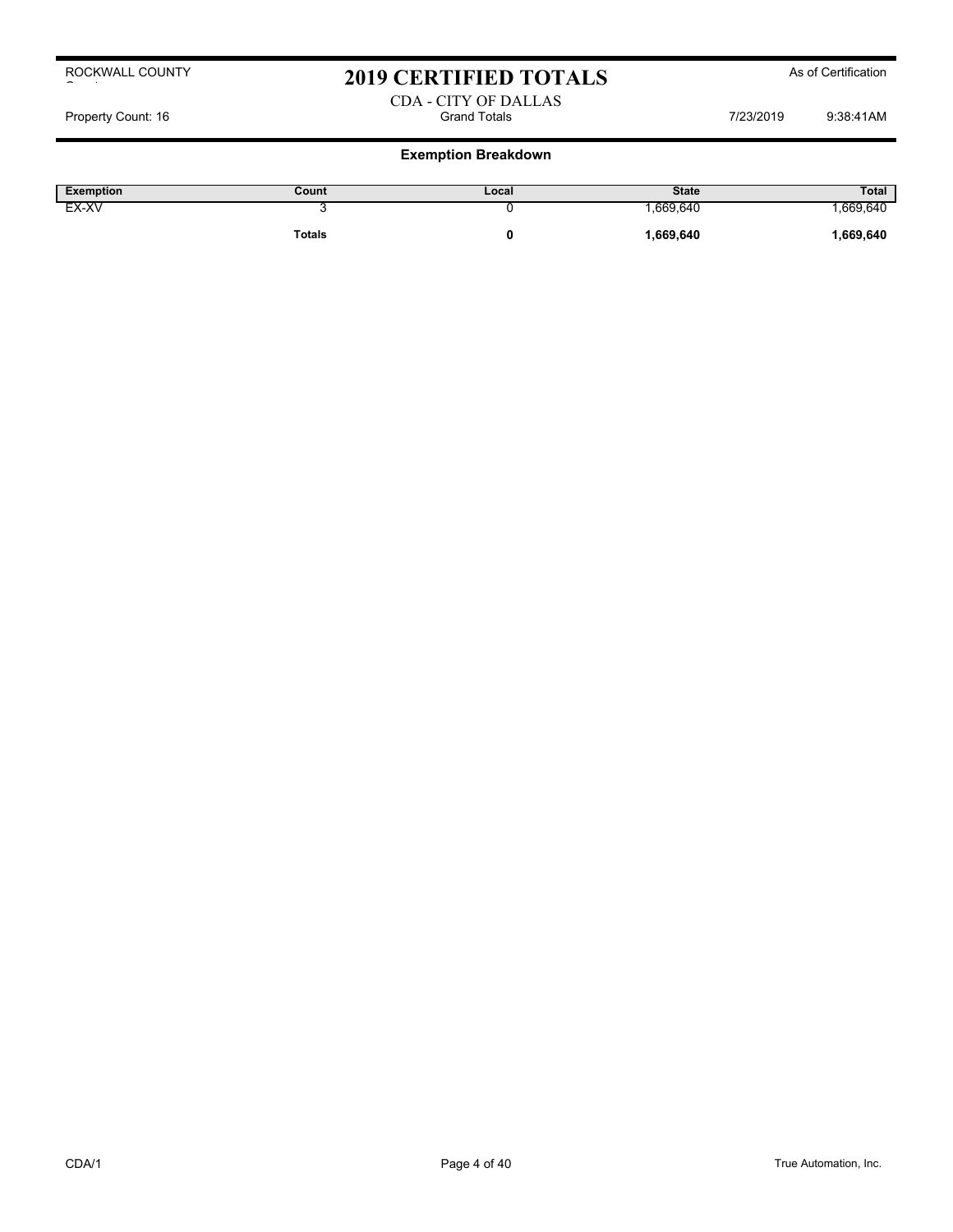## 2019 CERTIFIED TOTALS As of Certification

### CDA - CITY OF DALLAS Property Count: 16 **Property Count: 16** Crand Totals **Count: 16** Crand Totals **COUNT: 16** Property Count: 16 238:41AM

| <b>Exemption</b> | Count  | Local | <b>State</b> | <b>Total</b> |
|------------------|--------|-------|--------------|--------------|
| EX-XV            | . .    |       | .669,640     | .669,640     |
|                  | Totals |       | ,669,640     | .669,640     |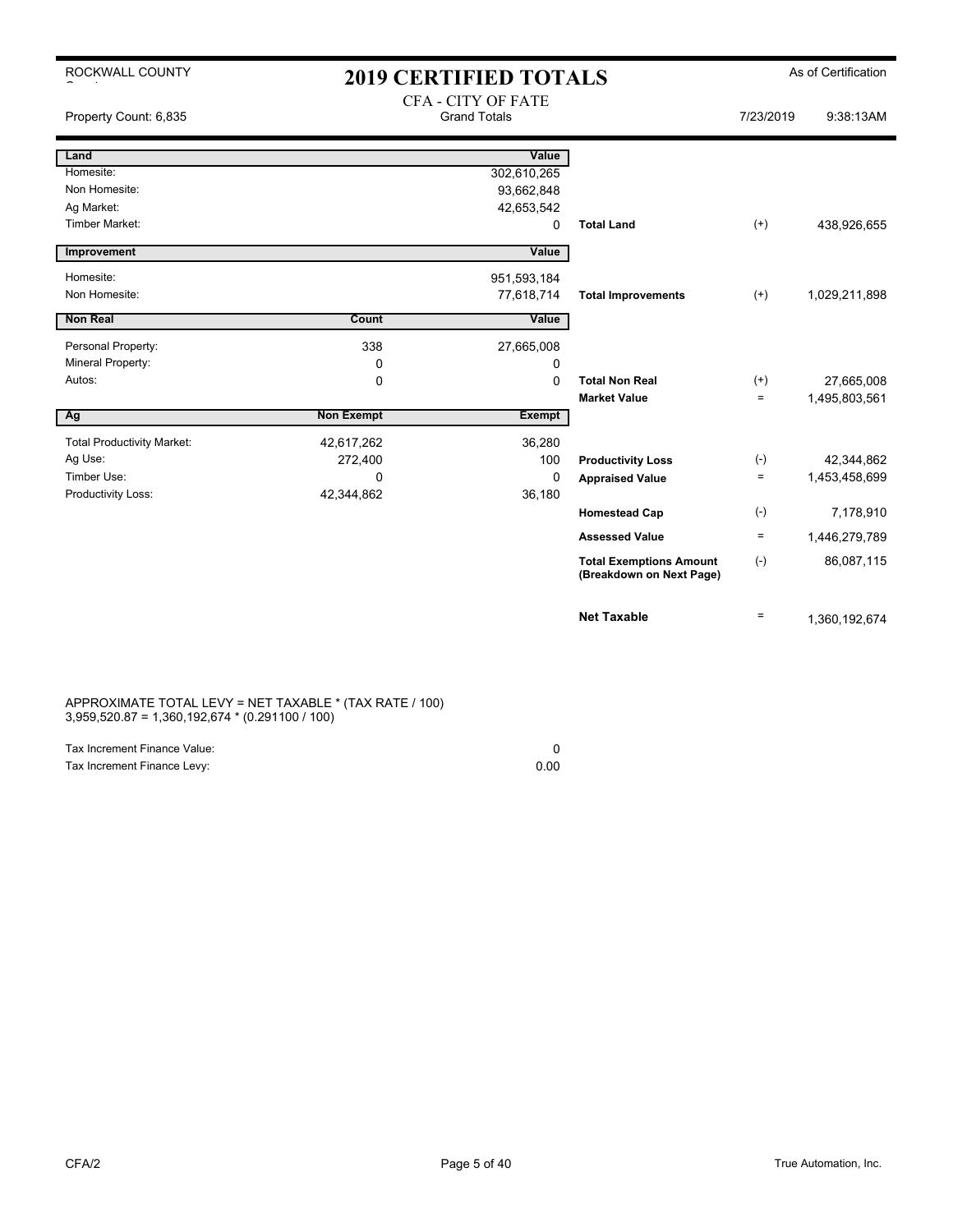ROCKWALL COUNTY

 $\sim$  to the set of the set of the set of the set of the set of the set of the set of the set of the set of the set of the set of the set of the set of the set of the set of the set of the set of the set of the set of the

## 2019 CERTIFIED TOTALS As of Certification CEA CITY OF FATE

| Property Count: 6,835             | CFA - CITY OF FATE<br><b>Grand Totals</b> |             |                                                            | 7/23/2019 | 9:38:13AM     |
|-----------------------------------|-------------------------------------------|-------------|------------------------------------------------------------|-----------|---------------|
| Land                              |                                           | Value       |                                                            |           |               |
| Homesite:                         |                                           | 302,610,265 |                                                            |           |               |
| Non Homesite:                     |                                           | 93,662,848  |                                                            |           |               |
| Ag Market:                        |                                           | 42,653,542  |                                                            |           |               |
| <b>Timber Market:</b>             |                                           | 0           | <b>Total Land</b>                                          | $^{(+)}$  | 438,926,655   |
| Improvement                       |                                           | Value       |                                                            |           |               |
| Homesite:                         |                                           | 951,593,184 |                                                            |           |               |
| Non Homesite:                     |                                           | 77,618,714  | <b>Total Improvements</b>                                  | $^{(+)}$  | 1,029,211,898 |
| <b>Non Real</b>                   | Count                                     | Value       |                                                            |           |               |
| Personal Property:                | 338                                       | 27,665,008  |                                                            |           |               |
| Mineral Property:                 | 0                                         | 0           |                                                            |           |               |
| Autos:                            | 0                                         | $\Omega$    | <b>Total Non Real</b>                                      | $^{(+)}$  | 27,665,008    |
|                                   |                                           |             | <b>Market Value</b>                                        | $\equiv$  | 1,495,803,561 |
| Ag                                | <b>Non Exempt</b>                         | Exempt      |                                                            |           |               |
| <b>Total Productivity Market:</b> | 42,617,262                                | 36,280      |                                                            |           |               |
| Ag Use:                           | 272,400                                   | 100         | <b>Productivity Loss</b>                                   | $(-)$     | 42,344,862    |
| Timber Use:                       | $\mathbf{0}$                              | 0           | <b>Appraised Value</b>                                     | $=$       | 1,453,458,699 |
| Productivity Loss:                | 42,344,862                                | 36,180      |                                                            |           |               |
|                                   |                                           |             | <b>Homestead Cap</b>                                       | $(-)$     | 7,178,910     |
|                                   |                                           |             | <b>Assessed Value</b>                                      | $\equiv$  | 1,446,279,789 |
|                                   |                                           |             | <b>Total Exemptions Amount</b><br>(Breakdown on Next Page) | $(-)$     | 86,087,115    |
|                                   |                                           |             | <b>Net Taxable</b>                                         | $\equiv$  | 1,360,192,674 |

APPROXIMATE TOTAL LEVY = NET TAXABLE \* (TAX RATE / 100) 3,959,520.87 = 1,360,192,674 \* (0.291100 / 100)

| Tax Increment Finance Value: |      |
|------------------------------|------|
| Tax Increment Finance Levy:  | 0.00 |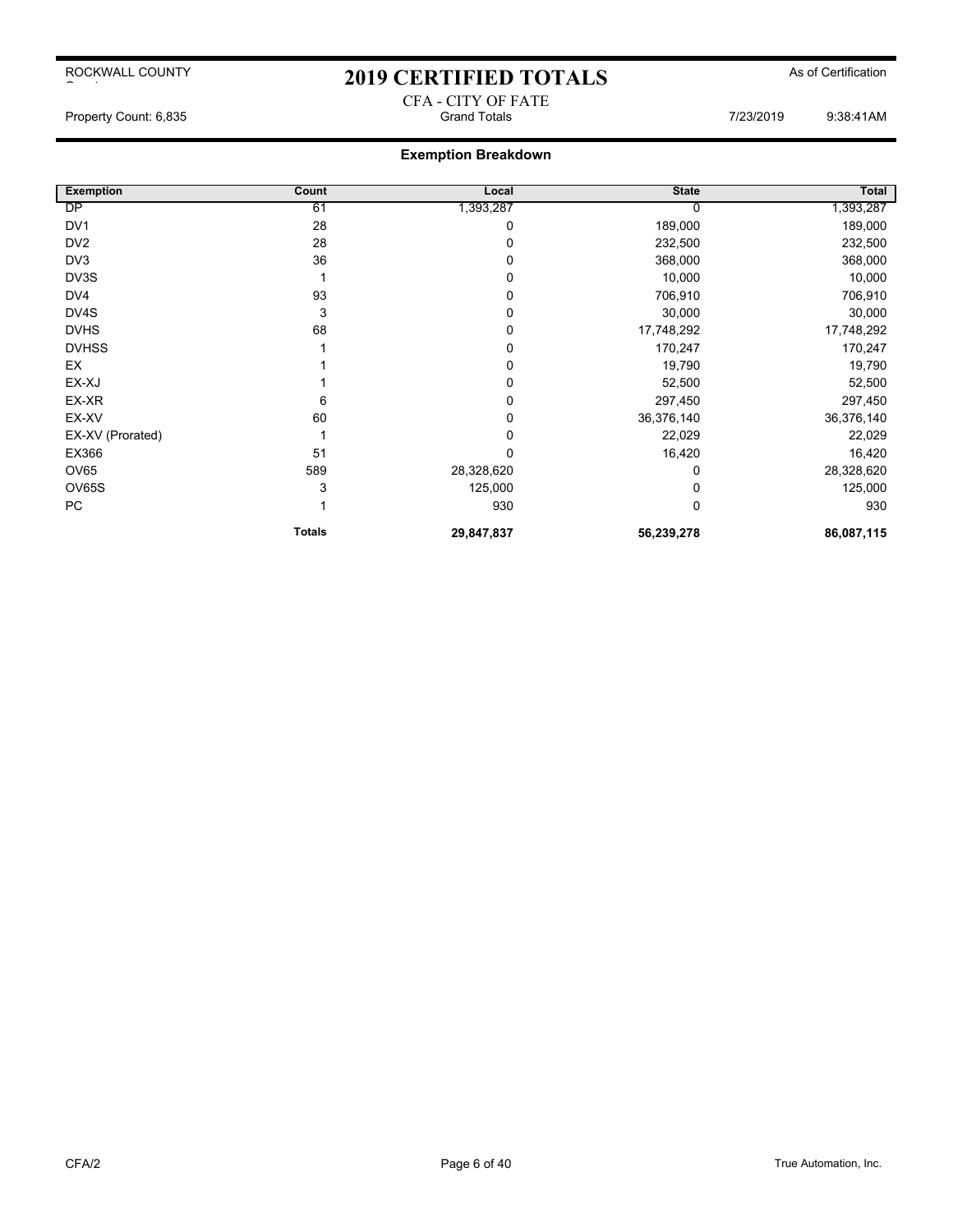## 2019 CERTIFIED TOTALS As of Certification CFA - CITY OF FATE

Property Count: 6,835 Grand Totals 7/23/2019 9:38:41AM

| <b>Exemption</b> | Count         | Local      | <b>State</b> | Total      |
|------------------|---------------|------------|--------------|------------|
| DP               | 61            | 1,393,287  |              | 1,393,287  |
| DV <sub>1</sub>  | 28            | 0          | 189,000      | 189,000    |
| DV <sub>2</sub>  | 28            | 0          | 232,500      | 232,500    |
| DV3              | 36            | 0          | 368,000      | 368,000    |
| DV3S             |               | 0          | 10,000       | 10,000     |
| DV <sub>4</sub>  | 93            | 0          | 706,910      | 706,910    |
| DV4S             | 3             | 0          | 30,000       | 30,000     |
| <b>DVHS</b>      | 68            | 0          | 17,748,292   | 17,748,292 |
| <b>DVHSS</b>     |               | 0          | 170,247      | 170,247    |
| EX               |               | 0          | 19,790       | 19,790     |
| EX-XJ            |               | 0          | 52,500       | 52,500     |
| EX-XR            | 6             | 0          | 297,450      | 297,450    |
| EX-XV            | 60            | 0          | 36,376,140   | 36,376,140 |
| EX-XV (Prorated) |               | 0          | 22,029       | 22,029     |
| EX366            | 51            | $\Omega$   | 16,420       | 16,420     |
| <b>OV65</b>      | 589           | 28,328,620 |              | 28,328,620 |
| OV65S            | 3             | 125,000    |              | 125,000    |
| PC               |               | 930        | 0            | 930        |
|                  | <b>Totals</b> | 29,847,837 | 56,239,278   | 86,087,115 |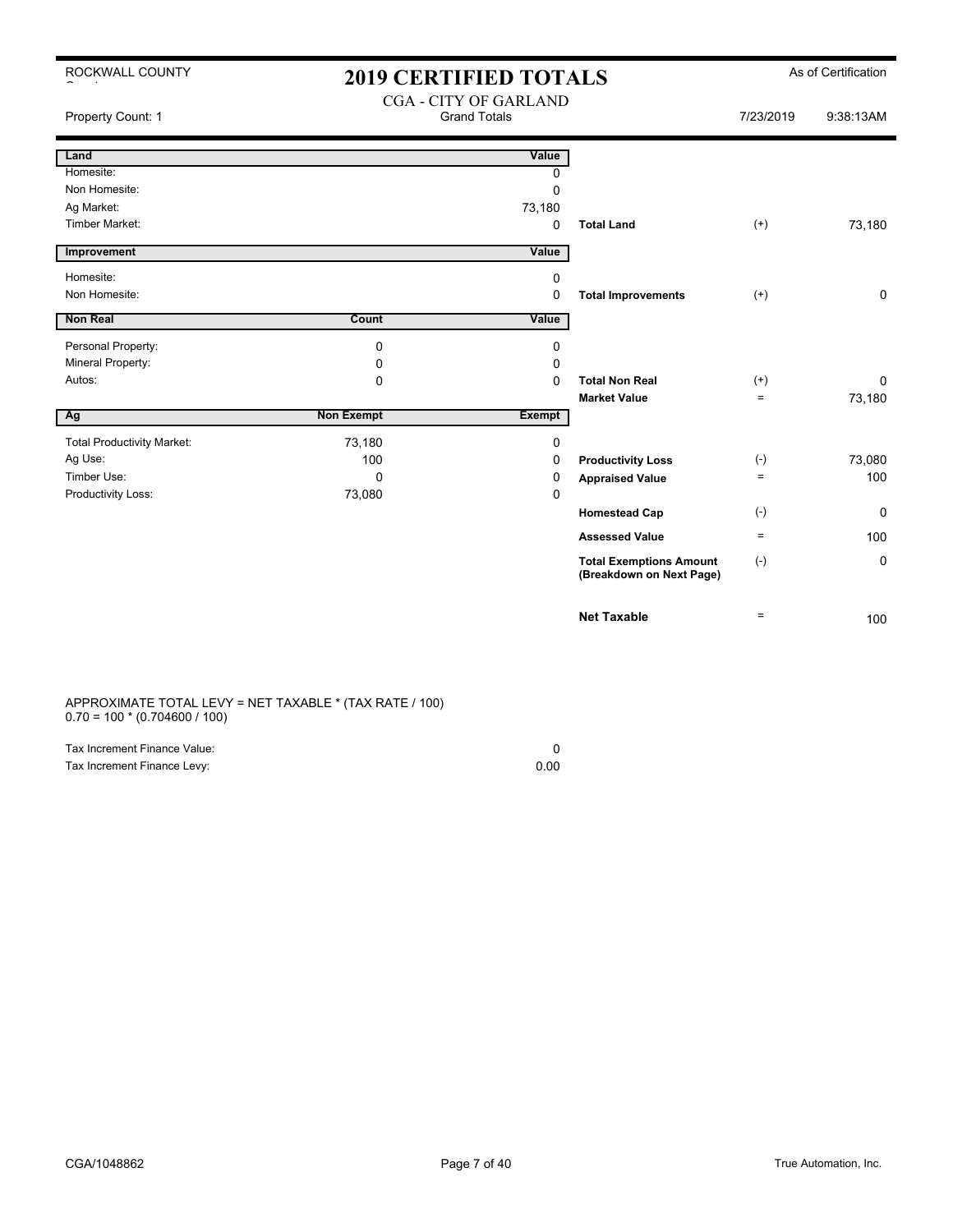| ROCKWALL COUNTY |  |
|-----------------|--|
|-----------------|--|

## 2019 CERTIFIED TOTALS As of Certification CGA - CITY OF GARLAND

| Property Count: 1                 |                   | COA - CITT OF OAKLAND<br><b>Grand Totals</b> |                                                            | 7/23/2019 | 9:38:13AM    |
|-----------------------------------|-------------------|----------------------------------------------|------------------------------------------------------------|-----------|--------------|
| Land                              |                   | Value                                        |                                                            |           |              |
| Homesite:                         |                   | 0                                            |                                                            |           |              |
| Non Homesite:                     |                   | $\mathbf 0$                                  |                                                            |           |              |
| Ag Market:                        |                   | 73,180                                       |                                                            |           |              |
| Timber Market:                    |                   | 0                                            | <b>Total Land</b>                                          | $^{(+)}$  | 73,180       |
| Improvement                       |                   | Value                                        |                                                            |           |              |
| Homesite:                         |                   | 0                                            |                                                            |           |              |
| Non Homesite:                     |                   | 0                                            | <b>Total Improvements</b>                                  | $^{(+)}$  | $\mathbf 0$  |
| Non Real                          | Count             | Value                                        |                                                            |           |              |
| Personal Property:                | $\Omega$          | 0                                            |                                                            |           |              |
| Mineral Property:                 | 0                 | 0                                            |                                                            |           |              |
| Autos:                            | 0                 | $\Omega$                                     | <b>Total Non Real</b>                                      | $^{(+)}$  | $\mathbf{0}$ |
|                                   |                   |                                              | <b>Market Value</b>                                        | $=$       | 73,180       |
| Ag                                | <b>Non Exempt</b> | <b>Exempt</b>                                |                                                            |           |              |
| <b>Total Productivity Market:</b> | 73,180            | 0                                            |                                                            |           |              |
| Ag Use:                           | 100               | 0                                            | <b>Productivity Loss</b>                                   | $(-)$     | 73,080       |
| Timber Use:                       | $\Omega$          | 0                                            | <b>Appraised Value</b>                                     | $\equiv$  | 100          |
| Productivity Loss:                | 73,080            | 0                                            |                                                            |           |              |
|                                   |                   |                                              | <b>Homestead Cap</b>                                       | $(-)$     | 0            |
|                                   |                   |                                              | <b>Assessed Value</b>                                      | $\equiv$  | 100          |
|                                   |                   |                                              | <b>Total Exemptions Amount</b><br>(Breakdown on Next Page) | $(-)$     | 0            |
|                                   |                   |                                              | <b>Net Taxable</b>                                         | $\equiv$  | 100          |

APPROXIMATE TOTAL LEVY = NET TAXABLE \* (TAX RATE / 100) 0.70 = 100 \* (0.704600 / 100)

| Tax Increment Finance Value: |      |
|------------------------------|------|
| Tax Increment Finance Levy:  | 0.00 |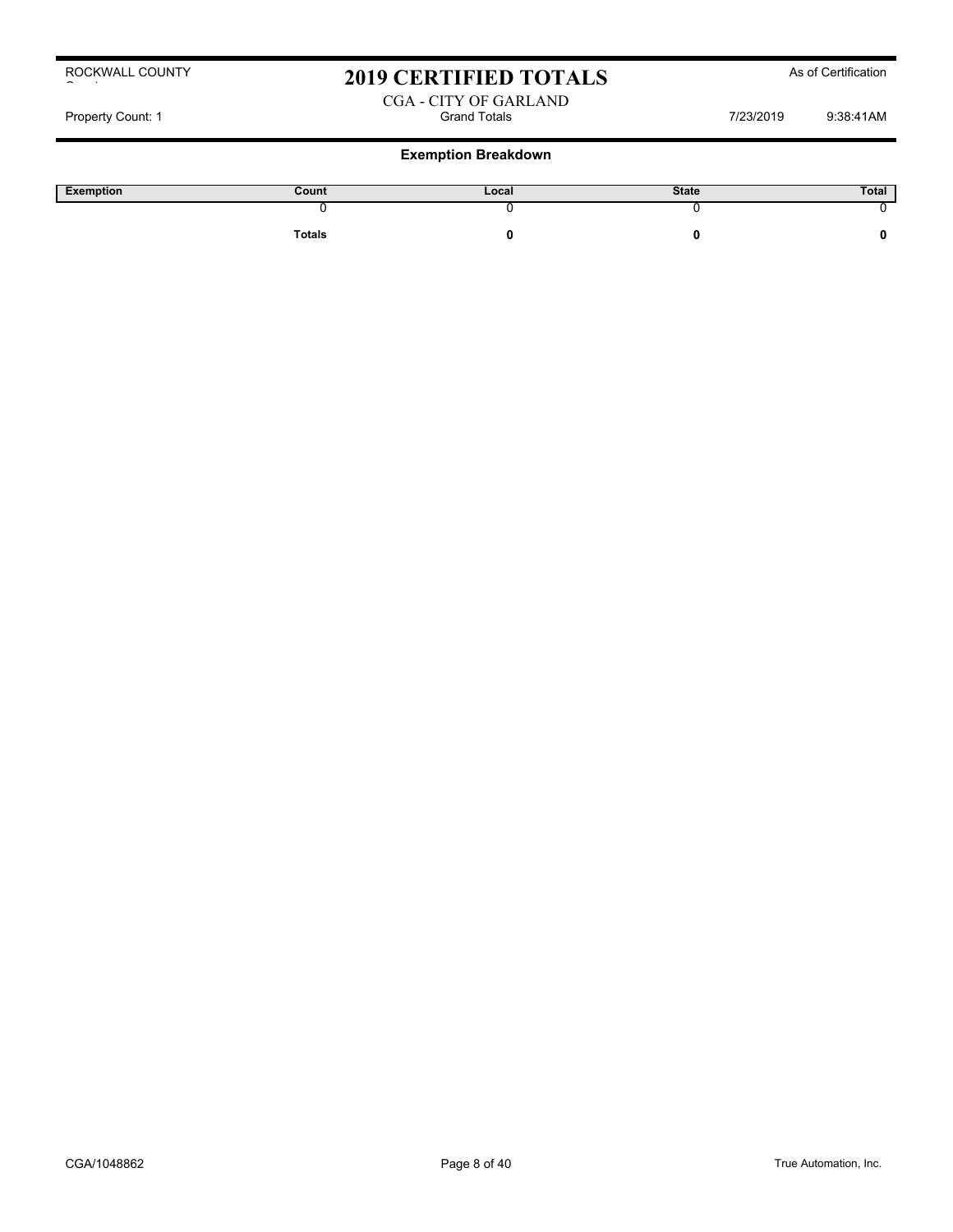## 2019 CERTIFIED TOTALS As of Certification

### CGA - CITY OF GARLAND Property Count: 1 and Totals Count: 1 and Totals Count: 1 and Totals 7/23/2019 9:38:41AM

| Exemption | Count         | Local | <b>State</b> | Total |
|-----------|---------------|-------|--------------|-------|
|           |               |       |              |       |
|           | <b>Totals</b> |       |              |       |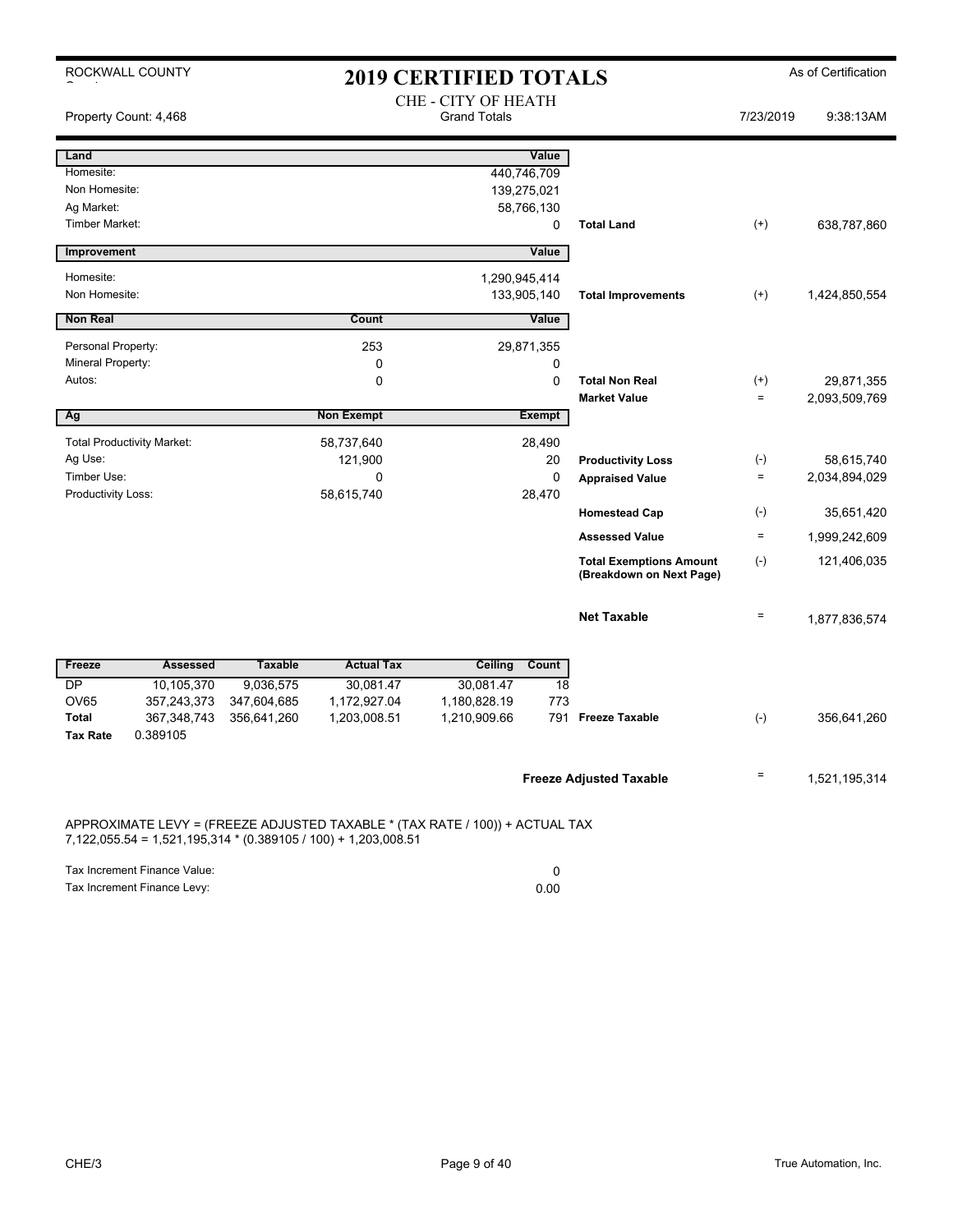|                                 | ROCKWALL COUNTY                                                |                |                   | <b>2019 CERTIFIED TOTALS</b>                                                 |                 |                                                            |                 | As of Certification |
|---------------------------------|----------------------------------------------------------------|----------------|-------------------|------------------------------------------------------------------------------|-----------------|------------------------------------------------------------|-----------------|---------------------|
|                                 | Property Count: 4,468                                          |                |                   | CHE - CITY OF HEATH<br><b>Grand Totals</b>                                   |                 |                                                            | 7/23/2019       | 9:38:13AM           |
| Land                            |                                                                |                |                   |                                                                              | Value           |                                                            |                 |                     |
| Homesite:                       |                                                                |                |                   |                                                                              | 440,746,709     |                                                            |                 |                     |
| Non Homesite:                   |                                                                |                |                   |                                                                              | 139,275,021     |                                                            |                 |                     |
| Ag Market:<br>Timber Market:    |                                                                |                |                   |                                                                              | 58,766,130      | <b>Total Land</b>                                          |                 |                     |
|                                 |                                                                |                |                   |                                                                              | 0               |                                                            | $(+)$           | 638,787,860         |
| Improvement                     |                                                                |                |                   |                                                                              | Value           |                                                            |                 |                     |
| Homesite:                       |                                                                |                |                   |                                                                              | 1,290,945,414   |                                                            |                 |                     |
| Non Homesite:                   |                                                                |                |                   |                                                                              | 133,905,140     | <b>Total Improvements</b>                                  | $^{(+)}$        | 1,424,850,554       |
| <b>Non Real</b>                 |                                                                |                | Count             |                                                                              | Value           |                                                            |                 |                     |
| Personal Property:              |                                                                |                | 253               |                                                                              | 29,871,355      |                                                            |                 |                     |
| Mineral Property:               |                                                                |                | 0                 |                                                                              | 0               |                                                            |                 |                     |
| Autos:                          |                                                                |                | $\Omega$          |                                                                              | $\Omega$        | <b>Total Non Real</b>                                      | $^{(+)}$        | 29,871,355          |
|                                 |                                                                |                |                   |                                                                              |                 | <b>Market Value</b>                                        | $\equiv$        | 2,093,509,769       |
| Ag                              |                                                                |                | <b>Non Exempt</b> |                                                                              | <b>Exempt</b>   |                                                            |                 |                     |
|                                 | <b>Total Productivity Market:</b>                              |                | 58,737,640        |                                                                              | 28,490          |                                                            |                 |                     |
| Ag Use:                         |                                                                |                | 121,900           |                                                                              | 20              | <b>Productivity Loss</b>                                   | $(-)$           | 58,615,740          |
| Timber Use:                     |                                                                |                | 0                 |                                                                              | $\Omega$        | <b>Appraised Value</b>                                     | $\equiv$        | 2,034,894,029       |
| Productivity Loss:              |                                                                |                | 58,615,740        |                                                                              | 28,470          |                                                            |                 |                     |
|                                 |                                                                |                |                   |                                                                              |                 | <b>Homestead Cap</b>                                       | $(-)$           | 35,651,420          |
|                                 |                                                                |                |                   |                                                                              |                 | <b>Assessed Value</b>                                      | $\equiv$        | 1,999,242,609       |
|                                 |                                                                |                |                   |                                                                              |                 | <b>Total Exemptions Amount</b><br>(Breakdown on Next Page) | $(-)$           | 121,406,035         |
|                                 |                                                                |                |                   |                                                                              |                 | <b>Net Taxable</b>                                         | $\quad \  \  =$ | 1,877,836,574       |
| Freeze                          | <b>Assessed</b>                                                | <b>Taxable</b> | <b>Actual Tax</b> | <b>Ceiling</b>                                                               | Count           |                                                            |                 |                     |
| $\overline{\mathsf{DP}}$        | 10,105,370                                                     | 9,036,575      | 30,081.47         | 30,081.47                                                                    | $\overline{18}$ |                                                            |                 |                     |
| <b>OV65</b>                     | 357,243,373                                                    | 347,604,685    | 1,172,927.04      | 1,180,828.19                                                                 | 773             |                                                            |                 |                     |
| <b>Total</b><br><b>Tax Rate</b> | 367, 348, 743<br>0.389105                                      | 356,641,260    | 1,203,008.51      | 1,210,909.66                                                                 | 791             | <b>Freeze Taxable</b>                                      | $(-)$           | 356,641,260         |
|                                 |                                                                |                |                   |                                                                              |                 | <b>Freeze Adjusted Taxable</b>                             | $\equiv$        | 1,521,195,314       |
|                                 | 7,122,055.54 = 1,521,195,314 * (0.389105 / 100) + 1,203,008.51 |                |                   | APPROXIMATE LEVY = (FREEZE ADJUSTED TAXABLE * (TAX RATE / 100)) + ACTUAL TAX |                 |                                                            |                 |                     |

Tax Increment Finance Value: 0 Tax Increment Finance Levy: 0.00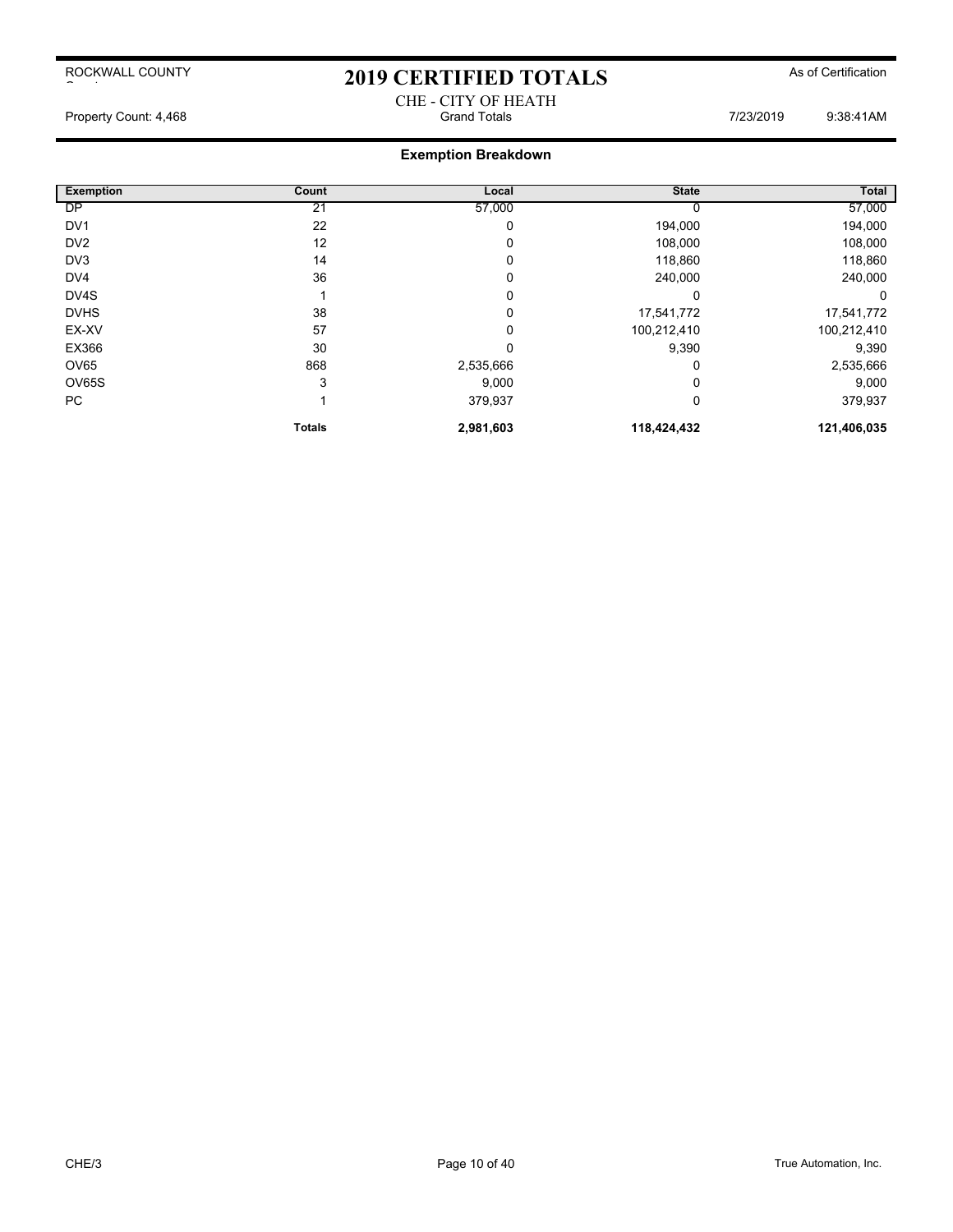# 2019 CERTIFIED TOTALS As of Certification CHE - CITY OF HEATH<br>Grand Totals

Property Count: 4,468 **Property Count: 4,468** Crand Totals **Grand Totals** 7/23/2019 9:38:41AM

| <b>Exemption</b> | Count         | Local       | <b>State</b> | Total       |
|------------------|---------------|-------------|--------------|-------------|
| <b>DP</b>        | 21            | 57,000      |              | 57,000      |
| DV <sub>1</sub>  | 22            | 0           | 194,000      | 194,000     |
| DV <sub>2</sub>  | 12            | 0           | 108,000      | 108,000     |
| DV3              | 14            | 0           | 118,860      | 118,860     |
| DV <sub>4</sub>  | 36            | 0           | 240,000      | 240,000     |
| DV4S             |               | 0           |              | 0           |
| <b>DVHS</b>      | 38            | $\mathbf 0$ | 17,541,772   | 17,541,772  |
| EX-XV            | 57            | 0           | 100,212,410  | 100,212,410 |
| EX366            | 30            | 0           | 9,390        | 9,390       |
| OV65             | 868           | 2,535,666   |              | 2,535,666   |
| OV65S            | 3             | 9,000       |              | 9,000       |
| PC               |               | 379,937     | 0            | 379,937     |
|                  | <b>Totals</b> | 2,981,603   | 118,424,432  | 121,406,035 |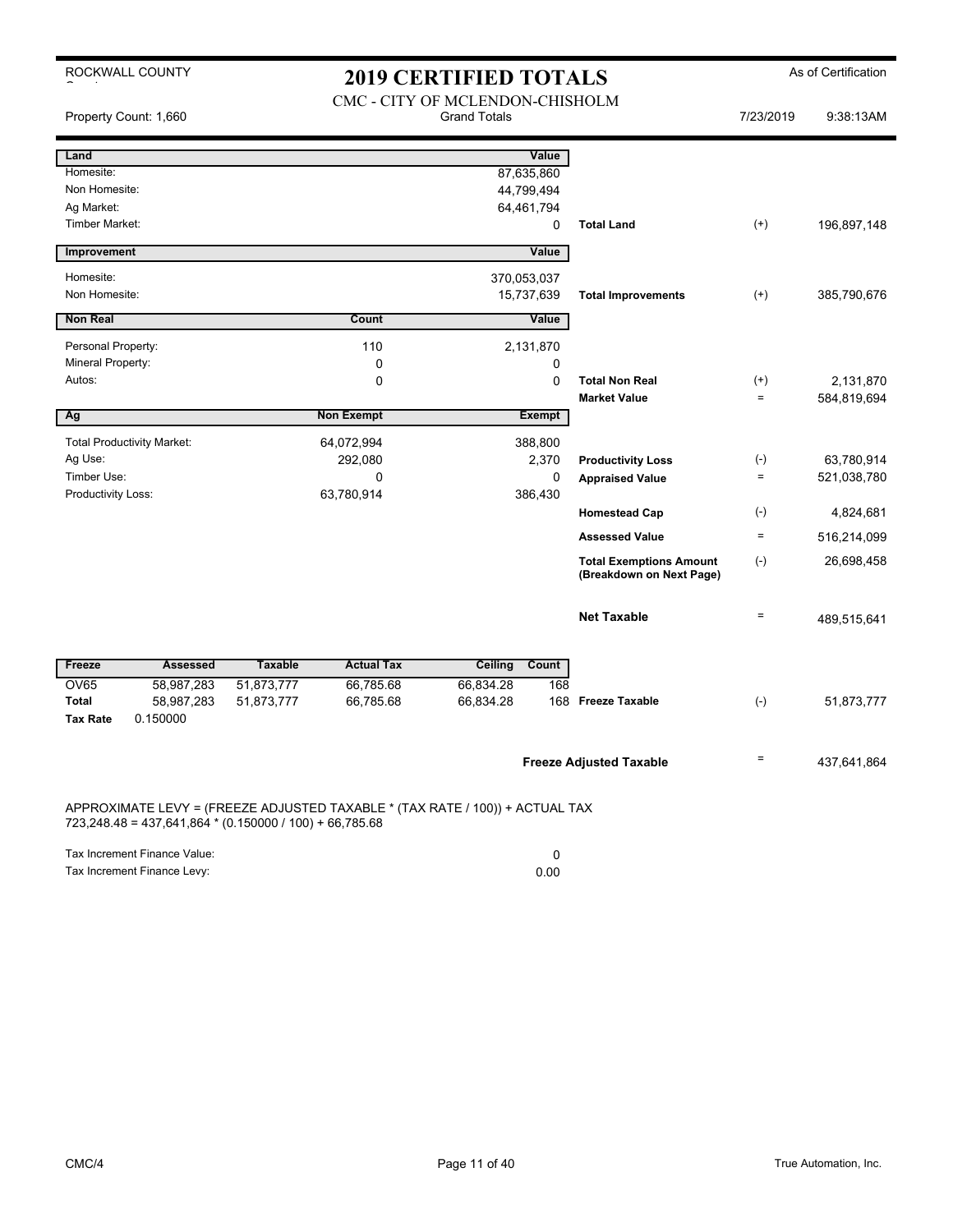ROCKWALL COUNTY

# 2019 CERTIFIED TOTALS As of Certification

|                                                                           | Property Count: 1,660                                   | 2017 CERTIFIED TOTALD<br>CMC - CITY OF MCLENDON-CHISHOLM<br><b>Grand Totals</b> |                                                                              |                                        |                                  |                                                            | 7/23/2019                  | 9:38:13AM                 |
|---------------------------------------------------------------------------|---------------------------------------------------------|---------------------------------------------------------------------------------|------------------------------------------------------------------------------|----------------------------------------|----------------------------------|------------------------------------------------------------|----------------------------|---------------------------|
| Land<br>Homesite:<br>Non Homesite:<br>Ag Market:<br><b>Timber Market:</b> |                                                         |                                                                                 |                                                                              | 87,635,860<br>44,799,494<br>64,461,794 | Value<br>0                       | <b>Total Land</b>                                          | $^{(+)}$                   | 196,897,148               |
| Improvement                                                               |                                                         |                                                                                 |                                                                              |                                        | Value                            |                                                            |                            |                           |
| Homesite:<br>Non Homesite:                                                |                                                         |                                                                                 |                                                                              | 370,053,037                            | 15,737,639                       | <b>Total Improvements</b>                                  | $^{(+)}$                   | 385,790,676               |
| <b>Non Real</b>                                                           |                                                         |                                                                                 | Count                                                                        |                                        | Value                            |                                                            |                            |                           |
| Personal Property:<br>Mineral Property:<br>Autos:                         |                                                         |                                                                                 | 110<br>$\mathbf 0$<br>$\pmb{0}$                                              |                                        | 2,131,870<br>0<br>0              | <b>Total Non Real</b><br><b>Market Value</b>               | $^{(+)}$<br>$\equiv$       | 2,131,870<br>584,819,694  |
| Ag                                                                        |                                                         |                                                                                 | <b>Non Exempt</b>                                                            |                                        | <b>Exempt</b>                    |                                                            |                            |                           |
| Ag Use:<br>Timber Use:<br>Productivity Loss:                              | <b>Total Productivity Market:</b>                       |                                                                                 | 64,072,994<br>292,080<br>0<br>63,780,914                                     |                                        | 388,800<br>2,370<br>0<br>386,430 | <b>Productivity Loss</b><br><b>Appraised Value</b>         | $(-)$<br>$\qquad \qquad =$ | 63,780,914<br>521,038,780 |
|                                                                           |                                                         |                                                                                 |                                                                              |                                        |                                  | <b>Homestead Cap</b>                                       | $(-)$                      | 4,824,681                 |
|                                                                           |                                                         |                                                                                 |                                                                              |                                        |                                  | <b>Assessed Value</b>                                      | $\quad \  \  =$            | 516,214,099               |
|                                                                           |                                                         |                                                                                 |                                                                              |                                        |                                  | <b>Total Exemptions Amount</b><br>(Breakdown on Next Page) | $(\text{-})$               | 26,698,458                |
|                                                                           |                                                         |                                                                                 |                                                                              |                                        |                                  | <b>Net Taxable</b>                                         | $\qquad \qquad =$          | 489,515,641               |
| Freeze                                                                    | <b>Assessed</b>                                         | <b>Taxable</b>                                                                  | <b>Actual Tax</b>                                                            | <b>Ceiling</b>                         | Count                            |                                                            |                            |                           |
| <b>OV65</b><br><b>Total</b><br><b>Tax Rate</b>                            | 58,987,283<br>58,987,283<br>0.150000                    | 51,873,777<br>51,873,777                                                        | 66,785.68<br>66,785.68                                                       | 66,834.28<br>66,834.28                 | 168                              | 168 Freeze Taxable                                         | $(-)$                      | 51,873,777                |
|                                                                           |                                                         |                                                                                 |                                                                              |                                        |                                  | <b>Freeze Adjusted Taxable</b>                             | $\qquad \qquad =$          | 437,641,864               |
|                                                                           | 723,248.48 = 437,641,864 * (0.150000 / 100) + 66,785.68 |                                                                                 | APPROXIMATE LEVY = (FREEZE ADJUSTED TAXABLE * (TAX RATE / 100)) + ACTUAL TAX |                                        |                                  |                                                            |                            |                           |
|                                                                           | Tax Increment Finance Value:                            |                                                                                 |                                                                              |                                        | 0                                |                                                            |                            |                           |

Tax Increment Finance Levy: 0.00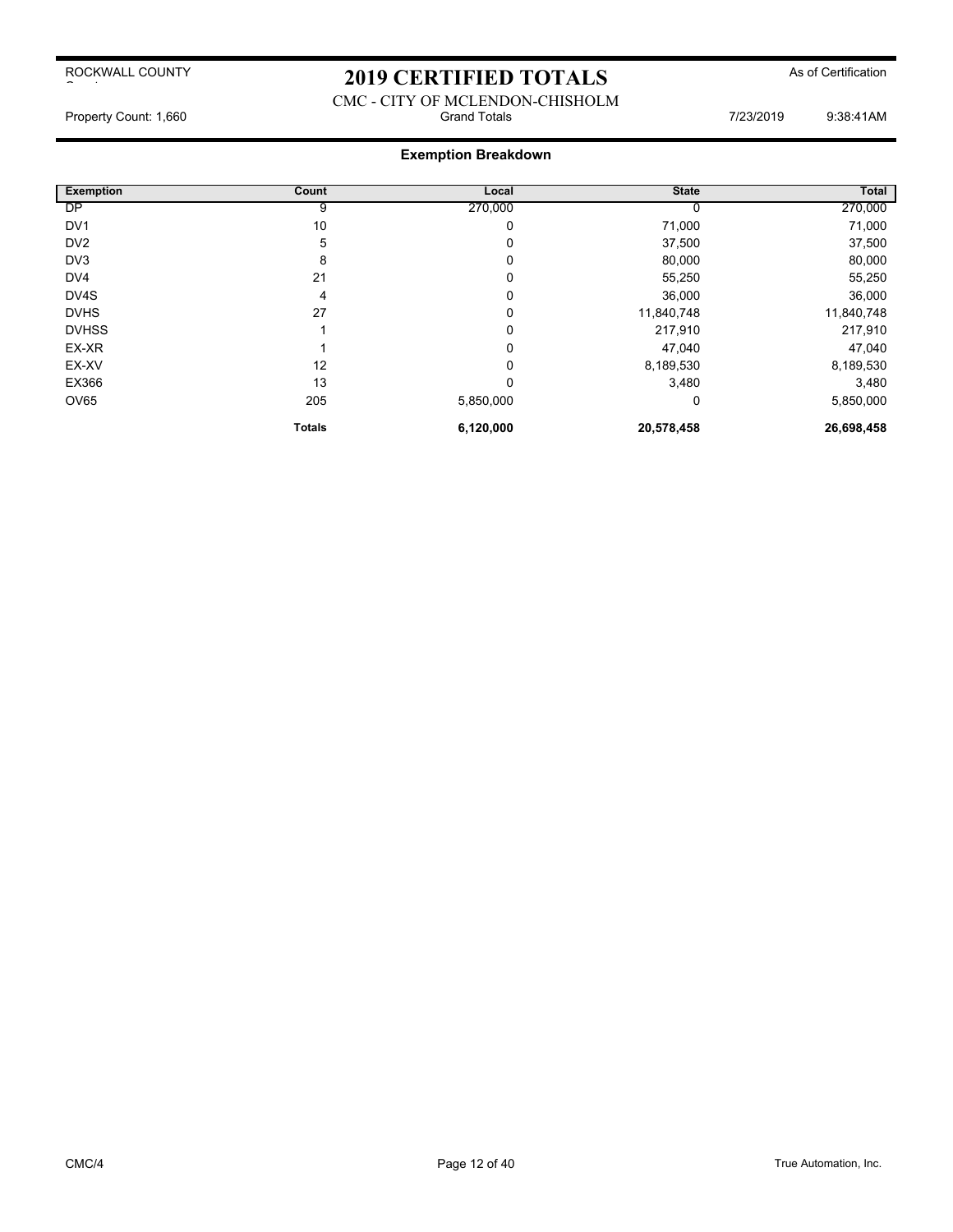## 2019 CERTIFIED TOTALS As of Certification

### CMC - CITY OF MCLENDON-CHISHOLM Property Count: 1,660 **State 1,000** Grand Totals **Count: 1,660** 9:38:41AM

| <b>Exemption</b> | Count         | Local     | <b>State</b> | <b>Total</b> |
|------------------|---------------|-----------|--------------|--------------|
| <b>DP</b>        | 9             | 270,000   |              | 270,000      |
| DV <sub>1</sub>  | 10            | 0         | 71,000       | 71,000       |
| DV <sub>2</sub>  | 5             | 0         | 37,500       | 37,500       |
| DV <sub>3</sub>  | 8             | 0         | 80,000       | 80,000       |
| DV <sub>4</sub>  | 21            | 0         | 55,250       | 55,250       |
| DV4S             | 4             | 0         | 36,000       | 36,000       |
| <b>DVHS</b>      | 27            | 0         | 11,840,748   | 11,840,748   |
| <b>DVHSS</b>     |               | 0         | 217,910      | 217,910      |
| EX-XR            |               | 0         | 47,040       | 47,040       |
| EX-XV            | 12            | 0         | 8,189,530    | 8,189,530    |
| EX366            | 13            | $\Omega$  | 3,480        | 3,480        |
| OV65             | 205           | 5,850,000 | 0            | 5,850,000    |
|                  | <b>Totals</b> | 6,120,000 | 20,578,458   | 26,698,458   |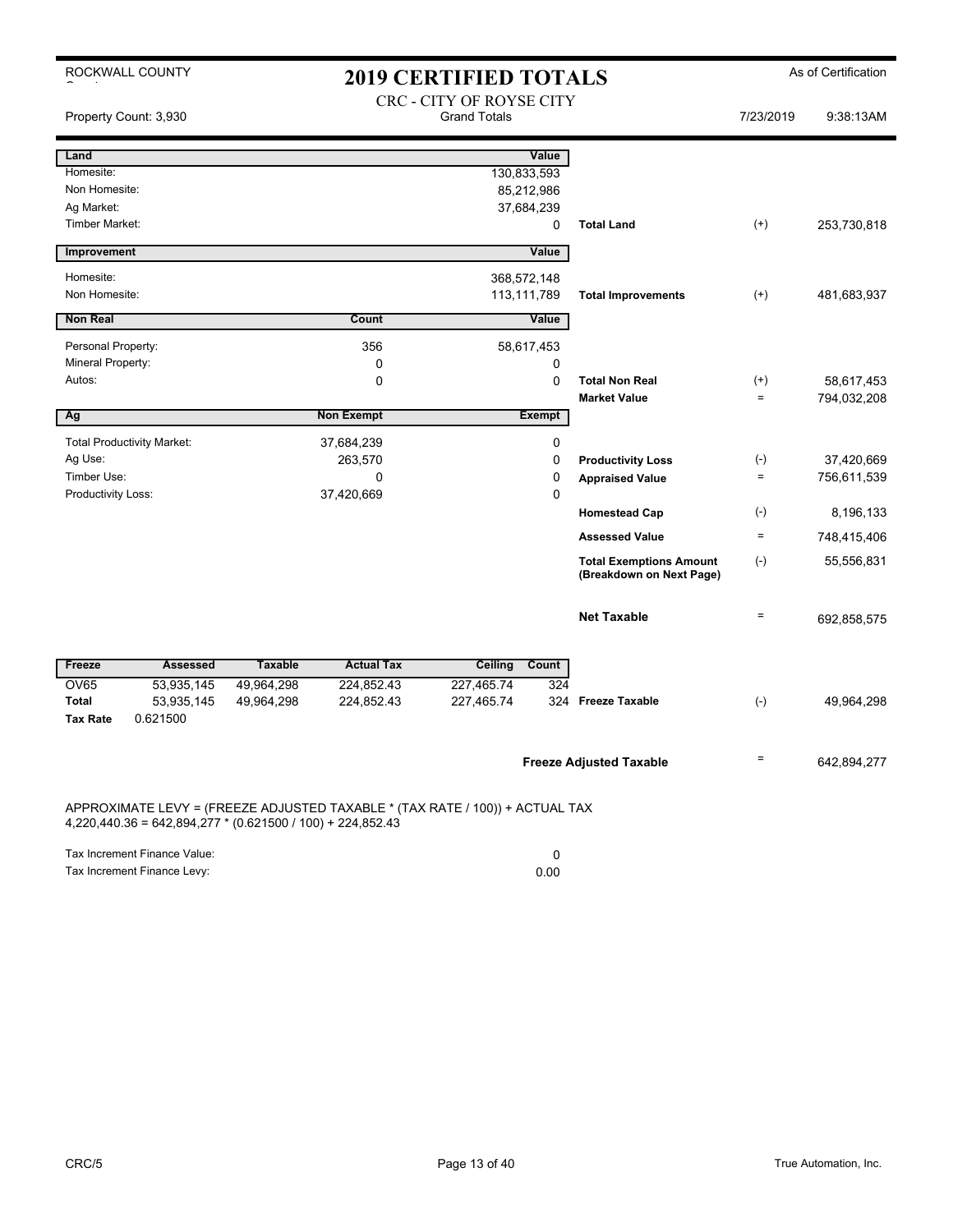| ROCKWALL COUNTY                                                                                                                              | <b>2019 CERTIFIED TOTALS</b> |                                                 |                   | As of Certification                                        |                    |             |
|----------------------------------------------------------------------------------------------------------------------------------------------|------------------------------|-------------------------------------------------|-------------------|------------------------------------------------------------|--------------------|-------------|
| Property Count: 3,930                                                                                                                        |                              | CRC - CITY OF ROYSE CITY<br><b>Grand Totals</b> |                   |                                                            | 7/23/2019          | 9:38:13AM   |
| Land                                                                                                                                         |                              |                                                 | Value             |                                                            |                    |             |
| Homesite:                                                                                                                                    |                              |                                                 | 130,833,593       |                                                            |                    |             |
| Non Homesite:                                                                                                                                |                              |                                                 | 85,212,986        |                                                            |                    |             |
| Ag Market:                                                                                                                                   |                              |                                                 | 37,684,239        |                                                            |                    |             |
| <b>Timber Market:</b>                                                                                                                        |                              |                                                 | 0                 | <b>Total Land</b>                                          | $^{(+)}$           | 253,730,818 |
| Improvement                                                                                                                                  |                              |                                                 | Value             |                                                            |                    |             |
| Homesite:                                                                                                                                    |                              |                                                 | 368,572,148       |                                                            |                    |             |
| Non Homesite:                                                                                                                                |                              |                                                 | 113,111,789       | <b>Total Improvements</b>                                  | $^{(+)}$           | 481,683,937 |
| <b>Non Real</b>                                                                                                                              |                              | Count                                           | Value             |                                                            |                    |             |
| Personal Property:                                                                                                                           |                              | 356                                             | 58,617,453        |                                                            |                    |             |
| Mineral Property:                                                                                                                            |                              | 0                                               | 0                 |                                                            |                    |             |
| Autos:                                                                                                                                       |                              | 0                                               | 0                 | <b>Total Non Real</b>                                      | $^{(+)}$           | 58,617,453  |
|                                                                                                                                              |                              |                                                 |                   | <b>Market Value</b>                                        | $\equiv$           | 794,032,208 |
| Ag                                                                                                                                           |                              | <b>Non Exempt</b>                               | <b>Exempt</b>     |                                                            |                    |             |
| <b>Total Productivity Market:</b>                                                                                                            |                              | 37,684,239                                      | 0                 |                                                            |                    |             |
| Ag Use:                                                                                                                                      |                              | 263,570                                         | 0                 | <b>Productivity Loss</b>                                   | $(\textnormal{-})$ | 37,420,669  |
| Timber Use:                                                                                                                                  |                              | 0                                               | 0                 | <b>Appraised Value</b>                                     | $\equiv$           | 756,611,539 |
| Productivity Loss:                                                                                                                           |                              | 37,420,669                                      | 0                 |                                                            |                    |             |
|                                                                                                                                              |                              |                                                 |                   | <b>Homestead Cap</b>                                       | $(\cdot)$          | 8,196,133   |
|                                                                                                                                              |                              |                                                 |                   | <b>Assessed Value</b>                                      | $\equiv$           | 748,415,406 |
|                                                                                                                                              |                              |                                                 |                   | <b>Total Exemptions Amount</b><br>(Breakdown on Next Page) | $(-)$              | 55,556,831  |
|                                                                                                                                              |                              |                                                 |                   | <b>Net Taxable</b>                                         | $\qquad \qquad =$  | 692,858,575 |
| Freeze<br><b>Assessed</b>                                                                                                                    | <b>Taxable</b>               | <b>Actual Tax</b>                               | Ceiling<br>Count  |                                                            |                    |             |
| <b>OV65</b><br>53,935,145                                                                                                                    | 49,964,298                   | 224,852.43                                      | 227,465.74<br>324 |                                                            |                    |             |
| <b>Total</b><br>53,935,145<br>0.621500<br><b>Tax Rate</b>                                                                                    | 49,964,298                   | 224,852.43                                      | 227,465.74        | 324 Freeze Taxable                                         | $(-)$              | 49,964,298  |
|                                                                                                                                              |                              |                                                 |                   | <b>Freeze Adjusted Taxable</b>                             | $\quad \  \  =$    | 642,894,277 |
| APPROXIMATE LEVY = (FREEZE ADJUSTED TAXABLE * (TAX RATE / 100)) + ACTUAL TAX<br>$4,220,440.36 = 642,894,277$ * (0.621500 / 100) + 224,852.43 |                              |                                                 |                   |                                                            |                    |             |

Tax Increment Finance Value: 0 Tax Increment Finance Levy: 0.00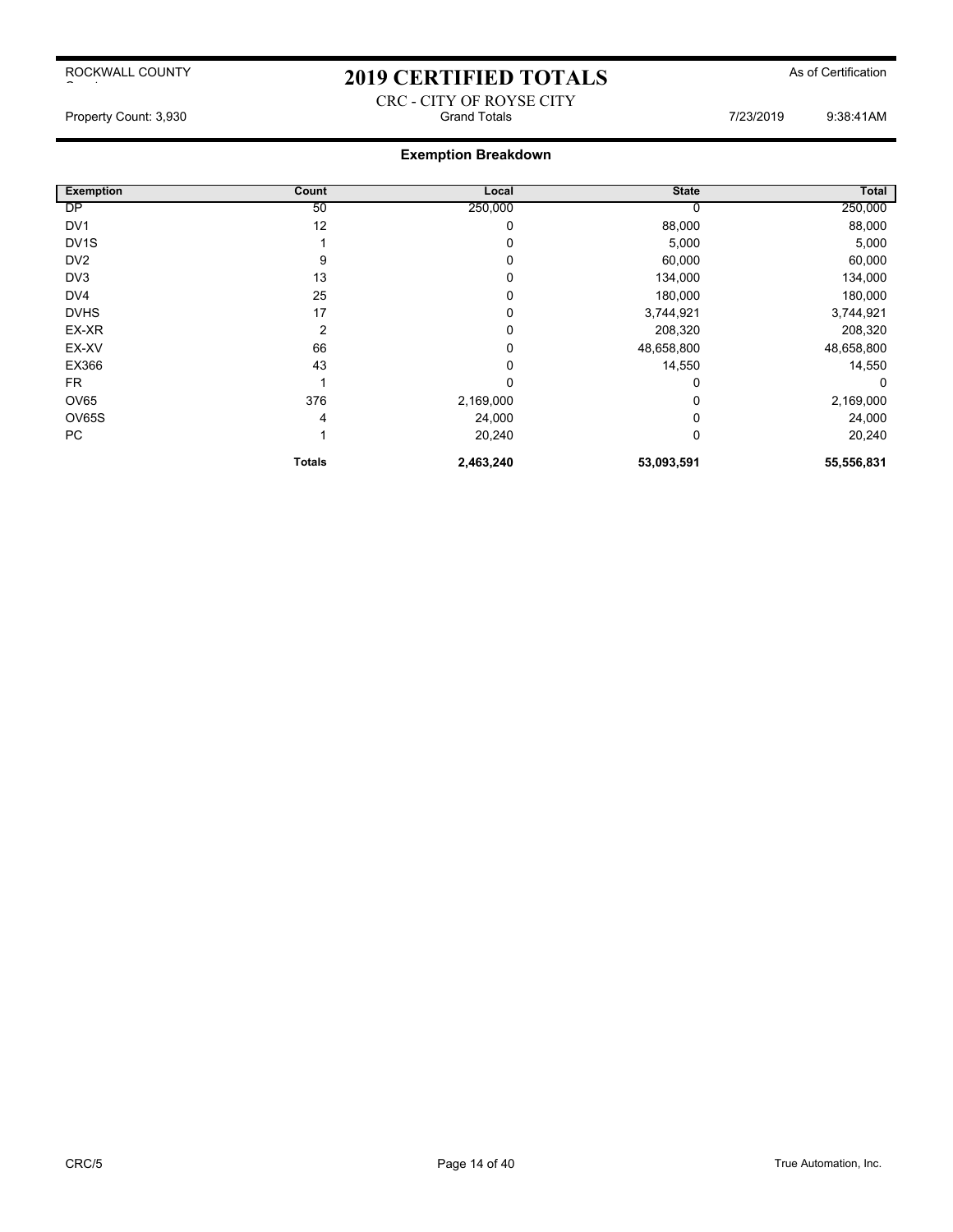## 2019 CERTIFIED TOTALS As of Certification

CRC - CITY OF ROYSE CITY Property Count: 3,930 **Strand Totals** Grand Totals **7/23/2019** 9:38:41AM

| <b>Exemption</b>  | Count         | Local        | <b>State</b> | Total      |
|-------------------|---------------|--------------|--------------|------------|
| DP                | 50            | 250,000      |              | 250,000    |
| DV <sub>1</sub>   | 12            | 0            | 88,000       | 88,000     |
| DV <sub>1</sub> S |               | 0            | 5,000        | 5,000      |
| DV <sub>2</sub>   | 9             | 0            | 60,000       | 60,000     |
| DV3               | 13            | 0            | 134,000      | 134,000    |
| DV4               | 25            | 0            | 180,000      | 180,000    |
| <b>DVHS</b>       | 17            | 0            | 3,744,921    | 3,744,921  |
| EX-XR             | 2             | 0            | 208,320      | 208,320    |
| EX-XV             | 66            | 0            | 48,658,800   | 48,658,800 |
| EX366             | 43            | 0            | 14,550       | 14,550     |
| <b>FR</b>         |               | $\mathbf{0}$ | 0            | 0          |
| OV65              | 376           | 2,169,000    |              | 2,169,000  |
| OV65S             | 4             | 24,000       |              | 24,000     |
| PC                |               | 20,240       | 0            | 20,240     |
|                   | <b>Totals</b> | 2,463,240    | 53,093,591   | 55,556,831 |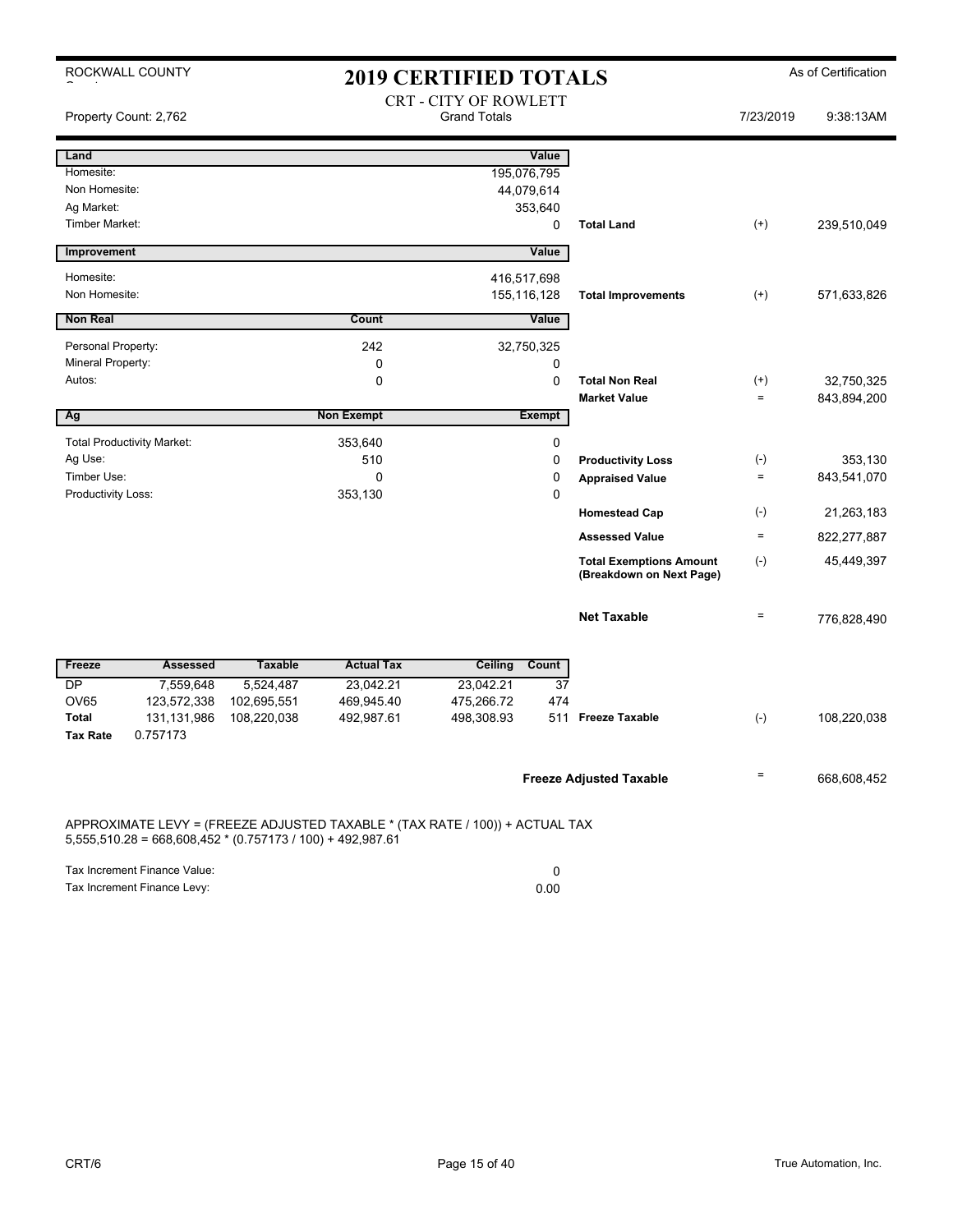| ROCKWALL COUNTY                                                                                                                              |                 |                |                   | <b>2019 CERTIFIED TOTALS</b>                 |               |                                                            |                   | As of Certification |
|----------------------------------------------------------------------------------------------------------------------------------------------|-----------------|----------------|-------------------|----------------------------------------------|---------------|------------------------------------------------------------|-------------------|---------------------|
| Property Count: 2,762                                                                                                                        |                 |                |                   | CRT - CITY OF ROWLETT<br><b>Grand Totals</b> |               |                                                            | 7/23/2019         | 9:38:13AM           |
| Land                                                                                                                                         |                 |                |                   |                                              | Value         |                                                            |                   |                     |
| Homesite:                                                                                                                                    |                 |                |                   |                                              | 195,076,795   |                                                            |                   |                     |
| Non Homesite:                                                                                                                                |                 |                |                   |                                              | 44,079,614    |                                                            |                   |                     |
| Ag Market:                                                                                                                                   |                 |                |                   |                                              | 353,640       |                                                            |                   |                     |
| <b>Timber Market:</b>                                                                                                                        |                 |                |                   |                                              | 0             | <b>Total Land</b>                                          | $(+)$             | 239,510,049         |
| Improvement                                                                                                                                  |                 |                |                   |                                              | Value         |                                                            |                   |                     |
| Homesite:                                                                                                                                    |                 |                |                   |                                              | 416,517,698   |                                                            |                   |                     |
| Non Homesite:                                                                                                                                |                 |                |                   |                                              | 155,116,128   | <b>Total Improvements</b>                                  | $^{(+)}$          | 571,633,826         |
| <b>Non Real</b>                                                                                                                              |                 |                | Count             |                                              | Value         |                                                            |                   |                     |
| Personal Property:                                                                                                                           |                 |                | 242               |                                              | 32,750,325    |                                                            |                   |                     |
| Mineral Property:                                                                                                                            |                 |                | 0                 |                                              | 0             |                                                            |                   |                     |
| Autos:                                                                                                                                       |                 |                | $\Omega$          |                                              | $\Omega$      | <b>Total Non Real</b>                                      | $^{(+)}$          | 32,750,325          |
|                                                                                                                                              |                 |                |                   |                                              |               | <b>Market Value</b>                                        | $\qquad \qquad =$ | 843,894,200         |
| Ag                                                                                                                                           |                 |                | <b>Non Exempt</b> |                                              | <b>Exempt</b> |                                                            |                   |                     |
| <b>Total Productivity Market:</b>                                                                                                            |                 |                | 353,640           |                                              | 0             |                                                            |                   |                     |
| Ag Use:                                                                                                                                      |                 |                | 510               |                                              | 0             | <b>Productivity Loss</b>                                   | $(\cdot)$         | 353,130             |
| Timber Use:                                                                                                                                  |                 |                | 0                 |                                              | 0             | <b>Appraised Value</b>                                     | $\equiv$          | 843,541,070         |
| Productivity Loss:                                                                                                                           |                 |                | 353,130           |                                              | 0             |                                                            |                   |                     |
|                                                                                                                                              |                 |                |                   |                                              |               | <b>Homestead Cap</b>                                       | $(\cdot)$         | 21,263,183          |
|                                                                                                                                              |                 |                |                   |                                              |               | <b>Assessed Value</b>                                      | $=$               | 822,277,887         |
|                                                                                                                                              |                 |                |                   |                                              |               | <b>Total Exemptions Amount</b><br>(Breakdown on Next Page) | $(-)$             | 45,449,397          |
|                                                                                                                                              |                 |                |                   |                                              |               | <b>Net Taxable</b>                                         | $\qquad \qquad =$ | 776,828,490         |
| Freeze                                                                                                                                       | <b>Assessed</b> | <b>Taxable</b> | <b>Actual Tax</b> | Ceiling                                      | Count         |                                                            |                   |                     |
| DP                                                                                                                                           | 7,559,648       | 5,524,487      | 23,042.21         | 23,042.21                                    | 37            |                                                            |                   |                     |
| OV65<br>123,572,338                                                                                                                          |                 | 102,695,551    | 469,945.40        | 475,266.72                                   | 474           |                                                            |                   |                     |
| <b>Total</b><br>131,131,986                                                                                                                  |                 | 108,220,038    | 492,987.61        | 498,308.93                                   |               | 511 Freeze Taxable                                         | $(-)$             | 108,220,038         |
| 0.757173<br><b>Tax Rate</b>                                                                                                                  |                 |                |                   |                                              |               |                                                            |                   |                     |
|                                                                                                                                              |                 |                |                   |                                              |               | <b>Freeze Adjusted Taxable</b>                             | $\equiv$          | 668,608,452         |
|                                                                                                                                              |                 |                |                   |                                              |               |                                                            |                   |                     |
| APPROXIMATE LEVY = (FREEZE ADJUSTED TAXABLE * (TAX RATE / 100)) + ACTUAL TAX<br>$5,555,510.28 = 668,608,452 * (0.757173 / 100) + 492,987.61$ |                 |                |                   |                                              |               |                                                            |                   |                     |

Tax Increment Finance Value: 0 Tax Increment Finance Levy: 0.00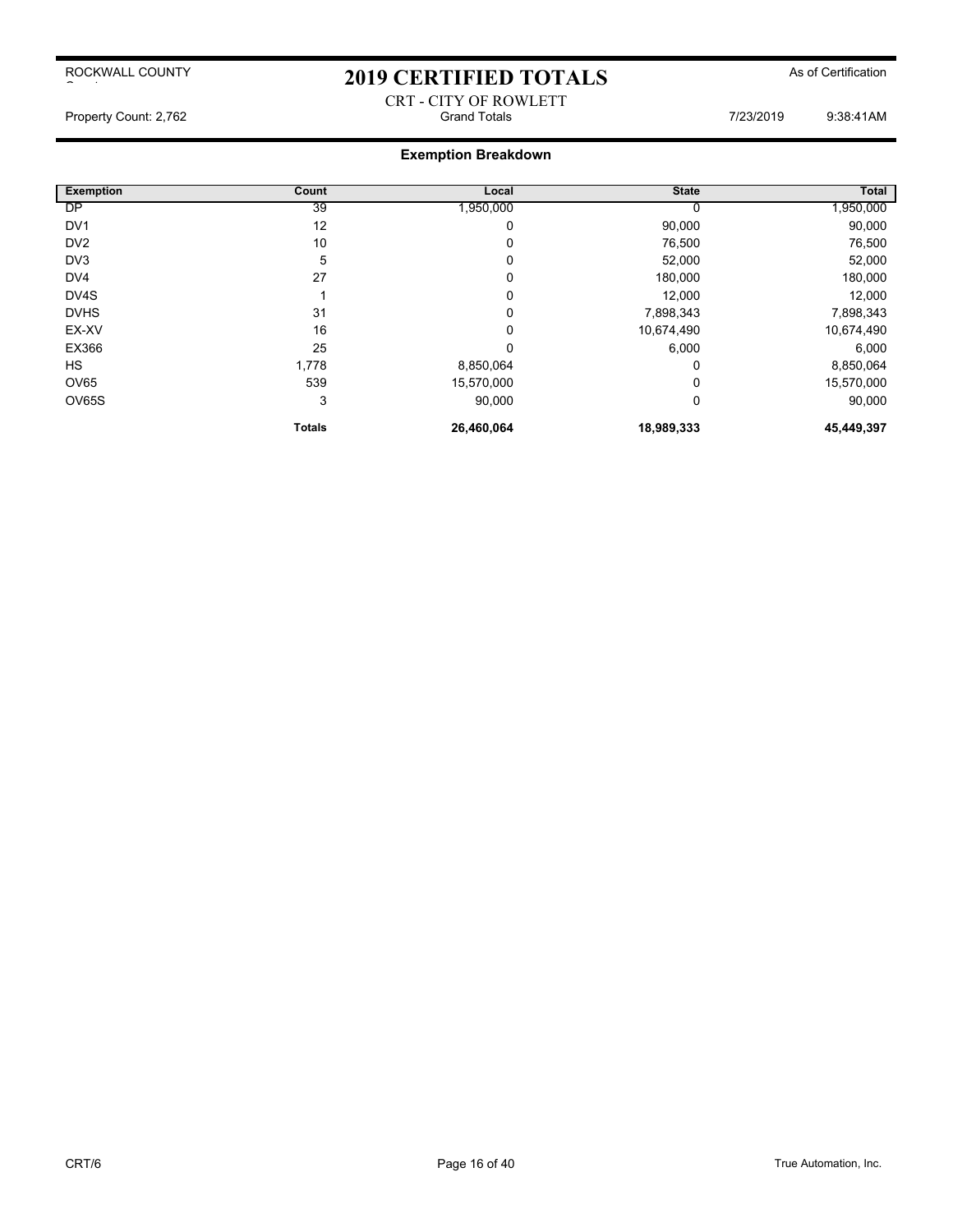# 2019 CERTIFIED TOTALS As of Certification CRT - CITY OF ROWLETT

Property Count: 2,762 **Accord 2018** Grand Totals **Count: 2,762** 9:38:41AM

| <b>Exemption</b> | Count         | Local      | <b>State</b> | <b>Total</b> |
|------------------|---------------|------------|--------------|--------------|
| <b>DP</b>        | 39            | 1,950,000  |              | 1,950,000    |
| DV <sub>1</sub>  | 12            | 0          | 90,000       | 90,000       |
| DV <sub>2</sub>  | 10            | 0          | 76,500       | 76,500       |
| DV <sub>3</sub>  | 5             | 0          | 52,000       | 52,000       |
| DV4              | 27            | 0          | 180,000      | 180,000      |
| DV4S             |               | 0          | 12,000       | 12,000       |
| <b>DVHS</b>      | 31            | 0          | 7,898,343    | 7,898,343    |
| EX-XV            | 16            | 0          | 10,674,490   | 10,674,490   |
| EX366            | 25            | 0          | 6,000        | 6,000        |
| HS               | 1,778         | 8,850,064  | 0            | 8,850,064    |
| OV65             | 539           | 15,570,000 |              | 15,570,000   |
| OV65S            | 3             | 90,000     | 0            | 90,000       |
|                  | <b>Totals</b> | 26,460,064 | 18,989,333   | 45,449,397   |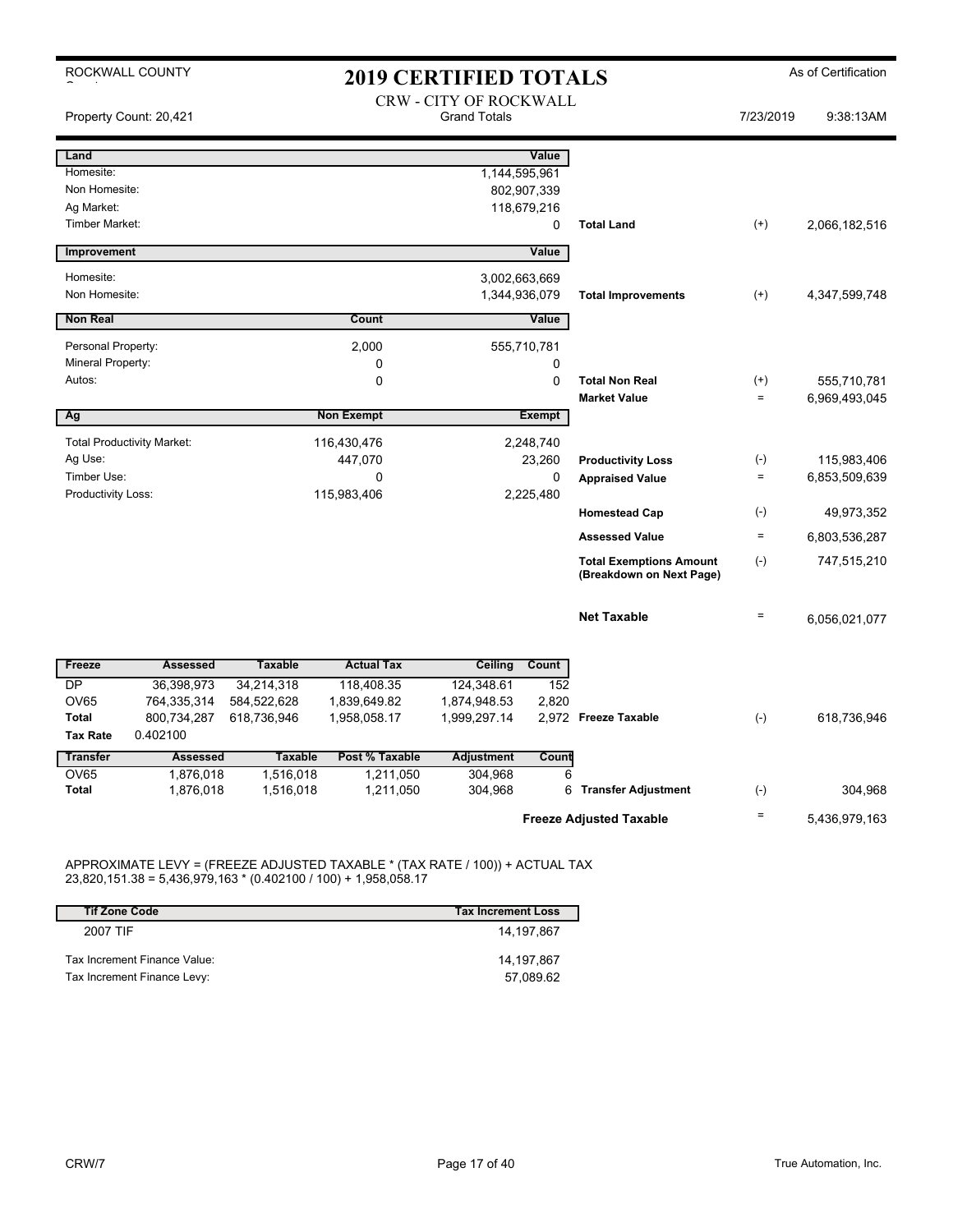| <b>2019 CERTIFIED TOTALS</b>                                                                                                                                     | As of Certification    |
|------------------------------------------------------------------------------------------------------------------------------------------------------------------|------------------------|
| <b>CRW - CITY OF ROCKWALL</b><br><b>Grand Totals</b><br>Property Count: 20,421                                                                                   | 9:38:13AM<br>7/23/2019 |
| Value<br>Land                                                                                                                                                    |                        |
| Homesite:<br>1,144,595,961                                                                                                                                       |                        |
| Non Homesite:<br>802,907,339                                                                                                                                     |                        |
| Ag Market:<br>118,679,216<br><b>Timber Market:</b><br><b>Total Land</b><br>0<br>$^{(+)}$                                                                         | 2,066,182,516          |
|                                                                                                                                                                  |                        |
| Value<br>Improvement                                                                                                                                             |                        |
| Homesite:<br>3,002,663,669                                                                                                                                       |                        |
| Non Homesite:<br>1,344,936,079<br><b>Total Improvements</b><br>$(+)$                                                                                             | 4,347,599,748          |
| <b>Non Real</b><br>Count<br>Value                                                                                                                                |                        |
| Personal Property:<br>2,000<br>555,710,781                                                                                                                       |                        |
| Mineral Property:<br>0<br>0                                                                                                                                      |                        |
| 0<br>0<br>Autos:<br><b>Total Non Real</b><br>$^{(+)}$                                                                                                            | 555,710,781            |
| <b>Market Value</b><br>$=$                                                                                                                                       | 6,969,493,045          |
| <b>Non Exempt</b><br><b>Exempt</b><br>Ag                                                                                                                         |                        |
| <b>Total Productivity Market:</b><br>116,430,476<br>2,248,740                                                                                                    |                        |
| Ag Use:<br>$(-)$<br>447,070<br>23,260<br><b>Productivity Loss</b>                                                                                                | 115,983,406            |
| Timber Use:<br>0<br>$=$<br>0<br><b>Appraised Value</b><br>Productivity Loss:<br>115,983,406<br>2,225,480                                                         | 6,853,509,639          |
| $(\cdot)$<br><b>Homestead Cap</b>                                                                                                                                | 49,973,352             |
| <b>Assessed Value</b><br>$\equiv$                                                                                                                                | 6,803,536,287          |
| $(-)$<br><b>Total Exemptions Amount</b><br>(Breakdown on Next Page)                                                                                              | 747,515,210            |
| <b>Net Taxable</b><br>$\qquad \qquad =$                                                                                                                          | 6,056,021,077          |
| <b>Actual Tax</b><br>Freeze<br><b>Assessed</b><br><b>Taxable</b><br>Ceiling<br>Count                                                                             |                        |
| 34,214,318<br><b>DP</b><br>36,398,973<br>118,408.35<br>124,348.61<br>152                                                                                         |                        |
| <b>OV65</b><br>764,335,314<br>584,522,628<br>1,839,649.82<br>2,820<br>1,874,948.53                                                                               |                        |
| 800,734,287<br>$(-)$<br><b>Total</b><br>618,736,946<br>1,958,058.17<br>1,999,297.14<br>2,972 Freeze Taxable                                                      | 618,736,946            |
| <b>Tax Rate</b><br>0.402100                                                                                                                                      |                        |
| <b>Transfer</b><br><b>Assessed</b><br>Post % Taxable<br><b>Adjustment</b><br><b>Taxable</b><br>Count<br><b>OV65</b><br>6                                         |                        |
|                                                                                                                                                                  |                        |
| 1,876,018<br>1,516,018<br>1,211,050<br>304,968<br>1,211,050<br>6<br><b>Total</b><br>1,876,018<br>1,516,018<br>304,968<br><b>Transfer Adjustment</b><br>$(\cdot)$ | 304,968                |

### APPROXIMATE LEVY = (FREEZE ADJUSTED TAXABLE \* (TAX RATE / 100)) + ACTUAL TAX 23,820,151.38 = 5,436,979,163 \* (0.402100 / 100) + 1,958,058.17

| <b>Tif Zone Code</b>         | <b>Tax Increment Loss</b> |
|------------------------------|---------------------------|
| 2007 TIF                     | 14,197,867                |
| Tax Increment Finance Value: | 14.197.867                |
| Tax Increment Finance Levy:  | 57,089.62                 |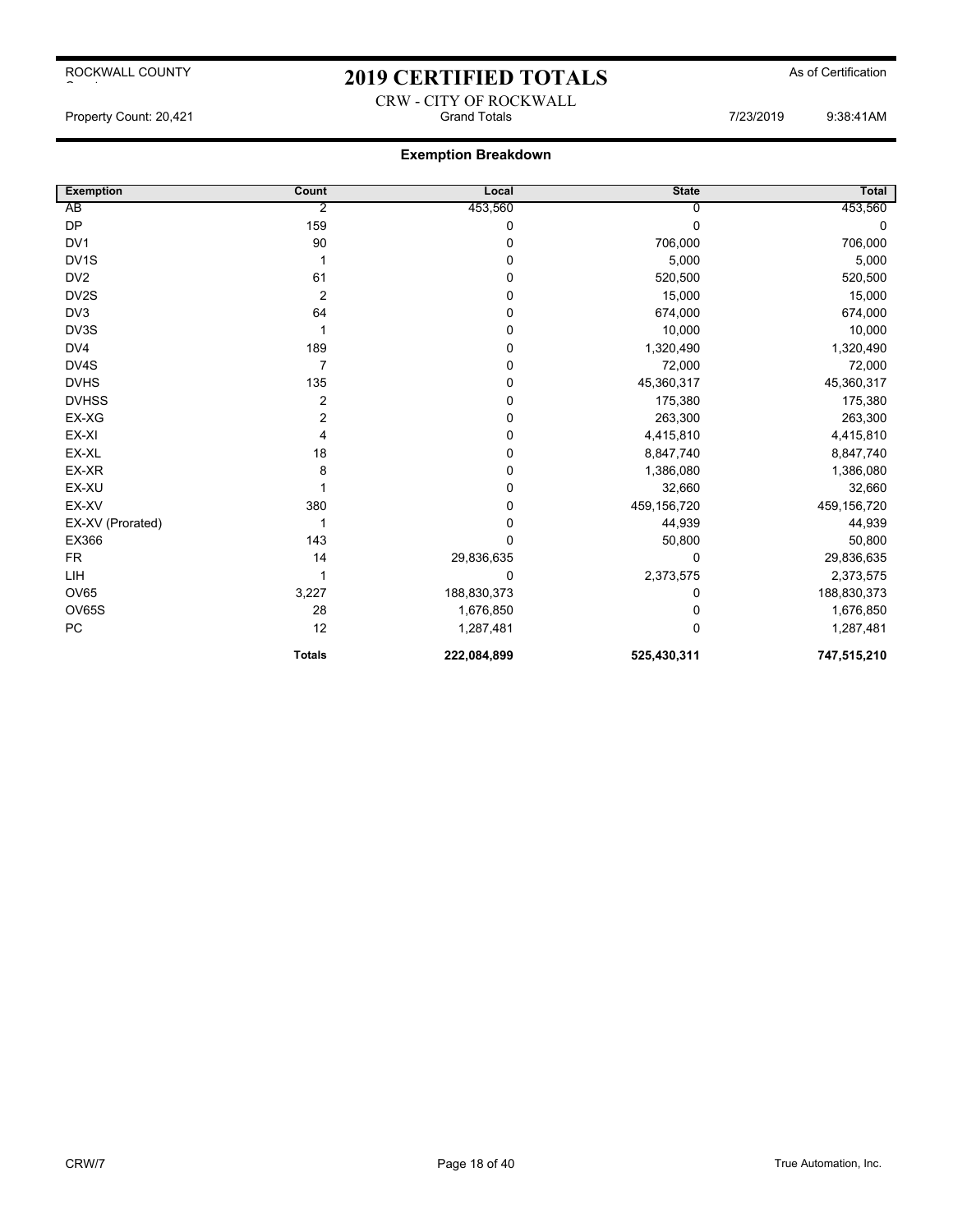# 2019 CERTIFIED TOTALS As of Certification CRW - CITY OF ROCKWALL

Property Count: 20,421 **Fig. 2008**:41AM Grand Totals **61 Count: 2008:41AM** Grand Totals **7/23/2019** 9:38:41AM

| <b>Exemption</b>  | Count          | Local       | <b>State</b> | <b>Total</b> |
|-------------------|----------------|-------------|--------------|--------------|
| AB                | 2              | 453,560     |              | 453,560      |
| <b>DP</b>         | 159            | $\mathbf 0$ | $\Omega$     | 0            |
| DV <sub>1</sub>   | 90             | 0           | 706,000      | 706,000      |
| DV <sub>1</sub> S |                | $\mathbf 0$ | 5,000        | 5,000        |
| DV <sub>2</sub>   | 61             | $\mathbf 0$ | 520,500      | 520,500      |
| DV2S              | $\overline{2}$ | 0           | 15,000       | 15,000       |
| DV3               | 64             | $\mathbf 0$ | 674,000      | 674,000      |
| DV3S              |                | $\mathbf 0$ | 10,000       | 10,000       |
| DV4               | 189            | $\mathbf 0$ | 1,320,490    | 1,320,490    |
| DV4S              | 7              | $\mathbf 0$ | 72,000       | 72,000       |
| <b>DVHS</b>       | 135            | $\mathbf 0$ | 45,360,317   | 45,360,317   |
| <b>DVHSS</b>      | 2              | $\mathbf 0$ | 175,380      | 175,380      |
| EX-XG             | 2              | $\mathbf 0$ | 263,300      | 263,300      |
| EX-XI             | 4              | $\mathbf 0$ | 4,415,810    | 4,415,810    |
| EX-XL             | 18             | $\mathbf 0$ | 8,847,740    | 8,847,740    |
| EX-XR             | 8              | $\mathbf 0$ | 1,386,080    | 1,386,080    |
| EX-XU             |                | $\mathbf 0$ | 32,660       | 32,660       |
| EX-XV             | 380            | $\pmb{0}$   | 459,156,720  | 459,156,720  |
| EX-XV (Prorated)  |                | 0           | 44,939       | 44,939       |
| EX366             | 143            | $\mathbf 0$ | 50,800       | 50,800       |
| <b>FR</b>         | 14             | 29,836,635  | 0            | 29,836,635   |
| LIH               |                | 0           | 2,373,575    | 2,373,575    |
| <b>OV65</b>       | 3,227          | 188,830,373 | 0            | 188,830,373  |
| <b>OV65S</b>      | 28             | 1,676,850   | 0            | 1,676,850    |
| PC                | 12             | 1,287,481   | $\Omega$     | 1,287,481    |
|                   | <b>Totals</b>  | 222,084,899 | 525,430,311  | 747,515,210  |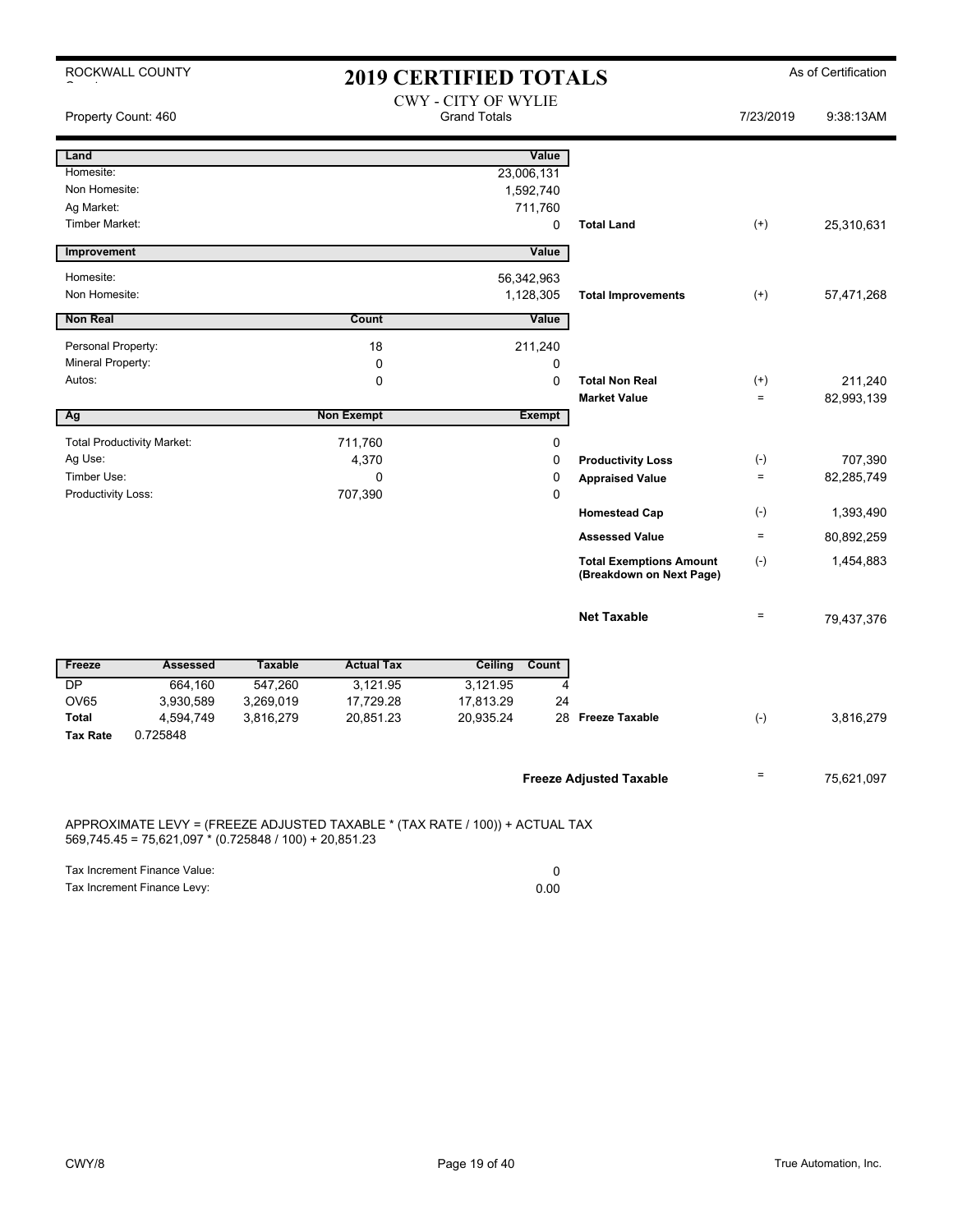|                                                                                                                                        | ROCKWALL COUNTY                   |                |                   | <b>2019 CERTIFIED TOTALS</b>                      |               |                                                            |                    | As of Certification |
|----------------------------------------------------------------------------------------------------------------------------------------|-----------------------------------|----------------|-------------------|---------------------------------------------------|---------------|------------------------------------------------------------|--------------------|---------------------|
| Property Count: 460                                                                                                                    |                                   |                |                   | <b>CWY - CITY OF WYLIE</b><br><b>Grand Totals</b> |               |                                                            | 7/23/2019          | 9:38:13AM           |
| Land                                                                                                                                   |                                   |                |                   |                                                   | Value         |                                                            |                    |                     |
| Homesite:                                                                                                                              |                                   |                |                   | 23,006,131                                        |               |                                                            |                    |                     |
| Non Homesite:                                                                                                                          |                                   |                |                   |                                                   | 1,592,740     |                                                            |                    |                     |
| Ag Market:                                                                                                                             |                                   |                |                   |                                                   | 711,760       |                                                            |                    |                     |
| <b>Timber Market:</b>                                                                                                                  |                                   |                |                   |                                                   | 0             | <b>Total Land</b>                                          | $(+)$              | 25,310,631          |
| Improvement                                                                                                                            |                                   |                |                   |                                                   | Value         |                                                            |                    |                     |
| Homesite:                                                                                                                              |                                   |                |                   | 56,342,963                                        |               |                                                            |                    |                     |
| Non Homesite:                                                                                                                          |                                   |                |                   |                                                   | 1,128,305     | <b>Total Improvements</b>                                  | $^{(+)}$           | 57,471,268          |
| <b>Non Real</b>                                                                                                                        |                                   |                | Count             |                                                   | Value         |                                                            |                    |                     |
| Personal Property:                                                                                                                     |                                   |                | 18                |                                                   | 211,240       |                                                            |                    |                     |
| Mineral Property:                                                                                                                      |                                   |                | 0                 |                                                   | 0             |                                                            |                    |                     |
| Autos:                                                                                                                                 |                                   |                | 0                 |                                                   | 0             | <b>Total Non Real</b>                                      | $^{(+)}$           | 211,240             |
|                                                                                                                                        |                                   |                |                   |                                                   |               | <b>Market Value</b>                                        | $\qquad \qquad =$  | 82,993,139          |
| Ag                                                                                                                                     |                                   |                | <b>Non Exempt</b> |                                                   | <b>Exempt</b> |                                                            |                    |                     |
|                                                                                                                                        | <b>Total Productivity Market:</b> |                | 711,760           |                                                   | 0             |                                                            |                    |                     |
| Ag Use:                                                                                                                                |                                   |                | 4,370             |                                                   | 0             | <b>Productivity Loss</b>                                   | $(\textnormal{-})$ | 707,390             |
| Timber Use:                                                                                                                            |                                   |                | $\mathbf 0$       |                                                   | 0             | <b>Appraised Value</b>                                     | $\equiv$           | 82,285,749          |
| Productivity Loss:                                                                                                                     |                                   |                | 707,390           |                                                   | 0             |                                                            |                    |                     |
|                                                                                                                                        |                                   |                |                   |                                                   |               | <b>Homestead Cap</b>                                       | $(\cdot)$          | 1,393,490           |
|                                                                                                                                        |                                   |                |                   |                                                   |               | <b>Assessed Value</b>                                      | $=$                | 80,892,259          |
|                                                                                                                                        |                                   |                |                   |                                                   |               | <b>Total Exemptions Amount</b><br>(Breakdown on Next Page) | $(-)$              | 1,454,883           |
|                                                                                                                                        |                                   |                |                   |                                                   |               | <b>Net Taxable</b>                                         | $\qquad \qquad =$  | 79,437,376          |
| Freeze                                                                                                                                 | <b>Assessed</b>                   | <b>Taxable</b> | <b>Actual Tax</b> | Ceiling                                           | Count         |                                                            |                    |                     |
| <b>DP</b>                                                                                                                              | 664,160                           | 547,260        | 3,121.95          | 3,121.95                                          | 4             |                                                            |                    |                     |
| <b>OV65</b>                                                                                                                            | 3,930,589                         | 3,269,019      | 17,729.28         | 17,813.29                                         | 24            |                                                            |                    |                     |
| <b>Total</b>                                                                                                                           | 4,594,749                         | 3,816,279      | 20,851.23         | 20,935.24                                         |               | 28 Freeze Taxable                                          | $(-)$              | 3,816,279           |
| <b>Tax Rate</b>                                                                                                                        | 0.725848                          |                |                   |                                                   |               |                                                            |                    |                     |
|                                                                                                                                        |                                   |                |                   |                                                   |               | <b>Freeze Adjusted Taxable</b>                             | $=$                | 75,621,097          |
| APPROXIMATE LEVY = (FREEZE ADJUSTED TAXABLE * (TAX RATE / 100)) + ACTUAL TAX<br>569 745 45 = 75 621 097 * (0 725848 / 100) + 20 851 23 |                                   |                |                   |                                                   |               |                                                            |                    |                     |

569,745.45 = 75,621,097 \* (0.725848 / 100) + 20,851.23

| Tax Increment Finance Value: |      |
|------------------------------|------|
| Tax Increment Finance Levy:  | 0.00 |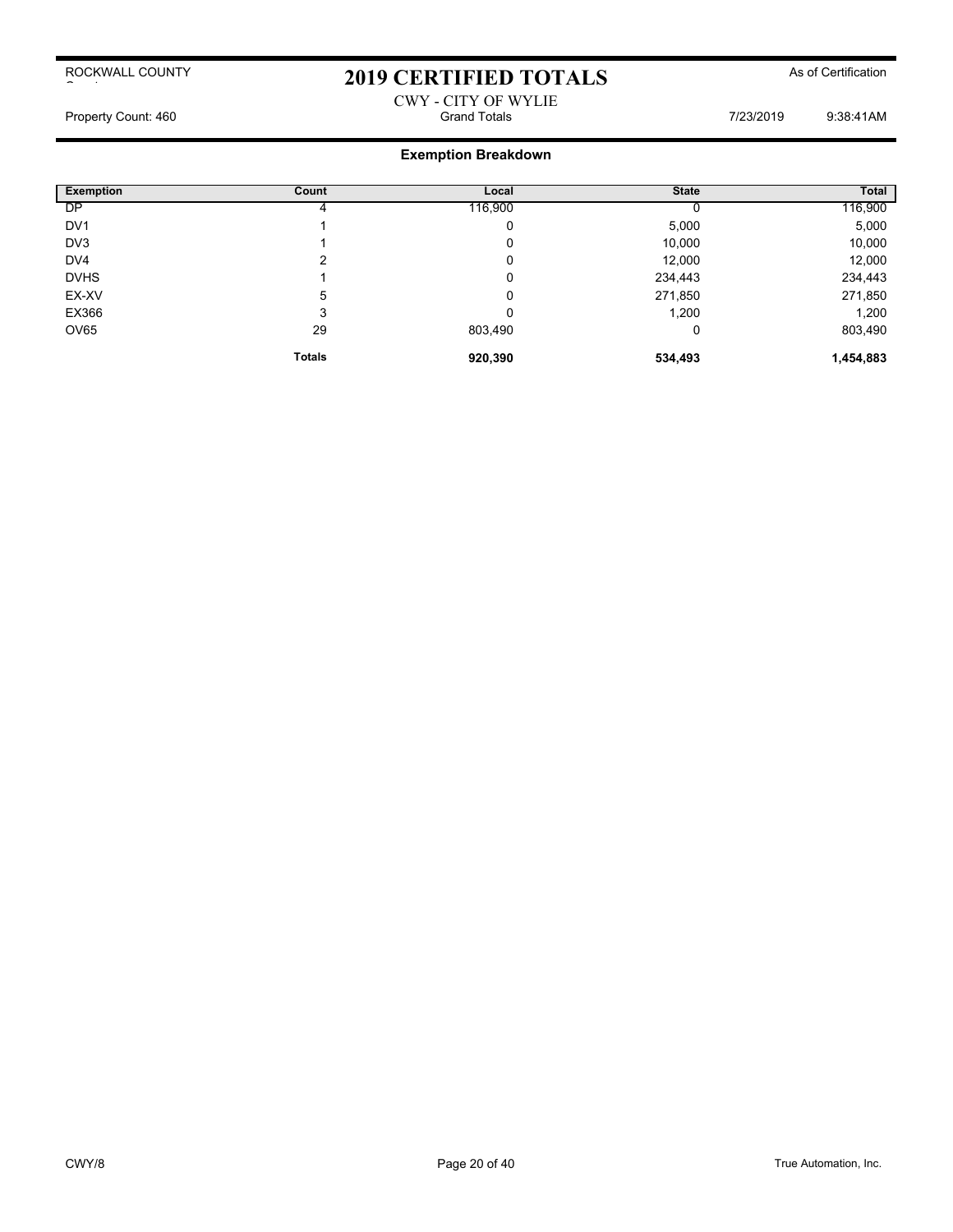## 2019 CERTIFIED TOTALS As of Certification

## CWY - CITY OF WYLIE Property Count: 460 **Fig. 2018** Grand Totals **Count: 460** 9:38:41AM

| <b>Exemption</b> | Count         | Local   | <b>State</b> | Total     |
|------------------|---------------|---------|--------------|-----------|
| <b>DP</b>        |               | 116,900 |              | 116,900   |
| DV <sub>1</sub>  |               | 0       | 5,000        | 5,000     |
| DV3              |               | 0       | 10,000       | 10,000    |
| DV <sub>4</sub>  | າ             | 0       | 12,000       | 12,000    |
| <b>DVHS</b>      |               | 0       | 234,443      | 234,443   |
| EX-XV            | 5             | 0       | 271,850      | 271,850   |
| EX366            | 3             | 0       | 1,200        | 1,200     |
| OV65             | 29            | 803,490 | 0            | 803,490   |
|                  | <b>Totals</b> | 920,390 | 534,493      | 1,454,883 |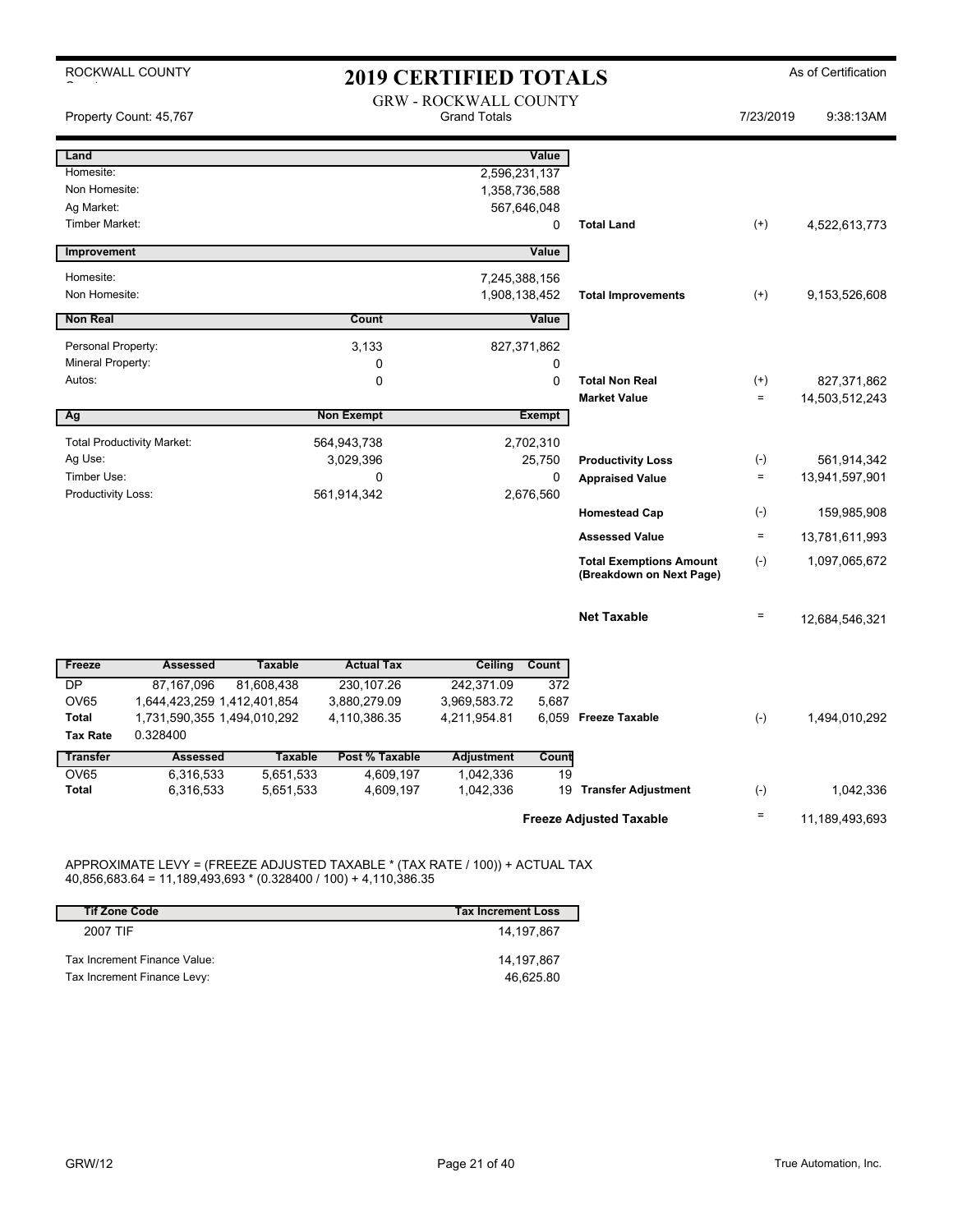| ROCKWALL COUNTY                                                                     | <b>2019 CERTIFIED TOTALS</b> |                                                     |               |                                                            | As of Certification  |                               |
|-------------------------------------------------------------------------------------|------------------------------|-----------------------------------------------------|---------------|------------------------------------------------------------|----------------------|-------------------------------|
| Property Count: 45,767                                                              |                              | <b>GRW - ROCKWALL COUNTY</b><br><b>Grand Totals</b> |               |                                                            | 7/23/2019            | 9:38:13AM                     |
| Land                                                                                |                              |                                                     | Value         |                                                            |                      |                               |
| Homesite:<br>Non Homesite:                                                          |                              | 2,596,231,137<br>1,358,736,588                      |               |                                                            |                      |                               |
| Ag Market:                                                                          |                              |                                                     | 567,646,048   |                                                            |                      |                               |
| Timber Market:                                                                      |                              |                                                     | 0             | <b>Total Land</b>                                          | $(+)$                | 4,522,613,773                 |
| Improvement                                                                         |                              |                                                     | Value         |                                                            |                      |                               |
| Homesite:                                                                           |                              | 7,245,388,156                                       |               |                                                            |                      |                               |
| Non Homesite:                                                                       |                              | 1,908,138,452                                       |               | <b>Total Improvements</b>                                  | $(+)$                | 9,153,526,608                 |
| <b>Non Real</b>                                                                     | Count                        |                                                     | Value         |                                                            |                      |                               |
| Personal Property:                                                                  | 3,133                        |                                                     | 827,371,862   |                                                            |                      |                               |
| Mineral Property:                                                                   | 0                            |                                                     | 0             |                                                            |                      |                               |
| Autos:                                                                              | $\mathbf 0$                  |                                                     | 0             | <b>Total Non Real</b><br><b>Market Value</b>               | $^{(+)}$<br>$\equiv$ | 827,371,862<br>14,503,512,243 |
| Ag                                                                                  | <b>Non Exempt</b>            |                                                     | <b>Exempt</b> |                                                            |                      |                               |
| <b>Total Productivity Market:</b>                                                   | 564,943,738                  |                                                     | 2,702,310     |                                                            |                      |                               |
| Ag Use:                                                                             | 3,029,396                    |                                                     | 25,750        | <b>Productivity Loss</b>                                   | $(\cdot)$            | 561,914,342                   |
| Timber Use:                                                                         | 0                            |                                                     | 0             | <b>Appraised Value</b>                                     | $\equiv$             | 13,941,597,901                |
| Productivity Loss:                                                                  | 561,914,342                  |                                                     | 2,676,560     | <b>Homestead Cap</b>                                       | $(-)$                | 159,985,908                   |
|                                                                                     |                              |                                                     |               | <b>Assessed Value</b>                                      | $\equiv$             |                               |
|                                                                                     |                              |                                                     |               |                                                            |                      | 13,781,611,993                |
|                                                                                     |                              |                                                     |               | <b>Total Exemptions Amount</b><br>(Breakdown on Next Page) | $(-)$                | 1,097,065,672                 |
|                                                                                     |                              |                                                     |               |                                                            |                      |                               |
|                                                                                     |                              |                                                     |               | <b>Net Taxable</b>                                         | $\equiv$             | 12,684,546,321                |
|                                                                                     |                              |                                                     |               |                                                            |                      |                               |
| <b>Taxable</b><br>Freeze<br><b>Assessed</b>                                         | <b>Actual Tax</b>            | Ceiling                                             | Count         |                                                            |                      |                               |
| <b>DP</b><br>87,167,096<br>81,608,438<br><b>OV65</b><br>1,644,423,259 1,412,401,854 | 230,107.26<br>3,880,279.09   | 242,371.09<br>3,969,583.72                          | 372<br>5,687  |                                                            |                      |                               |
| 1,731,590,355 1,494,010,292<br>Total                                                | 4,110,386.35                 | 4,211,954.81                                        |               | 6,059 Freeze Taxable                                       | $(-)$                | 1,494,010,292                 |
| <b>Tax Rate</b><br>0.328400                                                         |                              |                                                     |               |                                                            |                      |                               |
| <b>Transfer</b><br><b>Assessed</b><br><b>Taxable</b>                                | Post % Taxable               | <b>Adjustment</b>                                   | Count         |                                                            |                      |                               |
| <b>OV65</b><br>6,316,533<br>5,651,533<br>6,316,533<br>5,651,533<br><b>Total</b>     | 4,609,197<br>4,609,197       | 1,042,336<br>1,042,336                              | 19            | 19 Transfer Adjustment                                     | $(\cdot)$            | 1,042,336                     |
|                                                                                     |                              |                                                     |               | <b>Freeze Adjusted Taxable</b>                             | $\equiv$             | 11,189,493,693                |

APPROXIMATE LEVY = (FREEZE ADJUSTED TAXABLE \* (TAX RATE / 100)) + ACTUAL TAX 40,856,683.64 = 11,189,493,693 \* (0.328400 / 100) + 4,110,386.35

| <b>Tif Zone Code</b>         | <b>Tax Increment Loss</b> |
|------------------------------|---------------------------|
| 2007 TIF                     | 14.197.867                |
| Tax Increment Finance Value: | 14.197.867                |
| Tax Increment Finance Levy:  | 46.625.80                 |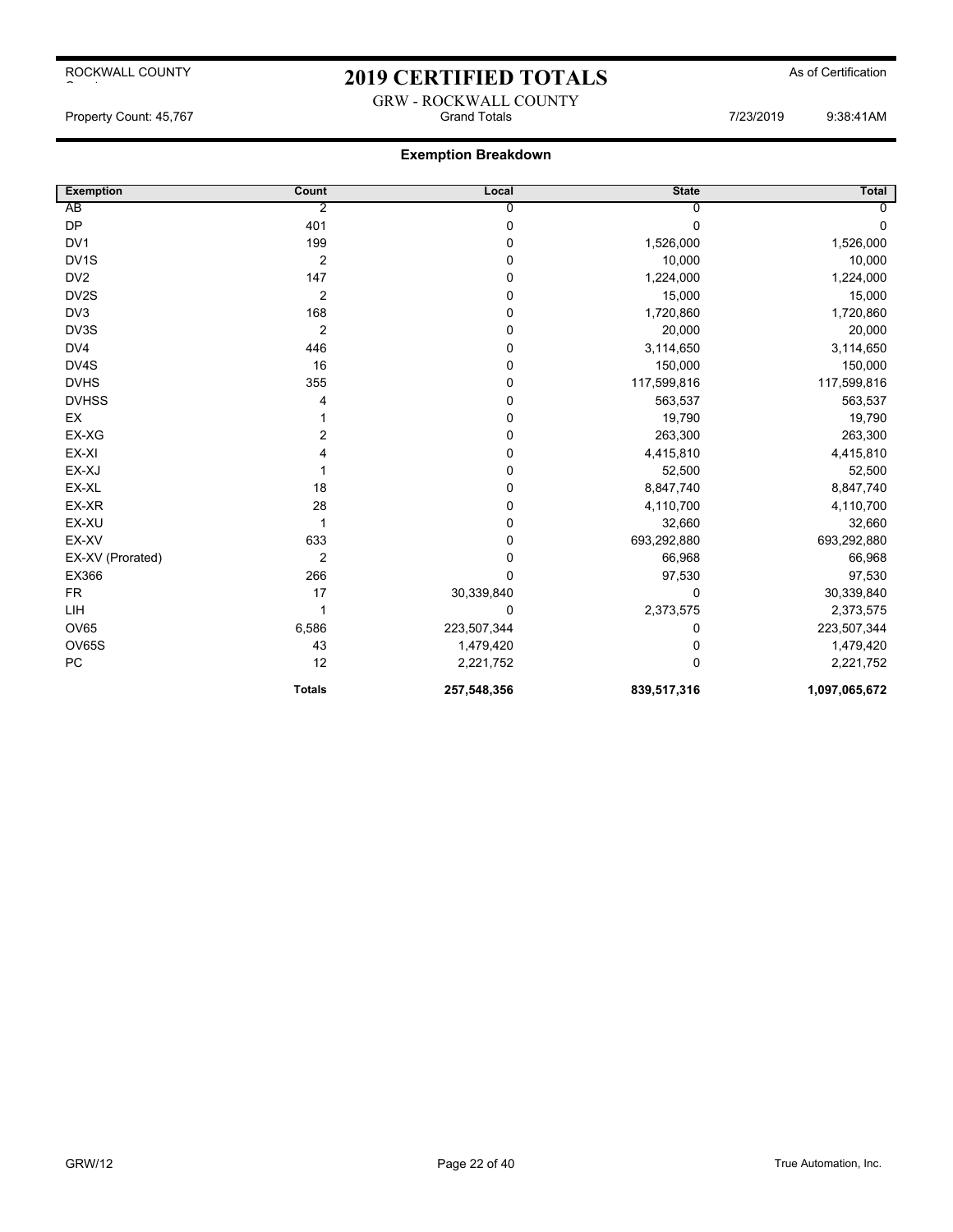## 2019 CERTIFIED TOTALS As of Certification

### **Exemption Breakdown**

| <b>Exemption</b>  | Count            | Local       | <b>State</b> | Total         |
|-------------------|------------------|-------------|--------------|---------------|
| AB                | 2                | 0           |              | 0             |
| <b>DP</b>         | 401              | 0           | 0            | 0             |
| DV1               | 199              | 0           | 1,526,000    | 1,526,000     |
| DV <sub>1</sub> S | $\overline{2}$   | 0           | 10,000       | 10,000        |
| DV <sub>2</sub>   | 147              | 0           | 1,224,000    | 1,224,000     |
| DV2S              | $\boldsymbol{2}$ | 0           | 15,000       | 15,000        |
| DV3               | 168              | 0           | 1,720,860    | 1,720,860     |
| DV3S              | $\overline{2}$   | 0           | 20,000       | 20,000        |
| DV4               | 446              | 0           | 3,114,650    | 3,114,650     |
| DV4S              | 16               | 0           | 150,000      | 150,000       |
| <b>DVHS</b>       | 355              | 0           | 117,599,816  | 117,599,816   |
| <b>DVHSS</b>      | 4                | 0           | 563,537      | 563,537       |
| EX                |                  | 0           | 19,790       | 19,790        |
| EX-XG             | $\overline{2}$   | 0           | 263,300      | 263,300       |
| EX-XI             | Δ                | 0           | 4,415,810    | 4,415,810     |
| EX-XJ             |                  | 0           | 52,500       | 52,500        |
| EX-XL             | 18               | 0           | 8,847,740    | 8,847,740     |
| EX-XR             | 28               | 0           | 4,110,700    | 4,110,700     |
| EX-XU             |                  | 0           | 32,660       | 32,660        |
| EX-XV             | 633              | 0           | 693,292,880  | 693,292,880   |
| EX-XV (Prorated)  | $\overline{2}$   | 0           | 66,968       | 66,968        |
| EX366             | 266              | 0           | 97,530       | 97,530        |
| <b>FR</b>         | 17               | 30,339,840  | $\Omega$     | 30,339,840    |
| LIH               | 1                | 0           | 2,373,575    | 2,373,575     |
| <b>OV65</b>       | 6,586            | 223,507,344 | 0            | 223,507,344   |
| OV65S             | 43               | 1,479,420   | 0            | 1,479,420     |
| PC                | 12               | 2,221,752   | 0            | 2,221,752     |
|                   | <b>Totals</b>    | 257,548,356 | 839,517,316  | 1,097,065,672 |

GRW - ROCKWALL COUNTY Property Count: 45,767 Grand Totals 7/23/2019 9:38:41AM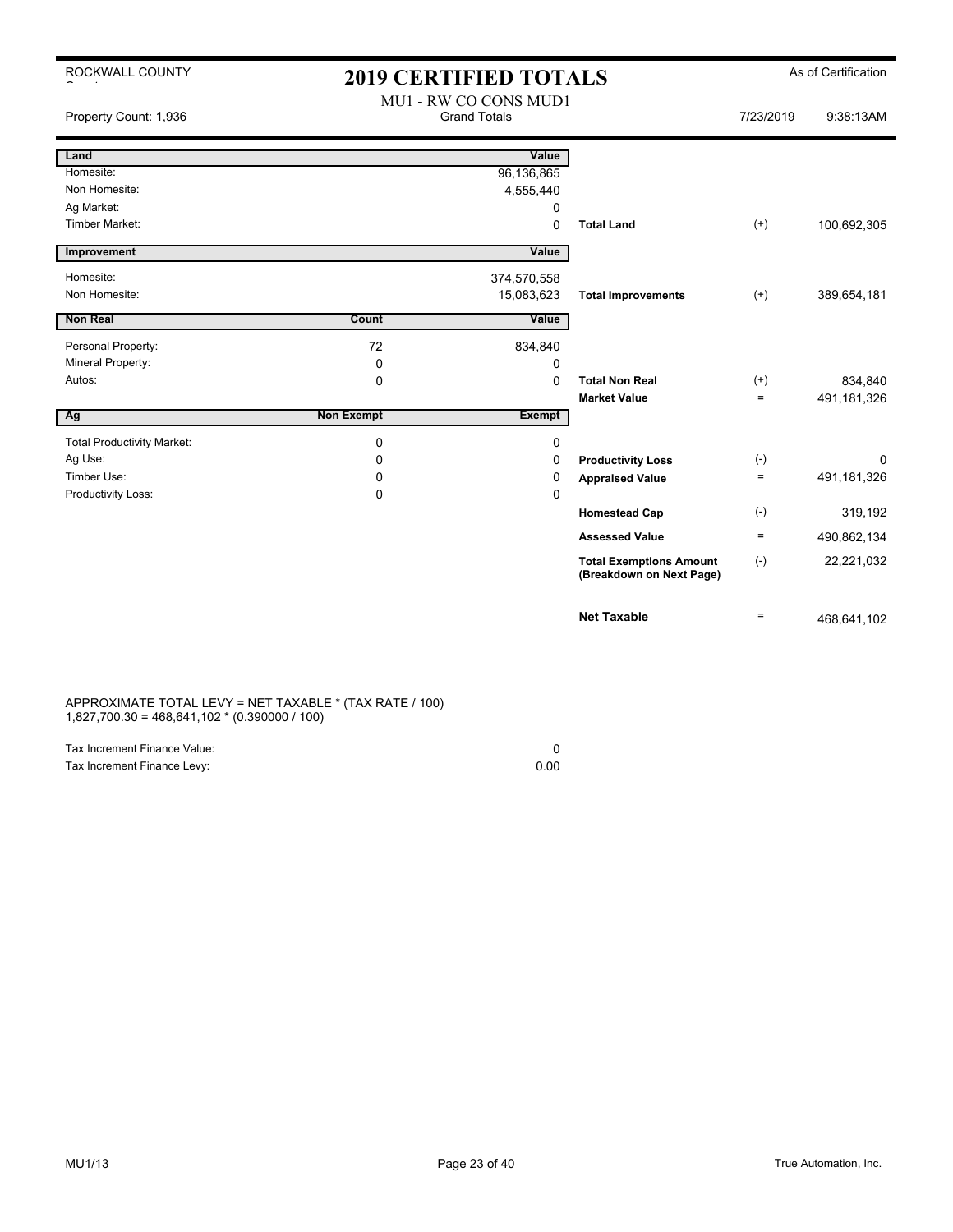| ROCKWALL COUNTY                   |                   | <b>2019 CERTIFIED TOTALS</b>                 |                                                            |              | As of Certification |
|-----------------------------------|-------------------|----------------------------------------------|------------------------------------------------------------|--------------|---------------------|
| Property Count: 1,936             |                   | MU1 - RW CO CONS MUD1<br><b>Grand Totals</b> |                                                            | 7/23/2019    | 9:38:13AM           |
| Land                              |                   | Value                                        |                                                            |              |                     |
| Homesite:                         |                   | 96,136,865                                   |                                                            |              |                     |
| Non Homesite:                     |                   | 4,555,440                                    |                                                            |              |                     |
| Ag Market:                        |                   | $\Omega$                                     |                                                            |              |                     |
| <b>Timber Market:</b>             |                   | $\Omega$                                     | <b>Total Land</b>                                          | $^{(+)}$     | 100,692,305         |
| Improvement                       |                   | Value                                        |                                                            |              |                     |
| Homesite:                         |                   | 374,570,558                                  |                                                            |              |                     |
| Non Homesite:                     |                   | 15,083,623                                   | <b>Total Improvements</b>                                  | $(+)$        | 389,654,181         |
| <b>Non Real</b>                   | Count             | Value                                        |                                                            |              |                     |
|                                   |                   |                                              |                                                            |              |                     |
| Personal Property:                | 72                | 834,840                                      |                                                            |              |                     |
| Mineral Property:                 | 0                 | 0                                            |                                                            |              |                     |
| Autos:                            | $\mathbf 0$       | 0                                            | <b>Total Non Real</b>                                      | $(+)$        | 834,840             |
| Г                                 | <b>Non Exempt</b> | Exempt                                       | <b>Market Value</b>                                        | $\equiv$     | 491,181,326         |
| Ag                                |                   |                                              |                                                            |              |                     |
| <b>Total Productivity Market:</b> | 0                 | 0                                            |                                                            |              |                     |
| Ag Use:                           | 0                 | 0                                            | <b>Productivity Loss</b>                                   | $(\text{-})$ | $\Omega$            |
| Timber Use:                       | 0                 | 0                                            | <b>Appraised Value</b>                                     | $\equiv$     | 491,181,326         |
| Productivity Loss:                | 0                 | $\mathbf 0$                                  |                                                            |              |                     |
|                                   |                   |                                              | <b>Homestead Cap</b>                                       | $(-)$        | 319,192             |
|                                   |                   |                                              | <b>Assessed Value</b>                                      | $\equiv$     | 490,862,134         |
|                                   |                   |                                              | <b>Total Exemptions Amount</b><br>(Breakdown on Next Page) | $(-)$        | 22,221,032          |
|                                   |                   |                                              | <b>Net Taxable</b>                                         | $\equiv$     | 468,641,102         |

### APPROXIMATE TOTAL LEVY = NET TAXABLE \* (TAX RATE / 100) 1,827,700.30 = 468,641,102 \* (0.390000 / 100)

| Tax Increment Finance Value: |      |
|------------------------------|------|
| Tax Increment Finance Levy:  | 0.00 |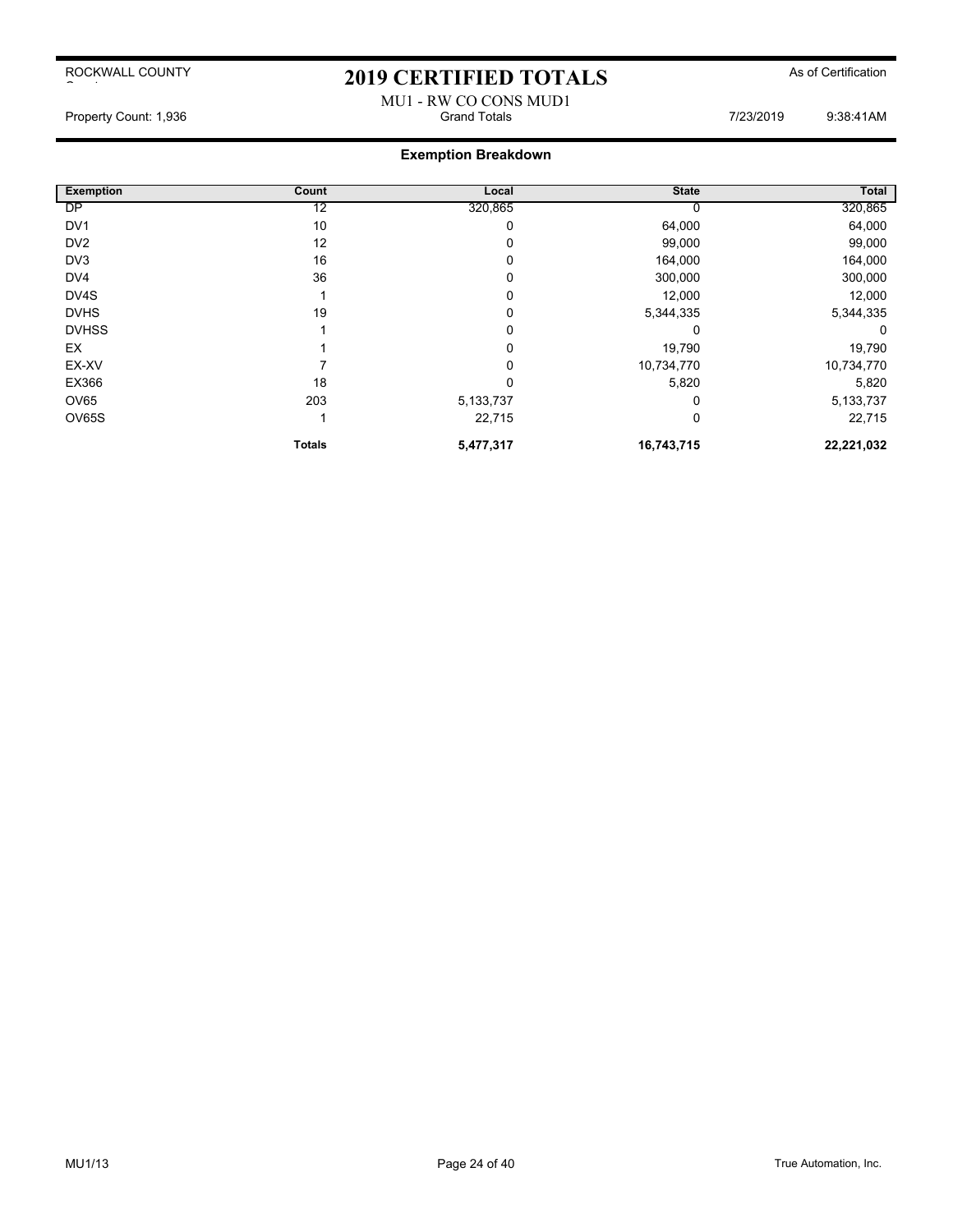# 2019 CERTIFIED TOTALS As of Certification MU1 - RW CO CONS MUD1<br>Grand Totals

**Exemption Breakdown**

Property Count: 1,936 **Property Count: 1,936** Crand Totals **Grand Totals Count: 1,936** 2019 9:38:41AM

| <b>Exemption</b> | Count         | Local       | <b>State</b> | Total      |
|------------------|---------------|-------------|--------------|------------|
| <b>DP</b>        | 12            | 320,865     |              | 320,865    |
| DV <sub>1</sub>  | 10            | 0           | 64,000       | 64,000     |
| DV <sub>2</sub>  | 12            | 0           | 99,000       | 99,000     |
| DV <sub>3</sub>  | 16            | 0           | 164,000      | 164,000    |
| DV4              | 36            | $\Omega$    | 300,000      | 300,000    |
| DV4S             |               | 0           | 12,000       | 12,000     |
| <b>DVHS</b>      | 19            | $\Omega$    | 5,344,335    | 5,344,335  |
| <b>DVHSS</b>     |               | 0           |              | 0          |
| EX               |               | $\Omega$    | 19,790       | 19,790     |
| EX-XV            |               |             | 10,734,770   | 10,734,770 |
| EX366            | 18            | 0           | 5,820        | 5,820      |
| OV65             | 203           | 5, 133, 737 |              | 5,133,737  |
| OV65S            |               | 22,715      | 0            | 22,715     |
|                  | <b>Totals</b> | 5,477,317   | 16,743,715   | 22,221,032 |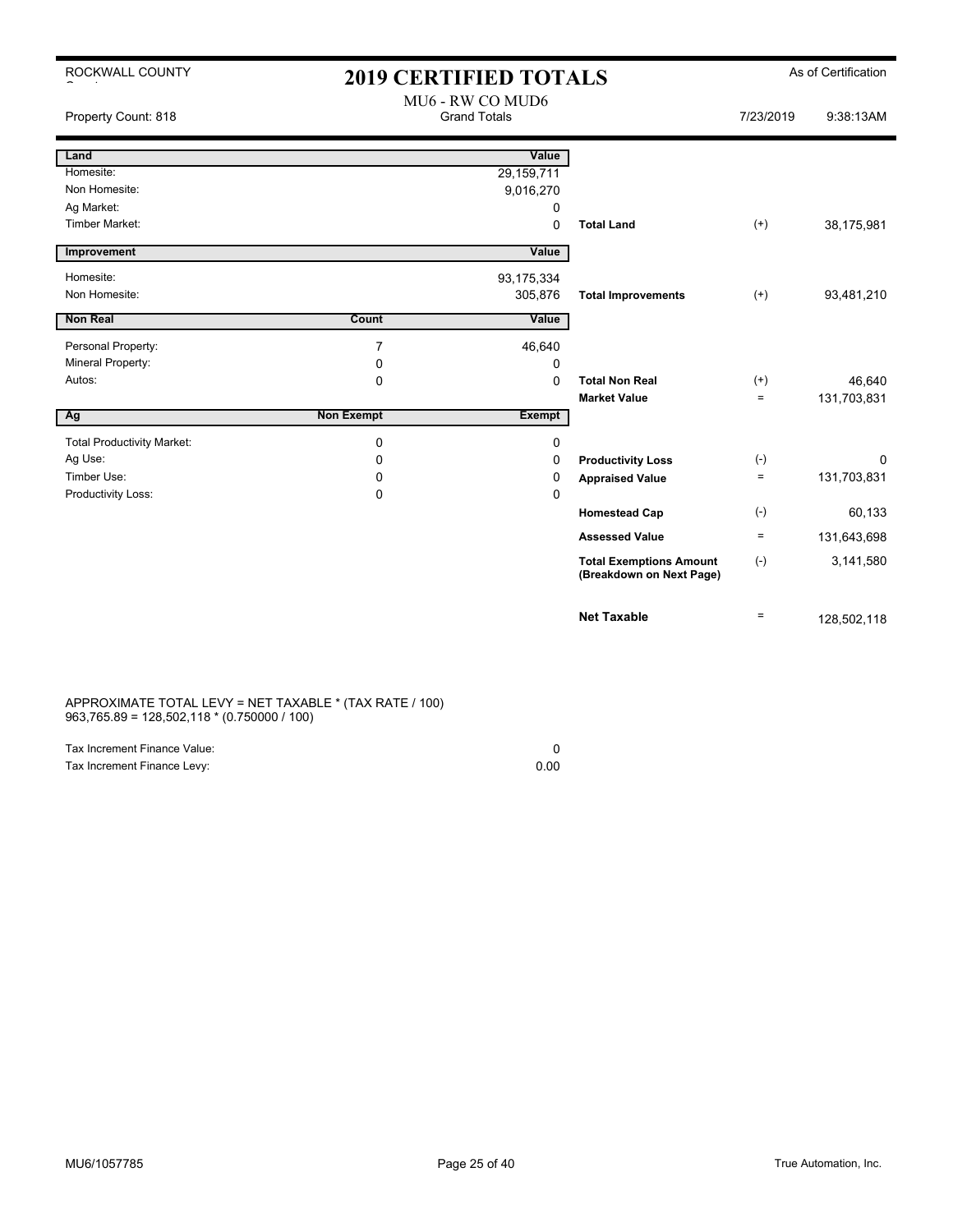| ROCKWALL COUNTY                   | <b>2019 CERTIFIED TOTALS</b> |                                         |                                                            |                   | As of Certification |
|-----------------------------------|------------------------------|-----------------------------------------|------------------------------------------------------------|-------------------|---------------------|
| Property Count: 818               |                              | MU6 - RW CO MUD6<br><b>Grand Totals</b> |                                                            | 7/23/2019         | 9:38:13AM           |
| Land                              |                              | Value                                   |                                                            |                   |                     |
| Homesite:                         |                              | 29,159,711                              |                                                            |                   |                     |
| Non Homesite:                     |                              | 9,016,270                               |                                                            |                   |                     |
| Ag Market:                        |                              | 0                                       |                                                            |                   |                     |
| <b>Timber Market:</b>             |                              | $\Omega$                                | <b>Total Land</b>                                          | $^{(+)}$          | 38,175,981          |
| Improvement                       |                              | Value                                   |                                                            |                   |                     |
| Homesite:                         |                              | 93, 175, 334                            |                                                            |                   |                     |
| Non Homesite:                     |                              | 305,876                                 | <b>Total Improvements</b>                                  | $^{(+)}$          | 93,481,210          |
| Non Real                          | Count                        | Value                                   |                                                            |                   |                     |
|                                   |                              |                                         |                                                            |                   |                     |
| Personal Property:                | $\overline{7}$               | 46,640                                  |                                                            |                   |                     |
| Mineral Property:                 | 0                            | 0                                       |                                                            |                   |                     |
| Autos:                            | 0                            | $\Omega$                                | <b>Total Non Real</b>                                      | $^{(+)}$          | 46,640              |
|                                   |                              |                                         | <b>Market Value</b>                                        | $\qquad \qquad =$ | 131,703,831         |
| Ag                                | <b>Non Exempt</b>            | <b>Exempt</b>                           |                                                            |                   |                     |
| <b>Total Productivity Market:</b> | 0                            | 0                                       |                                                            |                   |                     |
| Ag Use:                           | $\Omega$                     | 0                                       | <b>Productivity Loss</b>                                   | $(\text{-})$      | $\Omega$            |
| Timber Use:                       | 0                            | 0                                       | <b>Appraised Value</b>                                     | $\equiv$          | 131,703,831         |
| Productivity Loss:                | $\Omega$                     | 0                                       |                                                            |                   |                     |
|                                   |                              |                                         | <b>Homestead Cap</b>                                       | $(-)$             | 60,133              |
|                                   |                              |                                         | <b>Assessed Value</b>                                      | $\equiv$          | 131,643,698         |
|                                   |                              |                                         | <b>Total Exemptions Amount</b><br>(Breakdown on Next Page) | $(-)$             | 3,141,580           |
|                                   |                              |                                         | <b>Net Taxable</b>                                         | $\equiv$          | 128,502,118         |

APPROXIMATE TOTAL LEVY = NET TAXABLE \* (TAX RATE / 100) 963,765.89 = 128,502,118 \* (0.750000 / 100)

| Tax Increment Finance Value: |      |
|------------------------------|------|
| Tax Increment Finance Levy:  | 0.00 |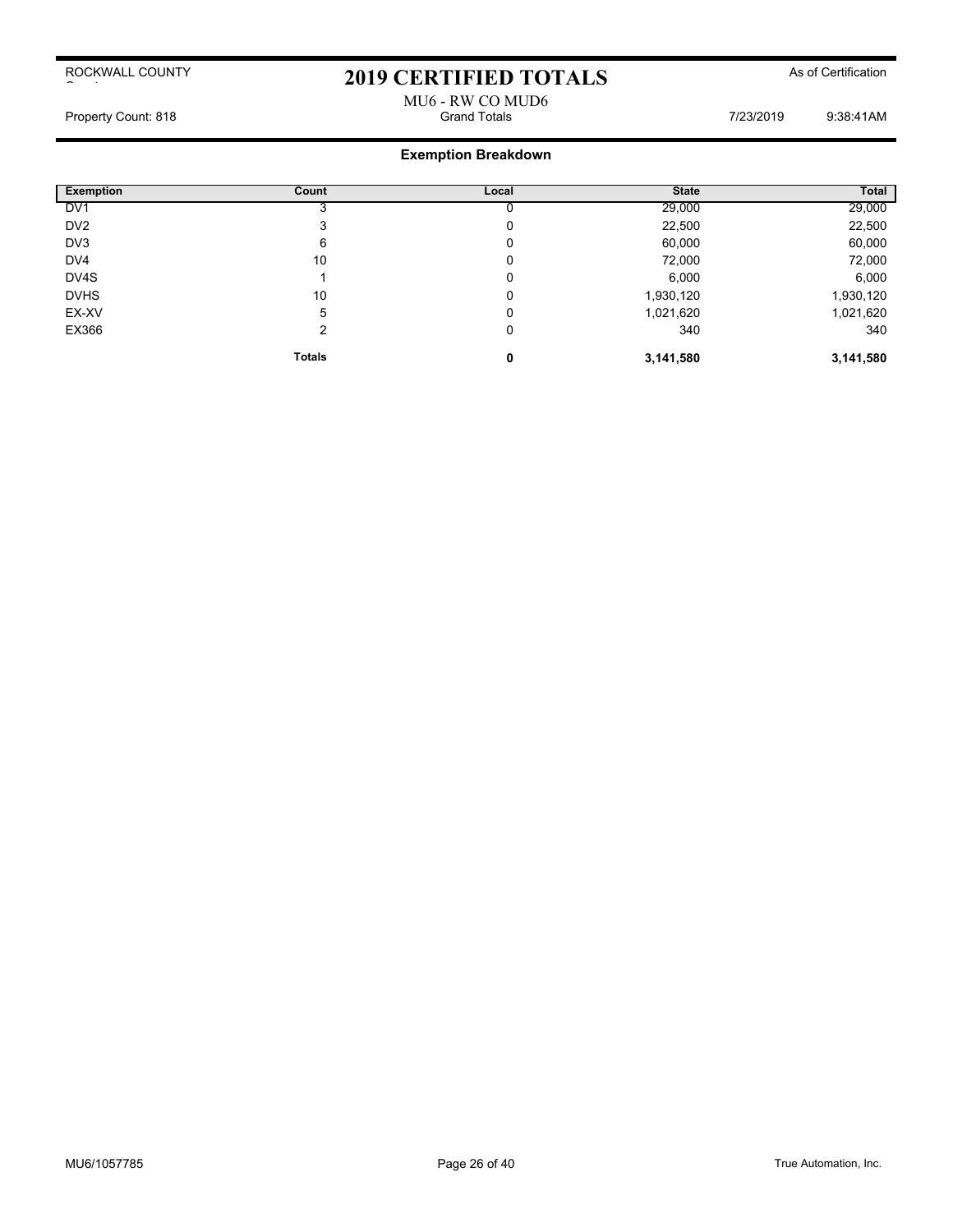## 2019 CERTIFIED TOTALS As of Certification

## MU6 - RW CO MUD6<br>Grand Totals Property Count: 818 **Property Count: 818 Grand Totals** Grand Totals **7/23/2019** 9:38:41AM

| <b>Exemption</b> | Count         | Local | <b>State</b> | Total     |
|------------------|---------------|-------|--------------|-----------|
| DV <sub>1</sub>  |               |       | 29,000       | 29,000    |
| DV <sub>2</sub>  | 3             | 0     | 22,500       | 22,500    |
| DV <sub>3</sub>  | 6             | C     | 60,000       | 60,000    |
| DV4              | 10            | O     | 72,000       | 72,000    |
| DV4S             |               | 0     | 6,000        | 6,000     |
| <b>DVHS</b>      | 10            | O     | 1,930,120    | 1,930,120 |
| EX-XV            | 5             | 0     | 1,021,620    | 1,021,620 |
| EX366            | 2             | 0     | 340          | 340       |
|                  | <b>Totals</b> | 0     | 3,141,580    | 3,141,580 |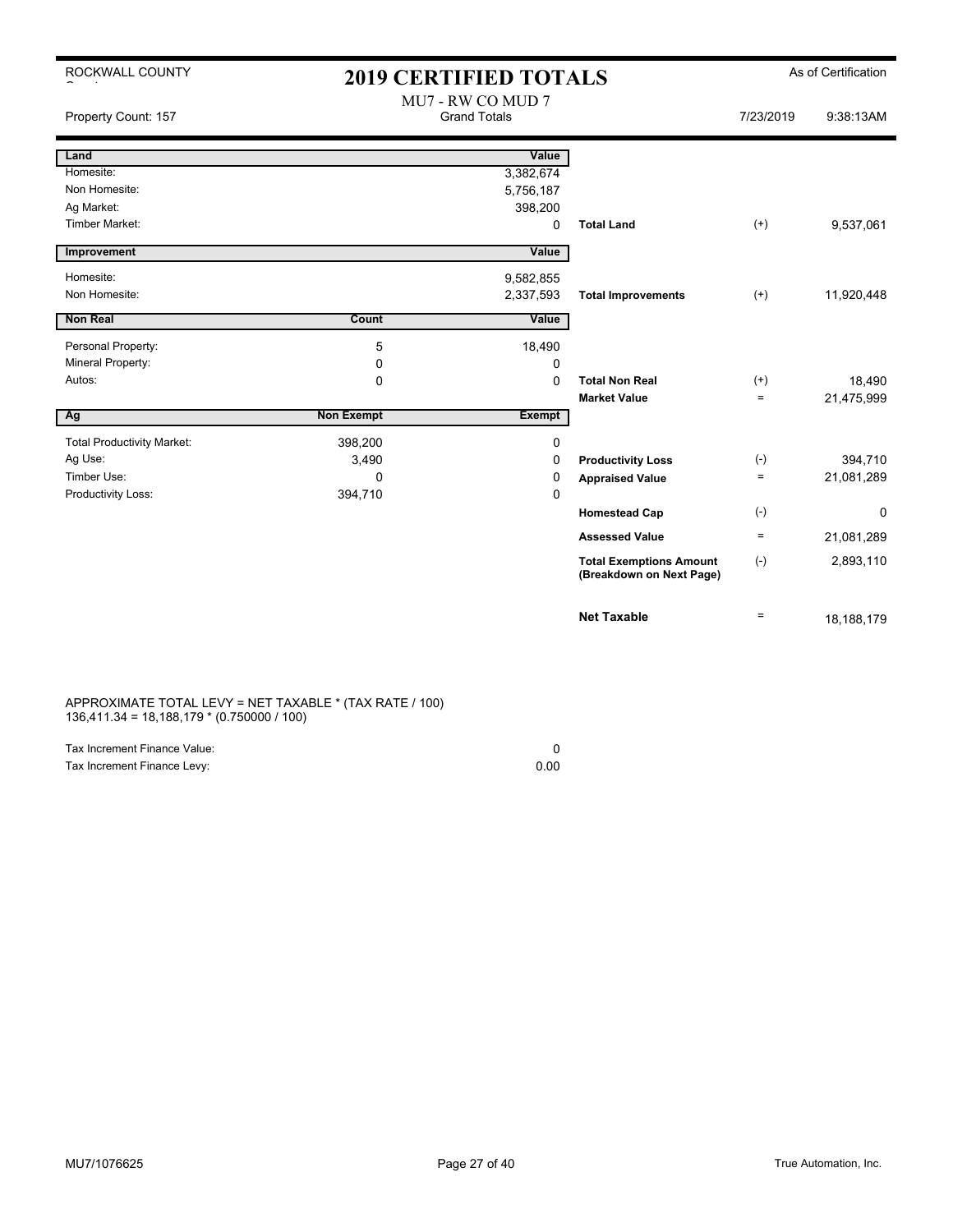ROCKWALL COUNTY

 $\sim$  to the set of  $\sim$ 

## 2019 CERTIFIED TOTALS As of Certification

| Property Count: 157               |                   | MU7 - RW CO MUD 7<br><b>Grand Totals</b> |                                                            | 7/23/2019 | 9:38:13AM  |
|-----------------------------------|-------------------|------------------------------------------|------------------------------------------------------------|-----------|------------|
| Land                              |                   | Value                                    |                                                            |           |            |
| Homesite:                         |                   | 3,382,674                                |                                                            |           |            |
| Non Homesite:                     |                   | 5,756,187                                |                                                            |           |            |
| Ag Market:                        |                   | 398,200                                  |                                                            |           |            |
| <b>Timber Market:</b>             |                   | 0                                        | <b>Total Land</b>                                          | $^{(+)}$  | 9,537,061  |
| Improvement                       |                   | Value                                    |                                                            |           |            |
| Homesite:                         |                   | 9,582,855                                |                                                            |           |            |
| Non Homesite:                     |                   | 2,337,593                                | <b>Total Improvements</b>                                  | $(+)$     | 11,920,448 |
| <b>Non Real</b>                   | Count             | Value                                    |                                                            |           |            |
| Personal Property:                | 5                 | 18,490                                   |                                                            |           |            |
| Mineral Property:                 | 0                 | 0                                        |                                                            |           |            |
| Autos:                            | 0                 | $\mathbf 0$                              | <b>Total Non Real</b>                                      | $^{(+)}$  | 18,490     |
|                                   |                   |                                          | <b>Market Value</b>                                        | $=$       | 21,475,999 |
| Ag                                | <b>Non Exempt</b> | <b>Exempt</b>                            |                                                            |           |            |
| <b>Total Productivity Market:</b> | 398,200           | 0                                        |                                                            |           |            |
| Ag Use:                           | 3,490             | 0                                        | <b>Productivity Loss</b>                                   | $(-)$     | 394,710    |
| Timber Use:                       | $\mathbf{0}$      | 0                                        | <b>Appraised Value</b>                                     | $=$       | 21,081,289 |
| Productivity Loss:                | 394,710           | $\mathbf 0$                              |                                                            |           |            |
|                                   |                   |                                          | <b>Homestead Cap</b>                                       | $(-)$     | 0          |
|                                   |                   |                                          | <b>Assessed Value</b>                                      | $\equiv$  | 21,081,289 |
|                                   |                   |                                          | <b>Total Exemptions Amount</b><br>(Breakdown on Next Page) | $(-)$     | 2,893,110  |
|                                   |                   |                                          | <b>Net Taxable</b>                                         | $\equiv$  | 18,188,179 |

APPROXIMATE TOTAL LEVY = NET TAXABLE \* (TAX RATE / 100) 136,411.34 = 18,188,179 \* (0.750000 / 100)

| Tax Increment Finance Value: |      |
|------------------------------|------|
| Tax Increment Finance Levy:  | 0.00 |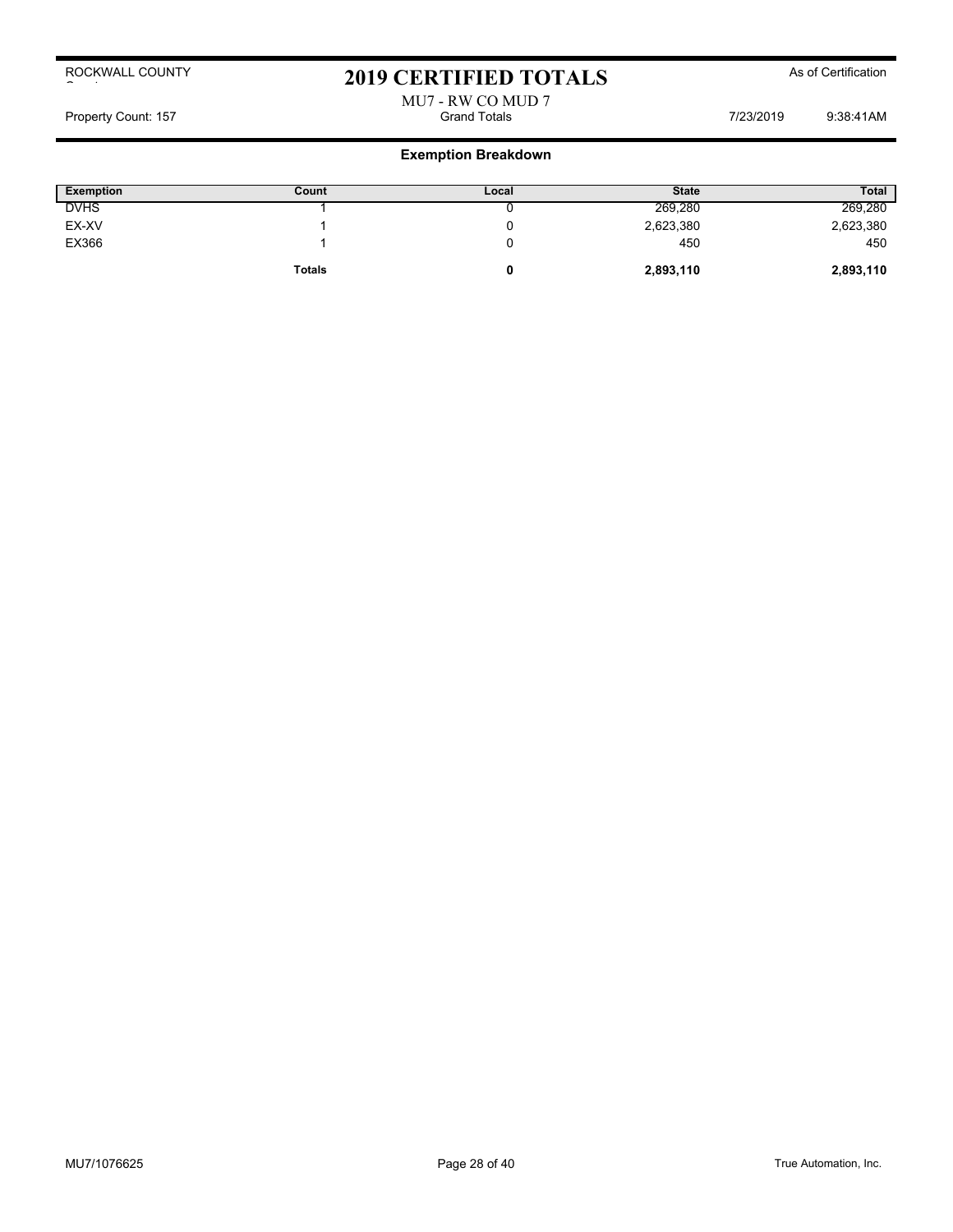## 2019 CERTIFIED TOTALS As of Certification

# MU7 - RW CO MUD 7

Property Count: 157 Grand Totals 7/23/2019 9:38:41AM

| <b>Exemption</b> | Count         | Local | <b>State</b> | <b>Total</b> |
|------------------|---------------|-------|--------------|--------------|
| <b>DVHS</b>      |               |       | 269,280      | 269,280      |
| EX-XV            |               |       | 2,623,380    | 2,623,380    |
| EX366            |               |       | 450          | 450          |
|                  | <b>Totals</b> |       | 2,893,110    | 2,893,110    |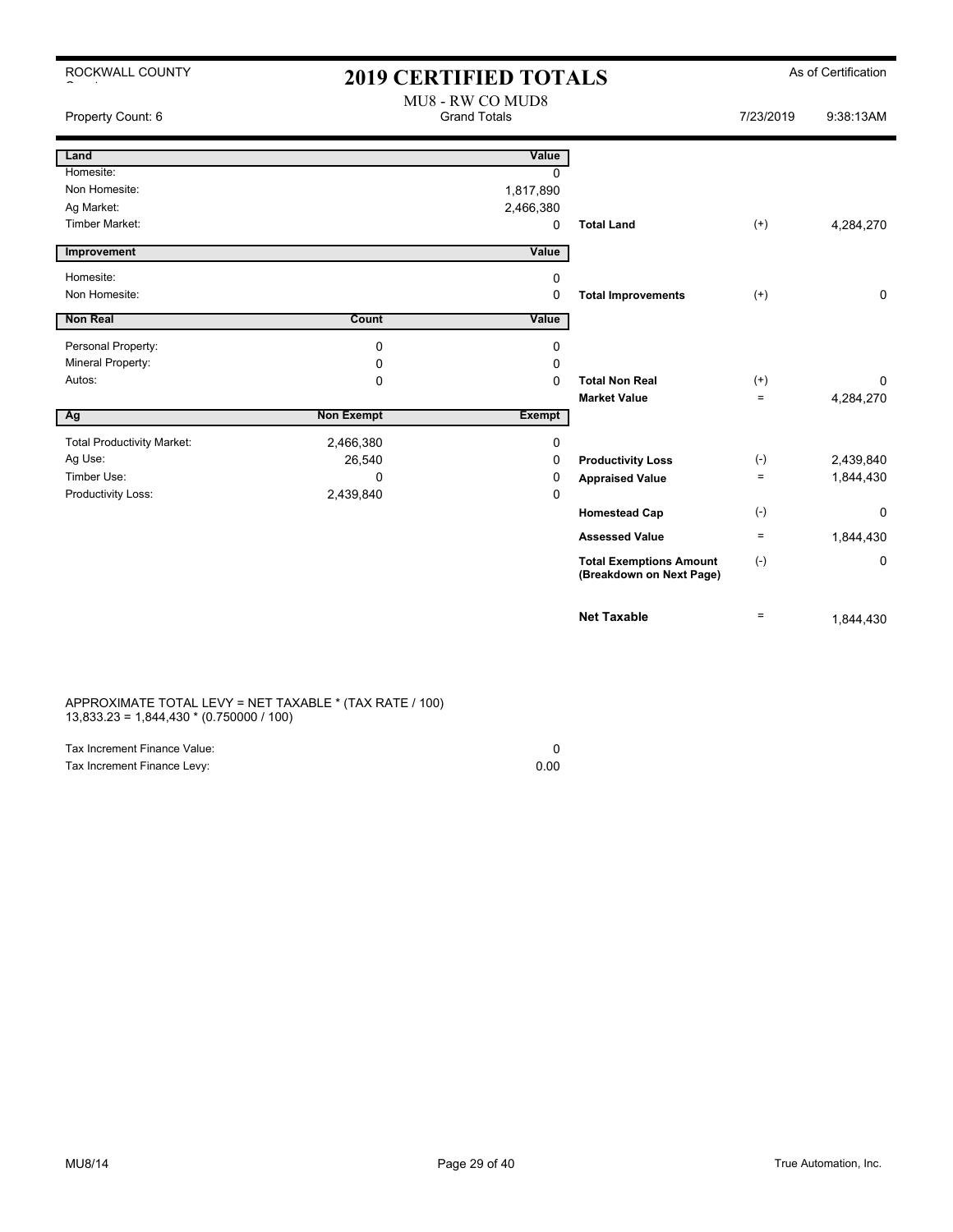| ROCKWALL COUNTY                   | 2019 CERTIFIED TOTALS |                                         | As of Certification                                        |           |             |
|-----------------------------------|-----------------------|-----------------------------------------|------------------------------------------------------------|-----------|-------------|
| Property Count: 6                 |                       | MU8 - RW CO MUD8<br><b>Grand Totals</b> |                                                            | 7/23/2019 | 9:38:13AM   |
| Land                              |                       | Value                                   |                                                            |           |             |
| Homesite:                         |                       | <sup>0</sup>                            |                                                            |           |             |
| Non Homesite:                     |                       | 1,817,890                               |                                                            |           |             |
| Ag Market:                        |                       | 2,466,380                               |                                                            |           |             |
| Timber Market:                    |                       | 0                                       | <b>Total Land</b>                                          | $(+)$     | 4,284,270   |
| Improvement                       |                       | Value                                   |                                                            |           |             |
| Homesite:                         |                       | 0                                       |                                                            |           |             |
| Non Homesite:                     |                       | $\Omega$                                | <b>Total Improvements</b>                                  | $(+)$     | 0           |
| Non Real                          | Count                 | Value                                   |                                                            |           |             |
| Personal Property:                | $\mathbf 0$           | 0                                       |                                                            |           |             |
| Mineral Property:                 | 0                     | 0                                       |                                                            |           |             |
| Autos:                            | $\mathbf 0$           | $\Omega$                                | <b>Total Non Real</b>                                      | $^{(+)}$  | 0           |
|                                   |                       |                                         | <b>Market Value</b>                                        | $\equiv$  | 4,284,270   |
| Ag                                | <b>Non Exempt</b>     | <b>Exempt</b>                           |                                                            |           |             |
| <b>Total Productivity Market:</b> | 2,466,380             | 0                                       |                                                            |           |             |
| Ag Use:                           | 26,540                | 0                                       | <b>Productivity Loss</b>                                   | $(-)$     | 2,439,840   |
| Timber Use:                       | $\Omega$              | 0                                       | <b>Appraised Value</b>                                     | $\equiv$  | 1,844,430   |
| Productivity Loss:                | 2,439,840             | 0                                       |                                                            |           |             |
|                                   |                       |                                         | <b>Homestead Cap</b>                                       | $(-)$     | $\mathbf 0$ |
|                                   |                       |                                         | <b>Assessed Value</b>                                      | $\equiv$  | 1,844,430   |
|                                   |                       |                                         | <b>Total Exemptions Amount</b><br>(Breakdown on Next Page) | $(-)$     | 0           |
|                                   |                       |                                         | <b>Net Taxable</b>                                         | $\equiv$  | 1,844,430   |

APPROXIMATE TOTAL LEVY = NET TAXABLE \* (TAX RATE / 100) 13,833.23 = 1,844,430 \* (0.750000 / 100)

| Tax Increment Finance Value: |      |
|------------------------------|------|
| Tax Increment Finance Levy:  | 0.00 |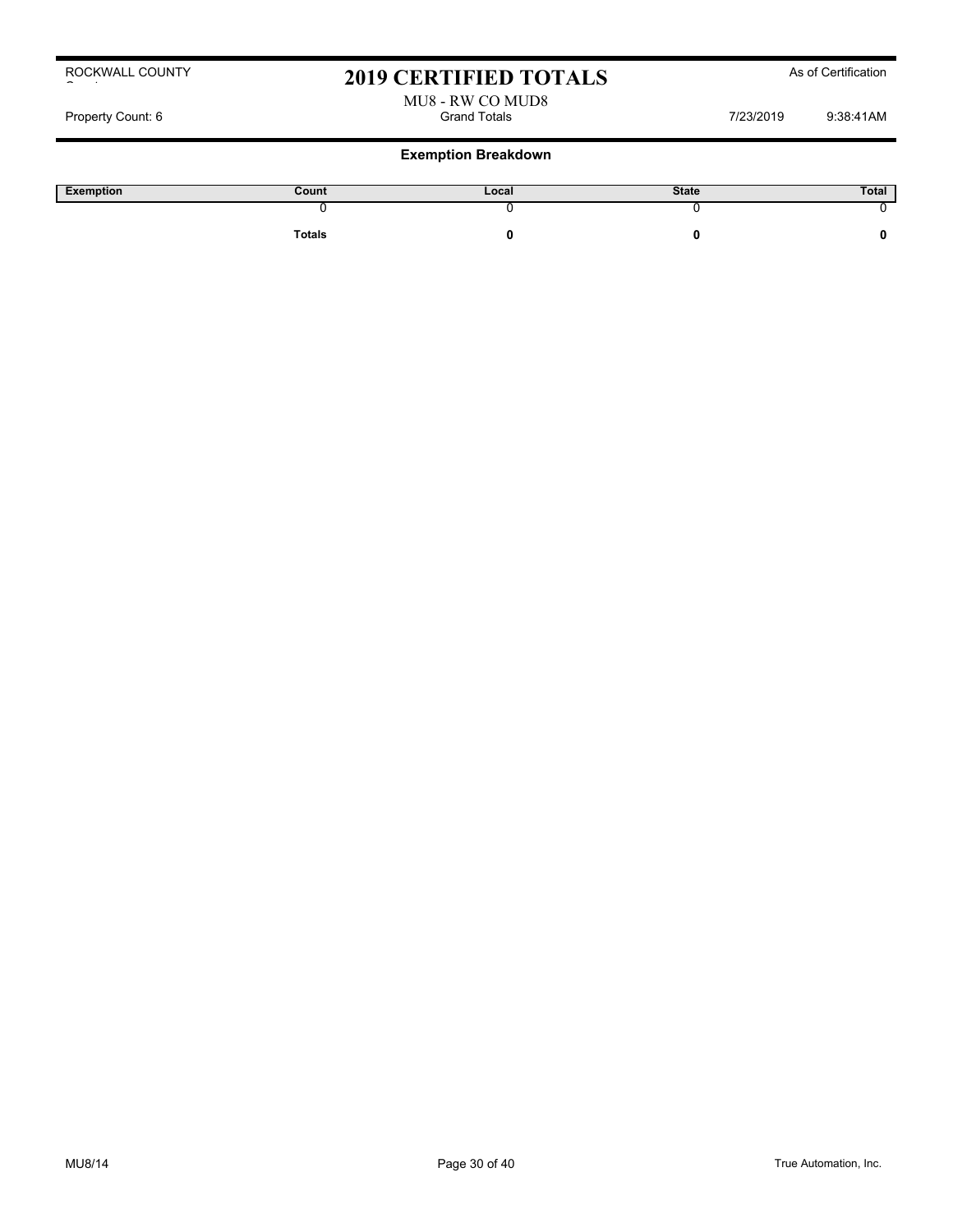## 2019 CERTIFIED TOTALS As of Certification

# MU8 - RW CO MUD8

Property Count: 6 Grand Totals 7/23/2019 9:38:41AM

| Exemption | Count  | Local | <b>State</b> | Total |
|-----------|--------|-------|--------------|-------|
|           |        |       |              |       |
|           | Totals |       |              |       |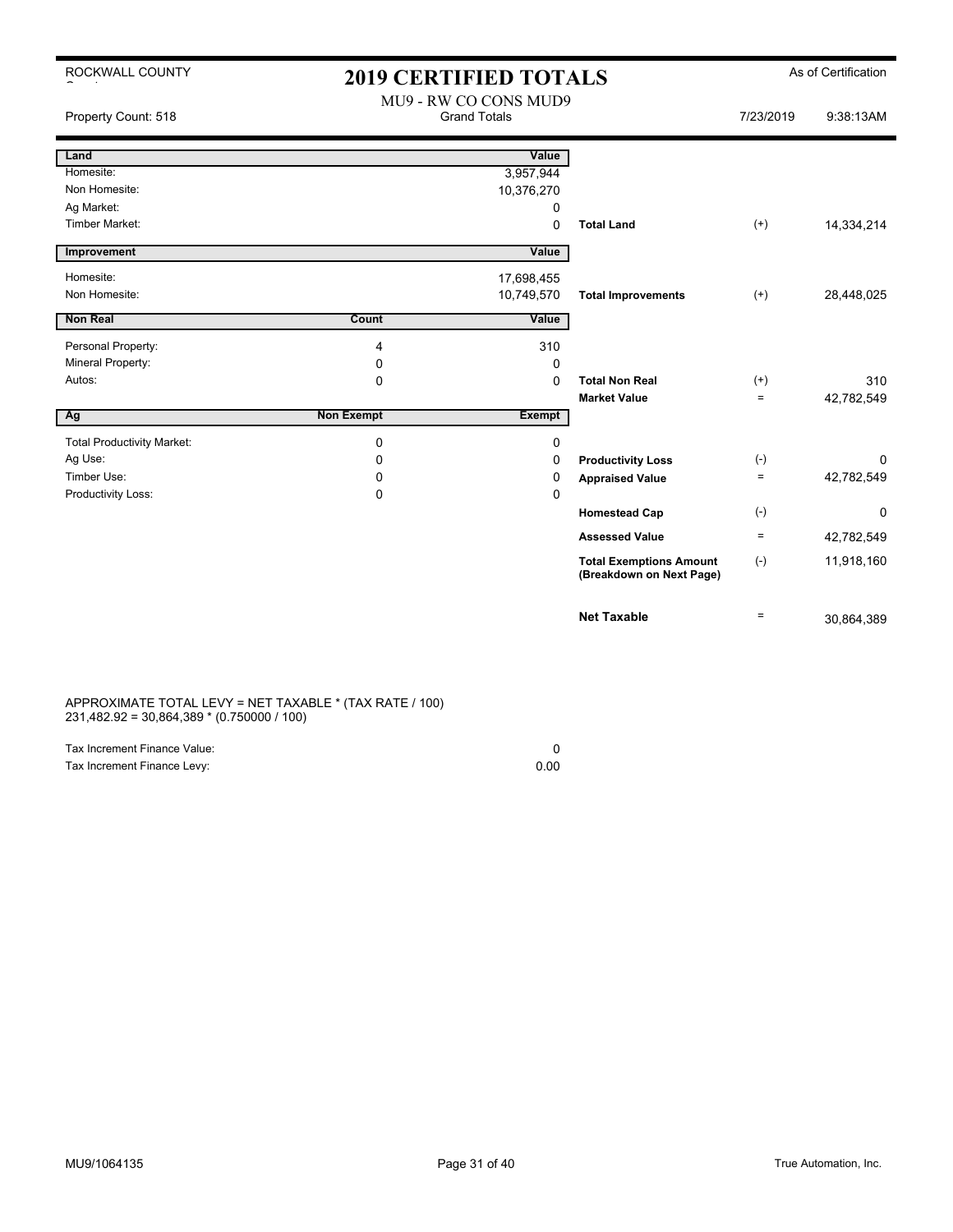| ROCKWALL COUNTY                   | <b>2019 CERTIFIED TOTALS</b>                 |               | As of Certification                                        |                   |            |
|-----------------------------------|----------------------------------------------|---------------|------------------------------------------------------------|-------------------|------------|
| Property Count: 518               | MU9 - RW CO CONS MUD9<br><b>Grand Totals</b> |               |                                                            | 7/23/2019         | 9:38:13AM  |
| Land                              |                                              | Value         |                                                            |                   |            |
| Homesite:                         |                                              | 3,957,944     |                                                            |                   |            |
| Non Homesite:                     |                                              | 10,376,270    |                                                            |                   |            |
| Ag Market:                        |                                              | 0             |                                                            |                   |            |
| <b>Timber Market:</b>             |                                              | 0             | <b>Total Land</b>                                          | $(+)$             | 14,334,214 |
| Improvement                       |                                              | Value         |                                                            |                   |            |
| Homesite:                         |                                              | 17,698,455    |                                                            |                   |            |
| Non Homesite:                     |                                              | 10,749,570    | <b>Total Improvements</b>                                  | $(+)$             | 28,448,025 |
| Non Real                          | Count                                        | Value         |                                                            |                   |            |
| Personal Property:                | 4                                            | 310           |                                                            |                   |            |
| Mineral Property:                 | 0                                            | 0             |                                                            |                   |            |
| Autos:                            | $\mathbf 0$                                  | $\Omega$      | <b>Total Non Real</b>                                      | $^{(+)}$          | 310        |
|                                   |                                              |               | <b>Market Value</b>                                        | $=$               | 42,782,549 |
| Ag                                | <b>Non Exempt</b>                            | <b>Exempt</b> |                                                            |                   |            |
| <b>Total Productivity Market:</b> | $\mathbf 0$                                  | 0             |                                                            |                   |            |
| Ag Use:                           | $\Omega$                                     | $\Omega$      | <b>Productivity Loss</b>                                   | $(-)$             | $\Omega$   |
| Timber Use:                       | 0                                            | 0             | <b>Appraised Value</b>                                     | $\qquad \qquad =$ | 42,782,549 |
| Productivity Loss:                | 0                                            | 0             |                                                            |                   |            |
|                                   |                                              |               | <b>Homestead Cap</b>                                       | $(-)$             | 0          |
|                                   |                                              |               | <b>Assessed Value</b>                                      | $\equiv$          | 42,782,549 |
|                                   |                                              |               | <b>Total Exemptions Amount</b><br>(Breakdown on Next Page) | $(-)$             | 11,918,160 |
|                                   |                                              |               | <b>Net Taxable</b>                                         | $\equiv$          | 30,864,389 |

### APPROXIMATE TOTAL LEVY = NET TAXABLE \* (TAX RATE / 100) 231,482.92 = 30,864,389 \* (0.750000 / 100)

| Tax Increment Finance Value: |      |
|------------------------------|------|
| Tax Increment Finance Levy:  | 0.00 |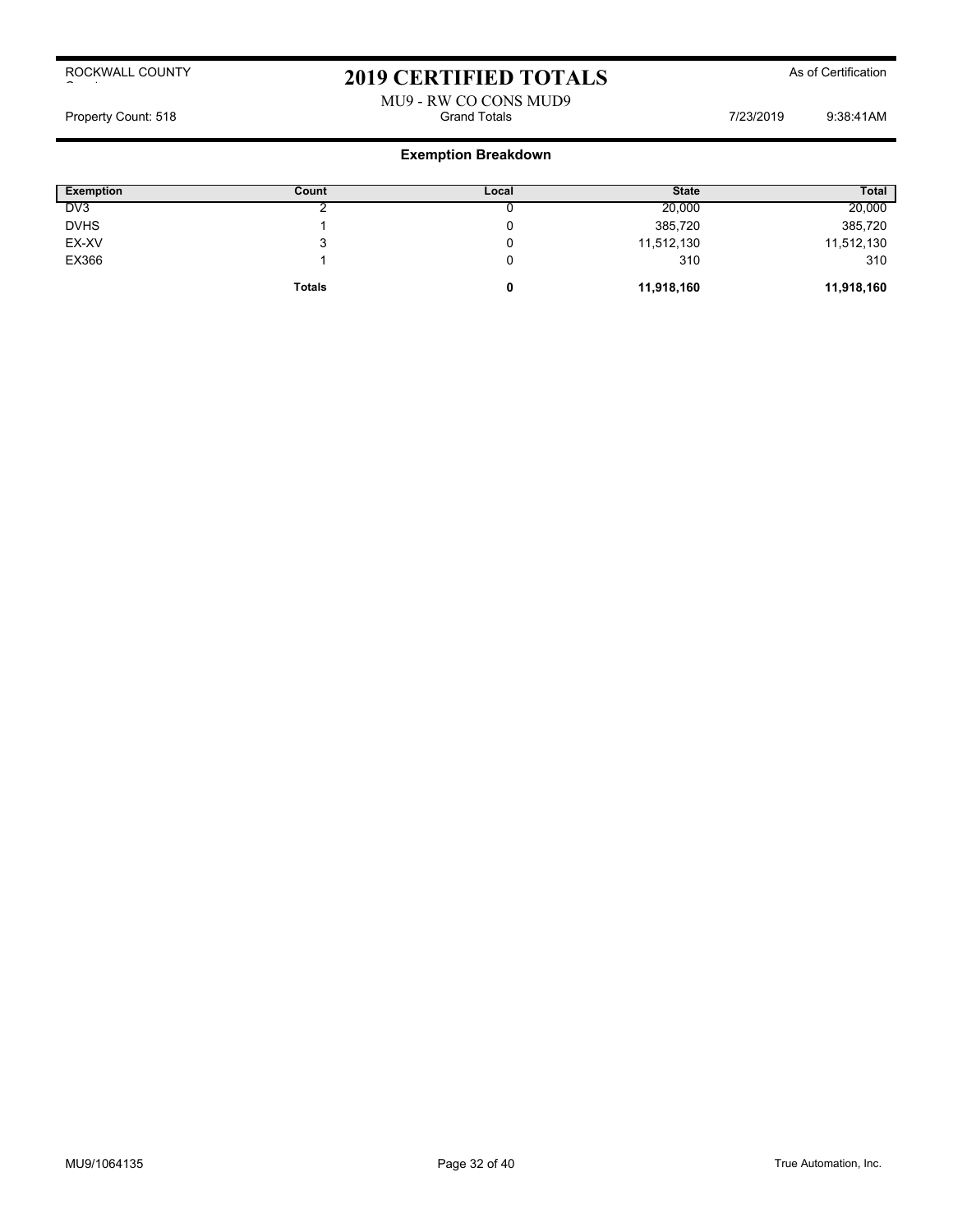## 2019 CERTIFIED TOTALS As of Certification

## MU9 - RW CO CONS MUD9<br>Grand Totals Property Count: 518 **Fig. 2018** Grand Totals **Grand Totals** 7/23/2019 9:38:41AM

| <b>Exemption</b> | Count         | Local | <b>State</b> | <b>Total</b> |
|------------------|---------------|-------|--------------|--------------|
| DV <sub>3</sub>  |               |       | 20,000       | 20,000       |
| <b>DVHS</b>      |               |       | 385,720      | 385,720      |
| EX-XV            | J             |       | 11,512,130   | 11,512,130   |
| EX366            |               |       | 310          | 310          |
|                  | <b>Totals</b> |       | 11,918,160   | 11,918,160   |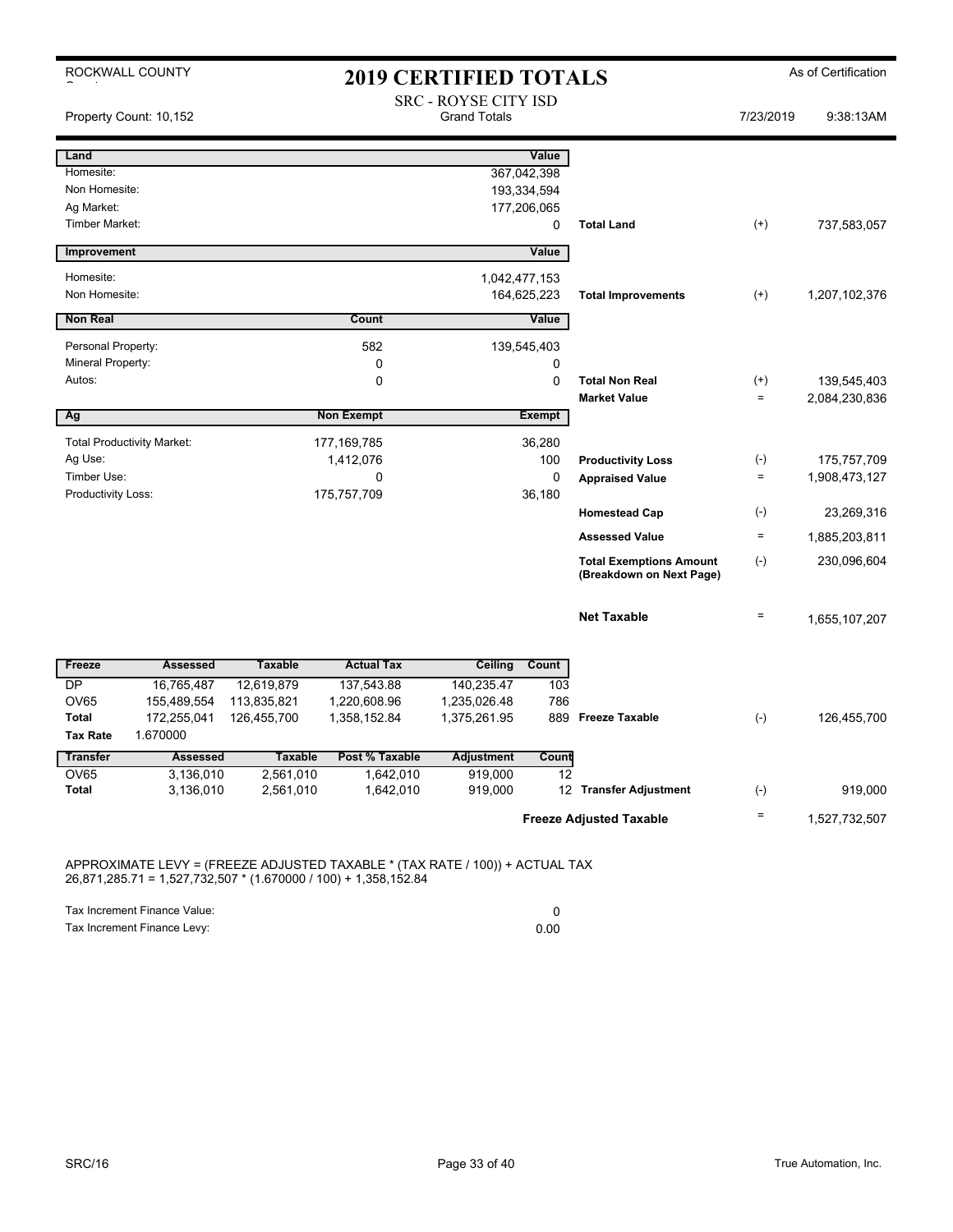| ROCKWALL COUNTY                             |                 |                |                   | <b>2019 CERTIFIED TOTALS</b>                |                            |                                                            |                    | As of Certification |
|---------------------------------------------|-----------------|----------------|-------------------|---------------------------------------------|----------------------------|------------------------------------------------------------|--------------------|---------------------|
| Property Count: 10,152                      |                 |                |                   | SRC - ROYSE CITY ISD<br><b>Grand Totals</b> |                            |                                                            | 7/23/2019          | 9:38:13AM           |
| Land                                        |                 |                |                   |                                             | Value                      |                                                            |                    |                     |
| Homesite:                                   |                 |                |                   |                                             | 367,042,398                |                                                            |                    |                     |
| Non Homesite:<br>Ag Market:                 |                 |                |                   |                                             | 193,334,594<br>177,206,065 |                                                            |                    |                     |
| <b>Timber Market:</b>                       |                 |                |                   |                                             | 0                          | <b>Total Land</b>                                          | $^{(+)}$           | 737,583,057         |
| Improvement                                 |                 |                |                   |                                             | Value                      |                                                            |                    |                     |
| Homesite:                                   |                 |                |                   | 1,042,477,153                               |                            |                                                            |                    |                     |
| Non Homesite:                               |                 |                |                   |                                             | 164,625,223                | <b>Total Improvements</b>                                  | $^{(+)}$           | 1,207,102,376       |
| <b>Non Real</b>                             |                 |                | Count             |                                             | Value                      |                                                            |                    |                     |
| Personal Property:                          |                 |                | 582               |                                             | 139,545,403                |                                                            |                    |                     |
| Mineral Property:                           |                 |                | 0                 |                                             | 0                          |                                                            |                    |                     |
| Autos:                                      |                 |                | 0                 |                                             | $\mathbf 0$                | <b>Total Non Real</b>                                      | $^{(+)}$           | 139,545,403         |
|                                             |                 |                |                   |                                             |                            | <b>Market Value</b>                                        | $\qquad \qquad =$  | 2,084,230,836       |
| Ag                                          |                 |                | <b>Non Exempt</b> |                                             | <b>Exempt</b>              |                                                            |                    |                     |
| <b>Total Productivity Market:</b>           |                 |                | 177, 169, 785     |                                             | 36,280                     |                                                            |                    |                     |
| Ag Use:                                     |                 |                | 1,412,076         |                                             | 100                        | <b>Productivity Loss</b>                                   | $(\textnormal{-})$ | 175,757,709         |
| Timber Use:<br>Productivity Loss:           |                 |                | 0<br>175,757,709  |                                             | $\mathbf 0$<br>36,180      | <b>Appraised Value</b>                                     | $\equiv$           | 1,908,473,127       |
|                                             |                 |                |                   |                                             |                            | <b>Homestead Cap</b>                                       | $(-)$              | 23,269,316          |
|                                             |                 |                |                   |                                             |                            | <b>Assessed Value</b>                                      | $\equiv$           | 1,885,203,811       |
|                                             |                 |                |                   |                                             |                            | <b>Total Exemptions Amount</b><br>(Breakdown on Next Page) | $(-)$              | 230,096,604         |
|                                             |                 |                |                   |                                             |                            | <b>Net Taxable</b>                                         | $\qquad \qquad =$  | 1,655,107,207       |
| Freeze                                      | <b>Assessed</b> | <b>Taxable</b> | <b>Actual Tax</b> | Ceiling                                     | Count                      |                                                            |                    |                     |
| <b>DP</b>                                   | 16,765,487      | 12,619,879     | 137,543.88        | 140,235.47                                  | 103                        |                                                            |                    |                     |
| <b>OV65</b>                                 | 155,489,554     | 113,835,821    | 1,220,608.96      | 1,235,026.48                                | 786                        |                                                            |                    |                     |
| <b>Total</b><br><b>Tax Rate</b><br>1.670000 | 172,255,041     | 126,455,700    | 1,358,152.84      | 1,375,261.95                                | 889                        | <b>Freeze Taxable</b>                                      | $(-)$              | 126,455,700         |
| <b>Transfer</b>                             | <b>Assessed</b> | <b>Taxable</b> | Post % Taxable    | <b>Adjustment</b>                           | Count                      |                                                            |                    |                     |
| <b>OV65</b>                                 | 3,136,010       | 2,561,010      | 1,642,010         | 919,000                                     | 12                         |                                                            |                    |                     |
| <b>Total</b>                                | 3,136,010       | 2,561,010      | 1,642,010         | 919,000                                     |                            | 12 Transfer Adjustment                                     | $(-)$              | 919.000             |
|                                             |                 |                |                   |                                             |                            | <b>Freeze Adjusted Taxable</b>                             | $\equiv$           | 1,527,732,507       |

APPROXIMATE LEVY = (FREEZE ADJUSTED TAXABLE \* (TAX RATE / 100)) + ACTUAL TAX 26,871,285.71 = 1,527,732,507 \* (1.670000 / 100) + 1,358,152.84

Tax Increment Finance Value: 0

Tax Increment Finance Levy: 0.00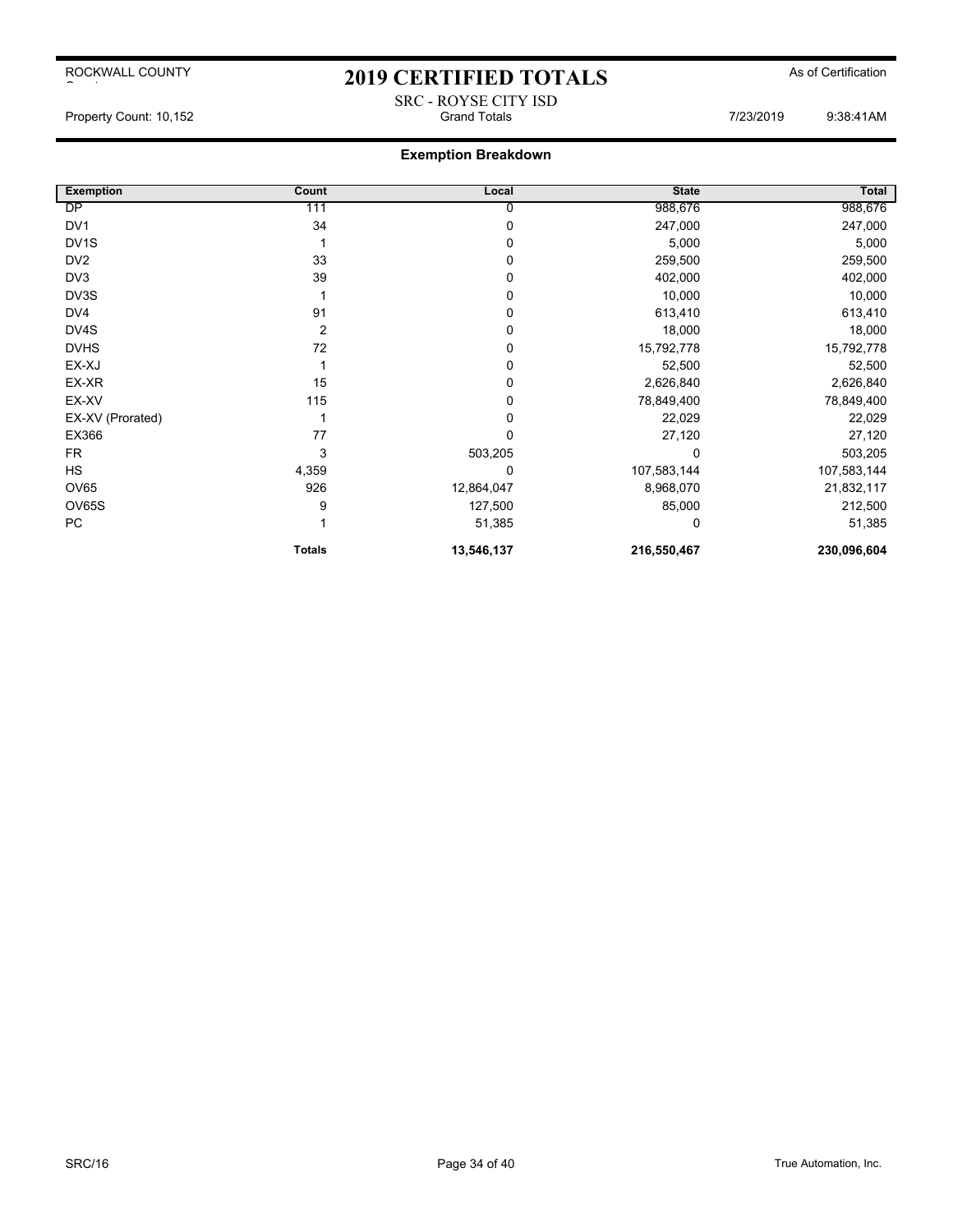ROCKWALL COUNTY

# 2019 CERTIFIED TOTALS As of Certification SRC - ROYSE CITY ISD

Property Count: 10,152 **Fig. 2018** Grand Totals **Grand Totals** 7/23/2019 9:38:41AM

## **Exemption Breakdown**

| <b>Exemption</b>  | Count          | Local        | <b>State</b> | Total       |
|-------------------|----------------|--------------|--------------|-------------|
| DP                | 111            | 0            | 988,676      | 988,676     |
| DV <sub>1</sub>   | 34             | $\Omega$     | 247,000      | 247,000     |
| DV <sub>1</sub> S |                | 0            | 5,000        | 5,000       |
| DV <sub>2</sub>   | 33             | $\Omega$     | 259,500      | 259,500     |
| DV3               | 39             | 0            | 402,000      | 402,000     |
| DV3S              |                | 0            | 10,000       | 10,000      |
| DV4               | 91             | 0            | 613,410      | 613,410     |
| DV4S              | $\overline{2}$ | 0            | 18,000       | 18,000      |
| <b>DVHS</b>       | 72             | 0            | 15,792,778   | 15,792,778  |
| EX-XJ             |                | 0            | 52,500       | 52,500      |
| EX-XR             | 15             | 0            | 2,626,840    | 2,626,840   |
| EX-XV             | 115            | 0            | 78,849,400   | 78,849,400  |
| EX-XV (Prorated)  |                | 0            | 22,029       | 22,029      |
| EX366             | 77             | $\mathbf{0}$ | 27,120       | 27,120      |
| <b>FR</b>         | 3              | 503,205      |              | 503,205     |
| HS                | 4,359          | 0            | 107,583,144  | 107,583,144 |
| <b>OV65</b>       | 926            | 12,864,047   | 8,968,070    | 21,832,117  |
| <b>OV65S</b>      | 9              | 127,500      | 85,000       | 212,500     |
| PC                |                | 51,385       | 0            | 51,385      |
|                   | <b>Totals</b>  | 13,546,137   | 216,550,467  | 230,096,604 |

 $\sim$  to the set of  $\sim$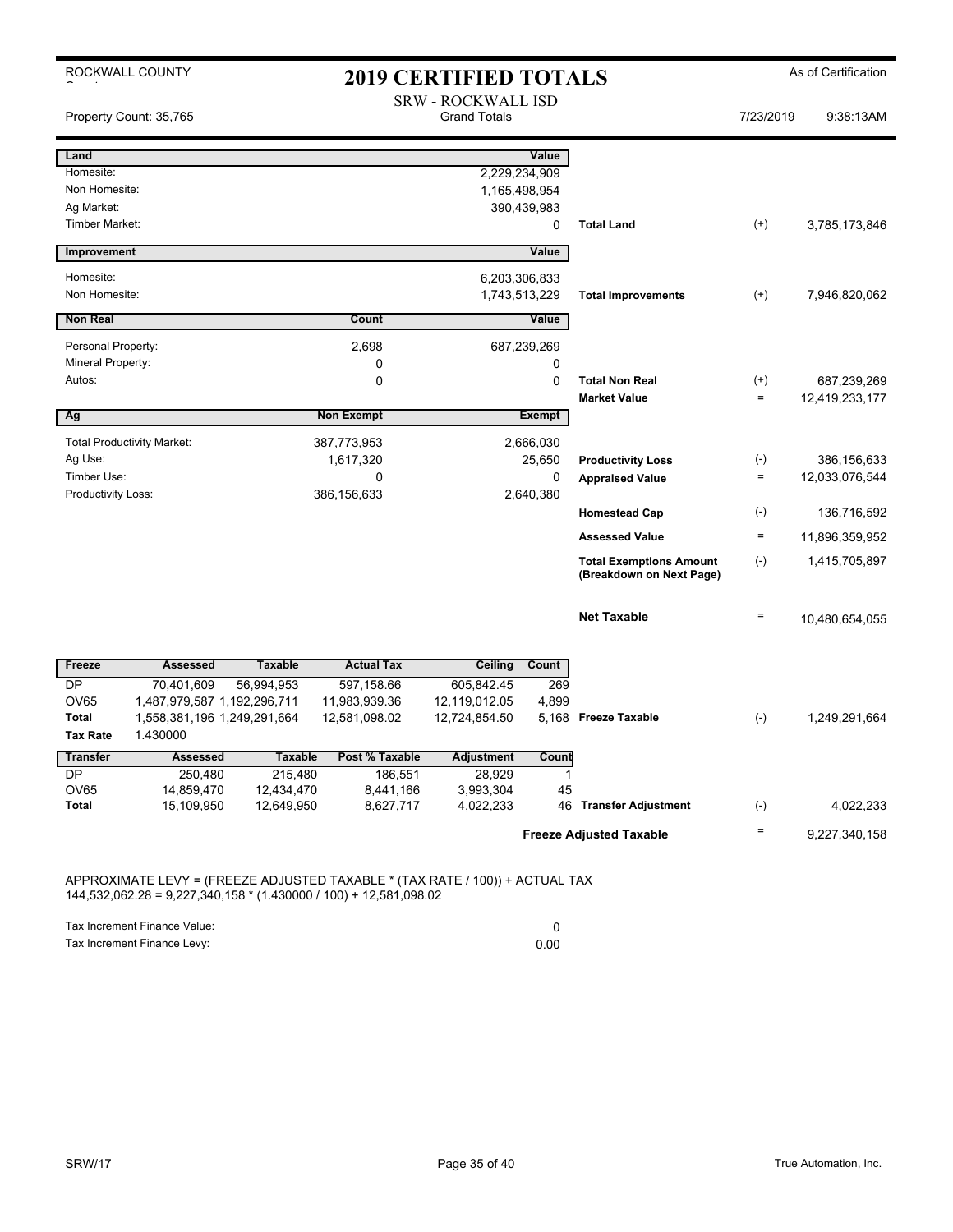|                                         | ROCKWALL COUNTY<br><b>2019 CERTIFIED TOTALS</b> |                |                                                  |                              |                  |                                                            | As of Certification |                |
|-----------------------------------------|-------------------------------------------------|----------------|--------------------------------------------------|------------------------------|------------------|------------------------------------------------------------|---------------------|----------------|
|                                         | Property Count: 35,765                          |                | <b>SRW - ROCKWALL ISD</b><br><b>Grand Totals</b> |                              |                  |                                                            | 7/23/2019           | 9:38:13AM      |
| Land                                    |                                                 |                |                                                  |                              | Value            |                                                            |                     |                |
| Homesite:                               |                                                 |                |                                                  | 2,229,234,909                |                  |                                                            |                     |                |
| Non Homesite:                           |                                                 |                |                                                  |                              | 1,165,498,954    |                                                            |                     |                |
| Ag Market:                              |                                                 |                |                                                  |                              | 390,439,983      |                                                            |                     |                |
| <b>Timber Market:</b>                   |                                                 |                |                                                  |                              | 0                | <b>Total Land</b>                                          | $(+)$               | 3,785,173,846  |
| Improvement                             |                                                 |                |                                                  |                              | Value            |                                                            |                     |                |
| Homesite:                               |                                                 |                |                                                  | 6,203,306,833                |                  |                                                            |                     |                |
| Non Homesite:                           |                                                 |                |                                                  | 1,743,513,229                |                  | <b>Total Improvements</b>                                  | $^{(+)}$            | 7,946,820,062  |
| <b>Non Real</b>                         |                                                 |                | Count                                            |                              | Value            |                                                            |                     |                |
|                                         |                                                 |                |                                                  |                              |                  |                                                            |                     |                |
| Personal Property:<br>Mineral Property: |                                                 |                | 2,698<br>0                                       |                              | 687,239,269<br>0 |                                                            |                     |                |
| Autos:                                  |                                                 |                | $\mathbf 0$                                      |                              | $\mathbf 0$      | <b>Total Non Real</b>                                      | $^{(+)}$            | 687,239,269    |
|                                         |                                                 |                |                                                  |                              |                  | <b>Market Value</b>                                        | $\qquad \qquad =$   | 12,419,233,177 |
| Ag                                      |                                                 |                | <b>Non Exempt</b>                                |                              | <b>Exempt</b>    |                                                            |                     |                |
|                                         | <b>Total Productivity Market:</b>               |                | 387,773,953                                      |                              | 2,666,030        |                                                            |                     |                |
| Ag Use:                                 |                                                 |                | 1,617,320                                        |                              | 25,650           | <b>Productivity Loss</b>                                   | $(\text{-})$        | 386,156,633    |
| Timber Use:                             |                                                 |                | $\mathbf 0$                                      |                              | 0                | <b>Appraised Value</b>                                     | $\quad \  \  =$     | 12,033,076,544 |
| Productivity Loss:                      |                                                 |                | 386,156,633                                      |                              | 2,640,380        |                                                            |                     |                |
|                                         |                                                 |                |                                                  |                              |                  | <b>Homestead Cap</b>                                       | $(\cdot)$           | 136,716,592    |
|                                         |                                                 |                |                                                  |                              |                  | <b>Assessed Value</b>                                      | $\quad \  \  =$     | 11,896,359,952 |
|                                         |                                                 |                |                                                  |                              |                  | <b>Total Exemptions Amount</b><br>(Breakdown on Next Page) | $(-)$               | 1,415,705,897  |
|                                         |                                                 |                |                                                  |                              |                  | <b>Net Taxable</b>                                         | $\equiv$            | 10,480,654,055 |
|                                         | <b>Assessed</b>                                 | <b>Taxable</b> |                                                  |                              |                  |                                                            |                     |                |
| Freeze<br><b>DP</b>                     | 70.401.609                                      | 56,994,953     | <b>Actual Tax</b><br>597,158.66                  | <b>Ceiling</b><br>605,842.45 | Count<br>269     |                                                            |                     |                |
| <b>OV65</b>                             | 1,487,979,587 1,192,296,711                     |                | 11,983,939.36                                    | 12,119,012.05                | 4,899            |                                                            |                     |                |
| <b>Total</b>                            | 1,558,381,196 1,249,291,664                     |                | 12,581,098.02                                    | 12,724,854.50                |                  | 5,168 Freeze Taxable                                       | $(-)$               | 1,249,291,664  |
| <b>Tax Rate</b>                         | 1.430000                                        |                |                                                  |                              |                  |                                                            |                     |                |
| <b>Transfer</b>                         | <b>Assessed</b>                                 | <b>Taxable</b> | Post % Taxable                                   | <b>Adjustment</b>            | Count            |                                                            |                     |                |
| <b>DP</b>                               | 250,480                                         | 215,480        | 186,551                                          | 28,929                       | 1                |                                                            |                     |                |
| <b>OV65</b>                             | 14,859,470                                      | 12,434,470     | 8,441,166                                        | 3,993,304                    | 45               |                                                            |                     |                |
| Total                                   | 15,109,950                                      | 12,649,950     | 8,627,717                                        | 4,022,233                    |                  | 46 Transfer Adjustment                                     | $(-)$               | 4,022,233      |
|                                         |                                                 |                |                                                  |                              |                  | <b>Freeze Adjusted Taxable</b>                             | $\equiv$            | 9,227,340,158  |

APPROXIMATE LEVY = (FREEZE ADJUSTED TAXABLE \* (TAX RATE / 100)) + ACTUAL TAX 144,532,062.28 = 9,227,340,158 \* (1.430000 / 100) + 12,581,098.02

Tax Increment Finance Value: 0<br>
Tax Increment Finance Levy: 0<br>
0.00 Tax Increment Finance Levy: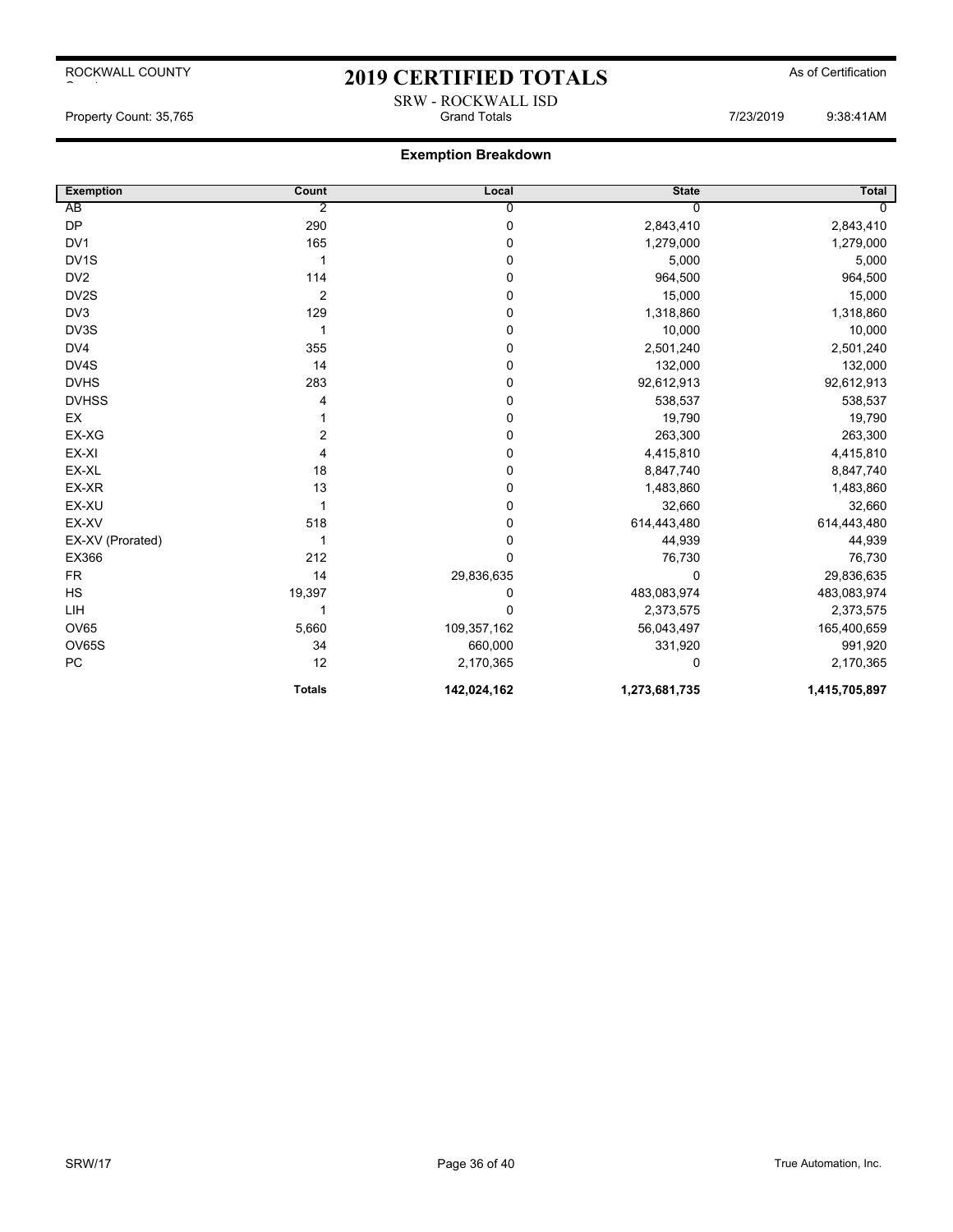## 2019 CERTIFIED TOTALS As of Certification

## **Exemption Breakdown**

| <b>Exemption</b>  | Count         | Local          | <b>State</b>  | Total          |
|-------------------|---------------|----------------|---------------|----------------|
| AB                | 2             | $\overline{0}$ | $\Omega$      | $\overline{0}$ |
| <b>DP</b>         | 290           | $\pmb{0}$      | 2,843,410     | 2,843,410      |
| DV <sub>1</sub>   | 165           | $\mathbf 0$    | 1,279,000     | 1,279,000      |
| DV <sub>1</sub> S | 1             | $\pmb{0}$      | 5,000         | 5,000          |
| DV <sub>2</sub>   | 114           | $\mathbf 0$    | 964,500       | 964,500        |
| DV2S              | 2             | $\mathbf 0$    | 15,000        | 15,000         |
| DV <sub>3</sub>   | 129           | $\mathbf 0$    | 1,318,860     | 1,318,860      |
| DV3S              | 1             | $\pmb{0}$      | 10,000        | 10,000         |
| DV4               | 355           | $\mathbf 0$    | 2,501,240     | 2,501,240      |
| DV4S              | 14            | $\pmb{0}$      | 132,000       | 132,000        |
| <b>DVHS</b>       | 283           | $\mathbf 0$    | 92,612,913    | 92,612,913     |
| <b>DVHSS</b>      | 4             | $\pmb{0}$      | 538,537       | 538,537        |
| EX                |               | $\mathbf 0$    | 19,790        | 19,790         |
| EX-XG             | 2             | $\mathbf 0$    | 263,300       | 263,300        |
| EX-XI             | 4             | $\mathbf 0$    | 4,415,810     | 4,415,810      |
| EX-XL             | 18            | $\pmb{0}$      | 8,847,740     | 8,847,740      |
| EX-XR             | 13            | $\mathbf 0$    | 1,483,860     | 1,483,860      |
| EX-XU             | 1             | $\mathbf 0$    | 32,660        | 32,660         |
| EX-XV             | 518           | $\pmb{0}$      | 614,443,480   | 614,443,480    |
| EX-XV (Prorated)  | 1             | $\pmb{0}$      | 44,939        | 44,939         |
| EX366             | 212           | $\mathbf 0$    | 76,730        | 76,730         |
| <b>FR</b>         | 14            | 29,836,635     | $\Omega$      | 29,836,635     |
| <b>HS</b>         | 19,397        | 0              | 483,083,974   | 483,083,974    |
| LIH               | 1             | $\mathbf 0$    | 2,373,575     | 2,373,575      |
| <b>OV65</b>       | 5,660         | 109,357,162    | 56,043,497    | 165,400,659    |
| <b>OV65S</b>      | 34            | 660,000        | 331,920       | 991,920        |
| PC                | 12            | 2,170,365      | 0             | 2,170,365      |
|                   | <b>Totals</b> | 142,024,162    | 1,273,681,735 | 1,415,705,897  |

SRW - ROCKWALL ISD Property Count: 35,765 Grand Totals 7/23/2019 9:38:41AM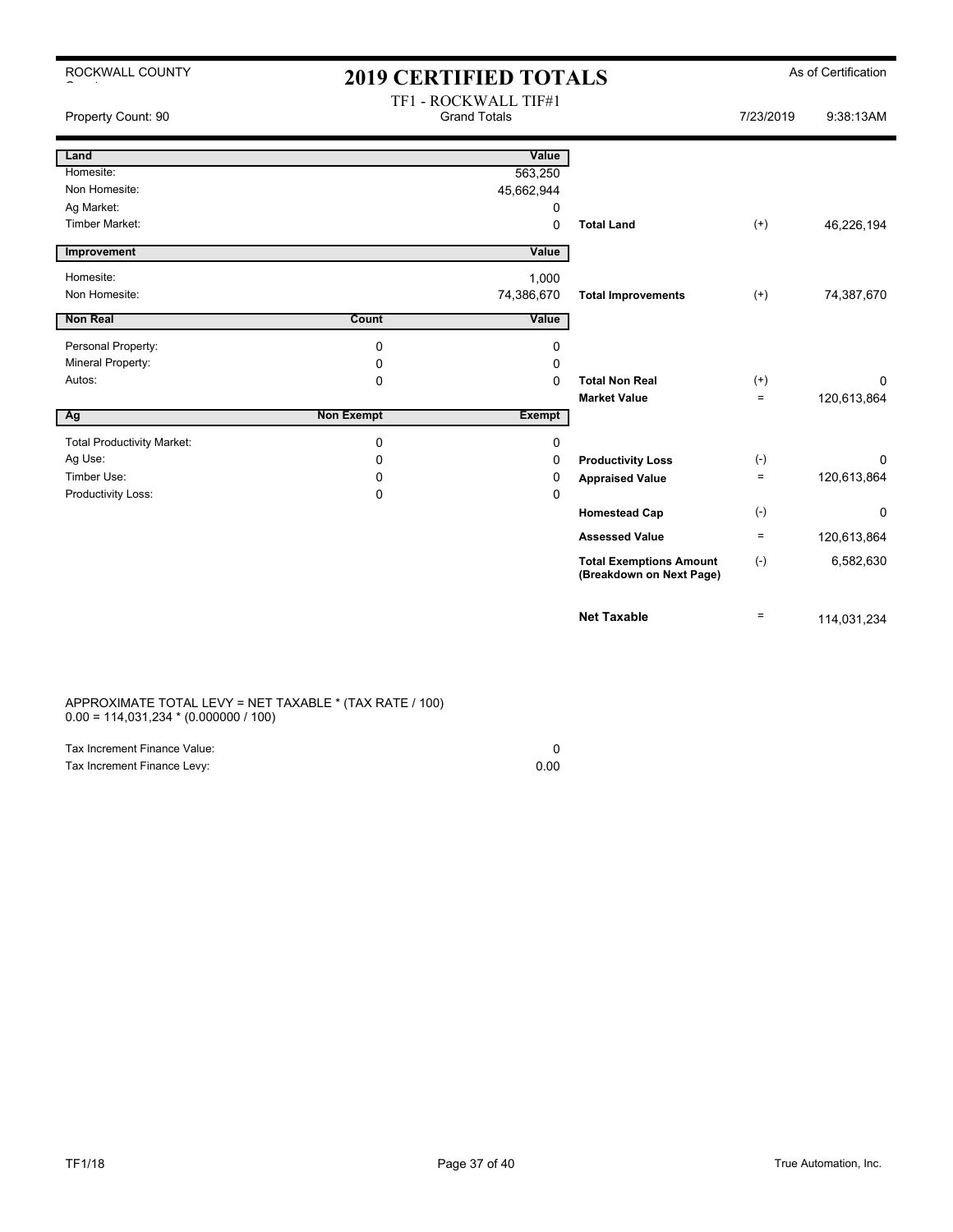| ROCKWALL COUNTY                   | <b>2019 CERTIFIED TOTALS</b>                |               |                                                            | As of Certification |             |
|-----------------------------------|---------------------------------------------|---------------|------------------------------------------------------------|---------------------|-------------|
| Property Count: 90                | TF1 - ROCKWALL TIF#1<br><b>Grand Totals</b> |               | 7/23/2019                                                  | 9:38:13AM           |             |
| Land                              |                                             | Value         |                                                            |                     |             |
| Homesite:                         |                                             | 563,250       |                                                            |                     |             |
| Non Homesite:                     |                                             | 45,662,944    |                                                            |                     |             |
| Ag Market:                        |                                             | 0             |                                                            |                     |             |
| <b>Timber Market:</b>             |                                             | $\Omega$      | <b>Total Land</b>                                          | $^{(+)}$            | 46,226,194  |
| Improvement                       |                                             | Value         |                                                            |                     |             |
| Homesite:                         |                                             | 1,000         |                                                            |                     |             |
| Non Homesite:                     |                                             | 74,386,670    | <b>Total Improvements</b>                                  | $^{(+)}$            | 74,387,670  |
| <b>Non Real</b>                   | Count                                       | Value         |                                                            |                     |             |
| Personal Property:                | $\mathbf 0$                                 | 0             |                                                            |                     |             |
| Mineral Property:                 | 0                                           | 0             |                                                            |                     |             |
| Autos:                            | $\Omega$                                    | $\Omega$      | <b>Total Non Real</b>                                      | $^{(+)}$            | $\Omega$    |
|                                   |                                             |               | <b>Market Value</b>                                        | $=$                 | 120,613,864 |
| Ag                                | <b>Non Exempt</b>                           | <b>Exempt</b> |                                                            |                     |             |
| <b>Total Productivity Market:</b> | $\mathbf 0$                                 | 0             |                                                            |                     |             |
| Ag Use:                           | 0                                           | 0             | <b>Productivity Loss</b>                                   | $(-)$               | 0           |
| Timber Use:                       | $\Omega$                                    | 0             | <b>Appraised Value</b>                                     | $\equiv$            | 120,613,864 |
| Productivity Loss:                | $\mathbf 0$                                 | 0             |                                                            |                     |             |
|                                   |                                             |               | <b>Homestead Cap</b>                                       | $(-)$               | $\mathbf 0$ |
|                                   |                                             |               | <b>Assessed Value</b>                                      | $\equiv$            | 120,613,864 |
|                                   |                                             |               | <b>Total Exemptions Amount</b><br>(Breakdown on Next Page) | $(-)$               | 6,582,630   |
|                                   |                                             |               | <b>Net Taxable</b>                                         | $\equiv$            | 114,031,234 |

### APPROXIMATE TOTAL LEVY = NET TAXABLE \* (TAX RATE / 100) 0.00 = 114,031,234 \* (0.000000 / 100)

| Tax Increment Finance Value: |      |
|------------------------------|------|
| Tax Increment Finance Levy:  | 0.00 |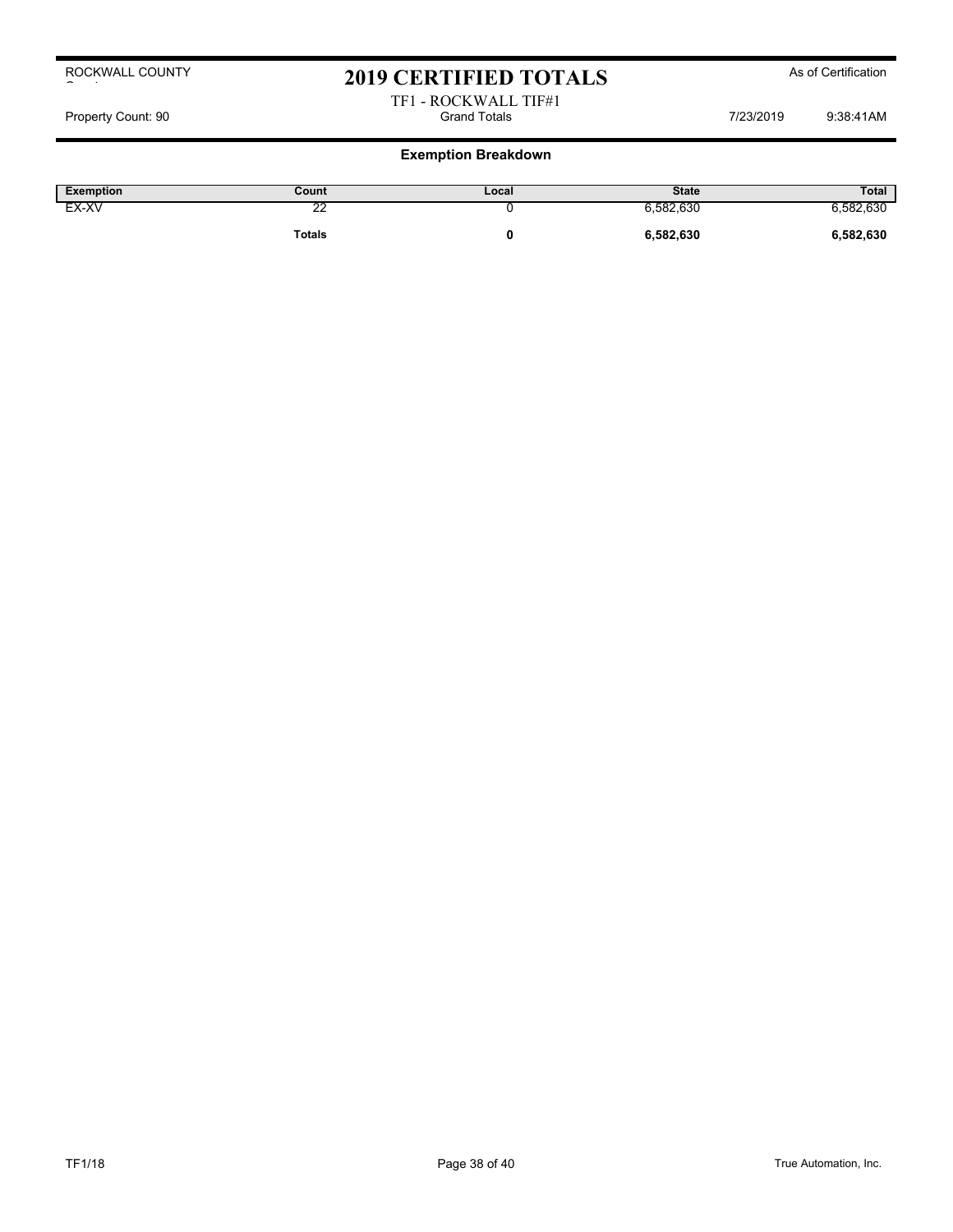## 2019 CERTIFIED TOTALS As of Certification

### TF1 - ROCKWALL TIF#1 Property Count: 90 Grand Totals 7/23/2019 9:38:41AM

| Exemption | Count  | Local | <b>State</b> | <b>Total</b> |
|-----------|--------|-------|--------------|--------------|
| EX-XV     | c<br>∼ |       | 6,582,630    | 6,582,630    |
|           | Totals |       | 6,582,630    | 6,582,630    |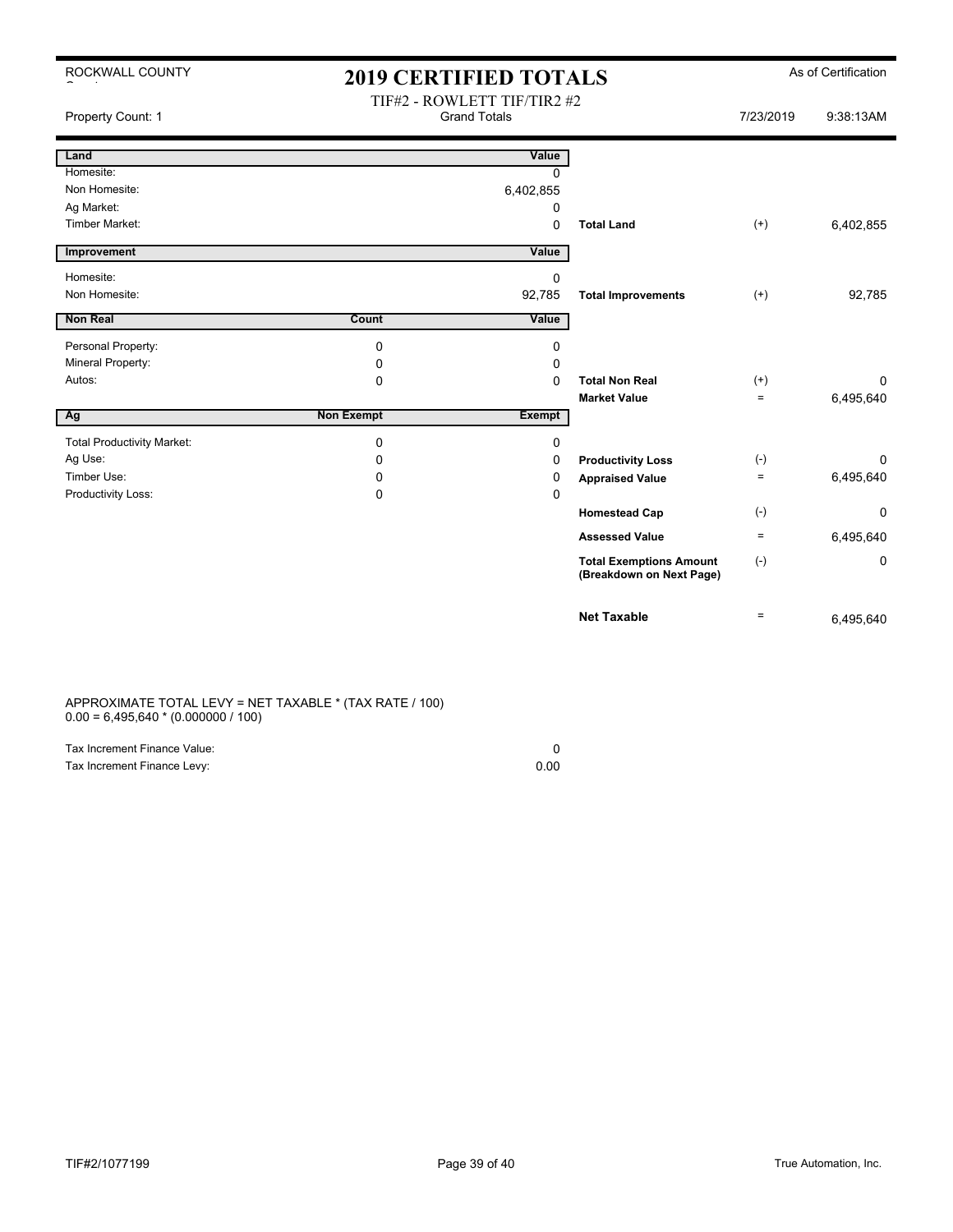| ROCKWALL COUNTY                   | <b>2019 CERTIFIED TOTALS</b>                       |               |                                                            |           | As of Certification |
|-----------------------------------|----------------------------------------------------|---------------|------------------------------------------------------------|-----------|---------------------|
| Property Count: 1                 | TIF#2 - ROWLETT TIF/TIR2 #2<br><b>Grand Totals</b> |               |                                                            | 7/23/2019 | 9:38:13AM           |
| Land                              |                                                    | Value         |                                                            |           |                     |
| Homesite:                         |                                                    | $\Omega$      |                                                            |           |                     |
| Non Homesite:                     |                                                    | 6,402,855     |                                                            |           |                     |
| Ag Market:                        |                                                    | 0             |                                                            |           |                     |
| <b>Timber Market:</b>             |                                                    | 0             | <b>Total Land</b>                                          | $^{(+)}$  | 6,402,855           |
| Improvement                       |                                                    | Value         |                                                            |           |                     |
| Homesite:                         |                                                    | 0             |                                                            |           |                     |
| Non Homesite:                     |                                                    | 92,785        | <b>Total Improvements</b>                                  | $(+)$     | 92,785              |
| <b>Non Real</b>                   | Count                                              | Value         |                                                            |           |                     |
| Personal Property:                | 0                                                  | 0             |                                                            |           |                     |
| Mineral Property:                 | 0                                                  | 0             |                                                            |           |                     |
| Autos:                            | 0                                                  | 0             | <b>Total Non Real</b>                                      | $^{(+)}$  | 0                   |
|                                   |                                                    |               | <b>Market Value</b>                                        | $\equiv$  | 6,495,640           |
| Ag                                | <b>Non Exempt</b>                                  | <b>Exempt</b> |                                                            |           |                     |
| <b>Total Productivity Market:</b> | 0                                                  | 0             |                                                            |           |                     |
| Ag Use:                           | 0                                                  | 0             | <b>Productivity Loss</b>                                   | $(-)$     | 0                   |
| Timber Use:                       | 0                                                  | 0             | <b>Appraised Value</b>                                     | $\equiv$  | 6,495,640           |
| Productivity Loss:                | 0                                                  | 0             |                                                            |           |                     |
|                                   |                                                    |               | <b>Homestead Cap</b>                                       | $(-)$     | 0                   |
|                                   |                                                    |               | <b>Assessed Value</b>                                      | $\equiv$  | 6,495,640           |
|                                   |                                                    |               | <b>Total Exemptions Amount</b><br>(Breakdown on Next Page) | $(-)$     | 0                   |
|                                   |                                                    |               | <b>Net Taxable</b>                                         | $\equiv$  | 6,495,640           |

### APPROXIMATE TOTAL LEVY = NET TAXABLE \* (TAX RATE / 100)  $0.00 = 6,495,640 * (0.000000 / 100)$

| Tax Increment Finance Value: |      |
|------------------------------|------|
| Tax Increment Finance Levy:  | 0.00 |